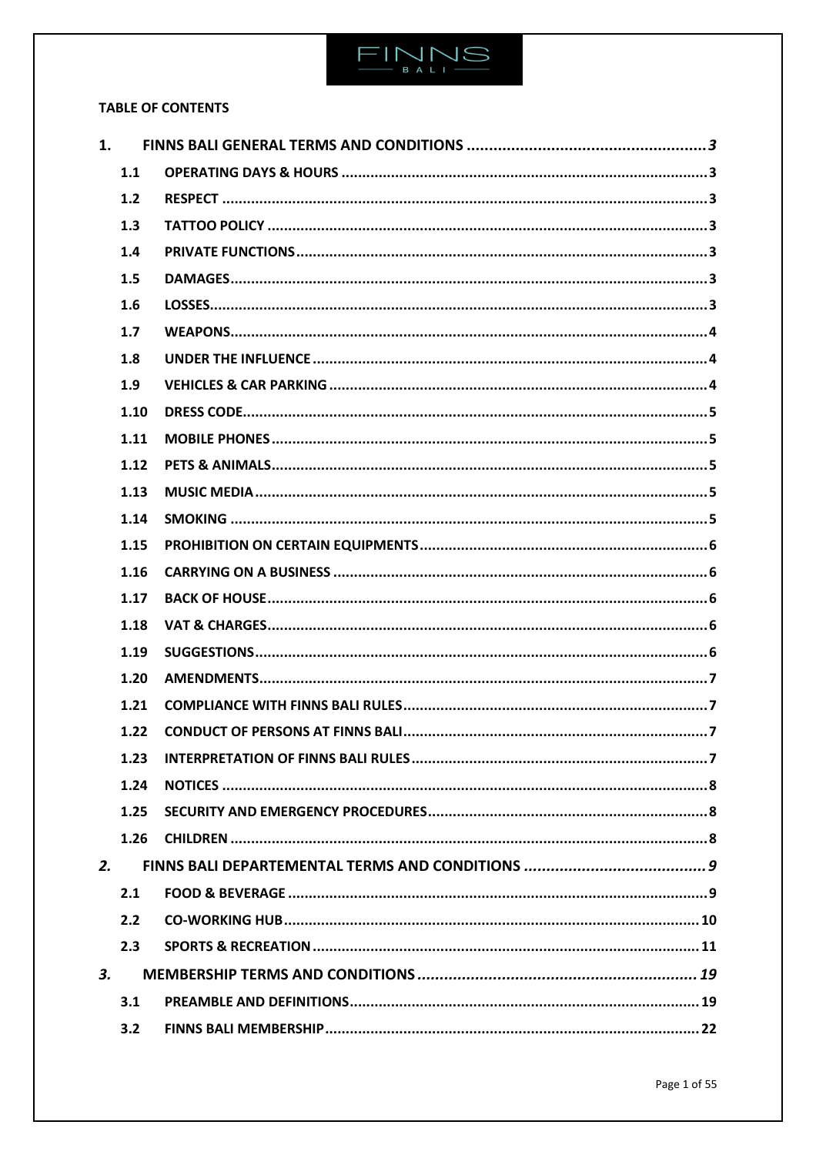

# **TABLE OF CONTENTS**

| 1. |      |  |
|----|------|--|
|    | 1.1  |  |
|    | 1.2  |  |
|    | 1.3  |  |
|    | 1.4  |  |
|    | 1.5  |  |
|    | 1.6  |  |
|    | 1.7  |  |
|    | 1.8  |  |
|    | 1.9  |  |
|    | 1.10 |  |
|    | 1.11 |  |
|    | 1.12 |  |
|    | 1.13 |  |
|    | 1.14 |  |
|    | 1.15 |  |
|    | 1.16 |  |
|    | 1.17 |  |
|    | 1.18 |  |
|    | 1.19 |  |
|    | 1.20 |  |
|    | 1.21 |  |
|    | 1.22 |  |
|    | 1.23 |  |
|    | 1.24 |  |
|    | 1.25 |  |
|    | 1.26 |  |
| 2. |      |  |
|    | 2.1  |  |
|    | 2.2  |  |
|    | 2.3  |  |
| 3. |      |  |
|    | 3.1  |  |
|    | 3.2  |  |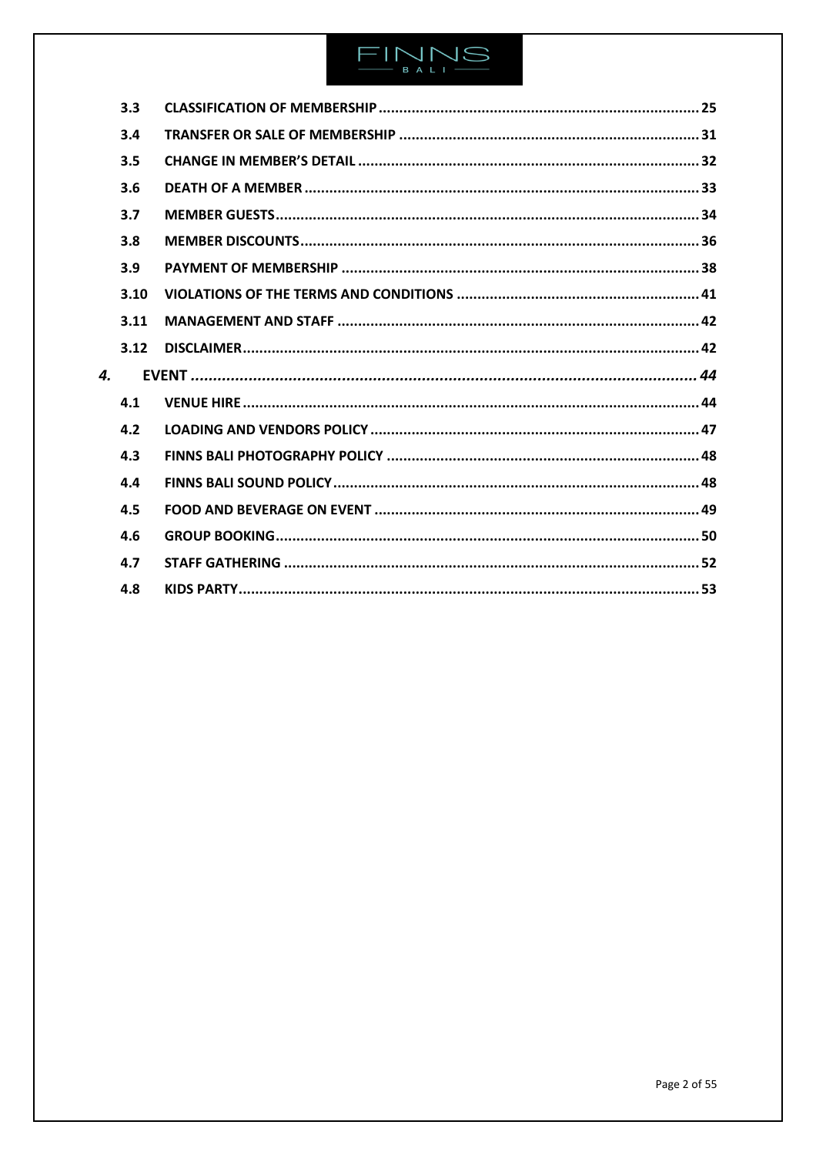# $\begin{array}{c}\n\text{FIN} \setminus \text{NS} \\
\text{IN} \setminus \text{NS} \end{array}$

| 3.3  |  |
|------|--|
| 3.4  |  |
| 3.5  |  |
| 3.6  |  |
| 3.7  |  |
| 3.8  |  |
| 3.9  |  |
| 3.10 |  |
| 3.11 |  |
| 3.12 |  |
|      |  |
| 4.1  |  |
| 4.2  |  |
| 4.3  |  |
| 4.4  |  |
|      |  |
| 4.5  |  |
| 4.6  |  |
| 4.7  |  |
|      |  |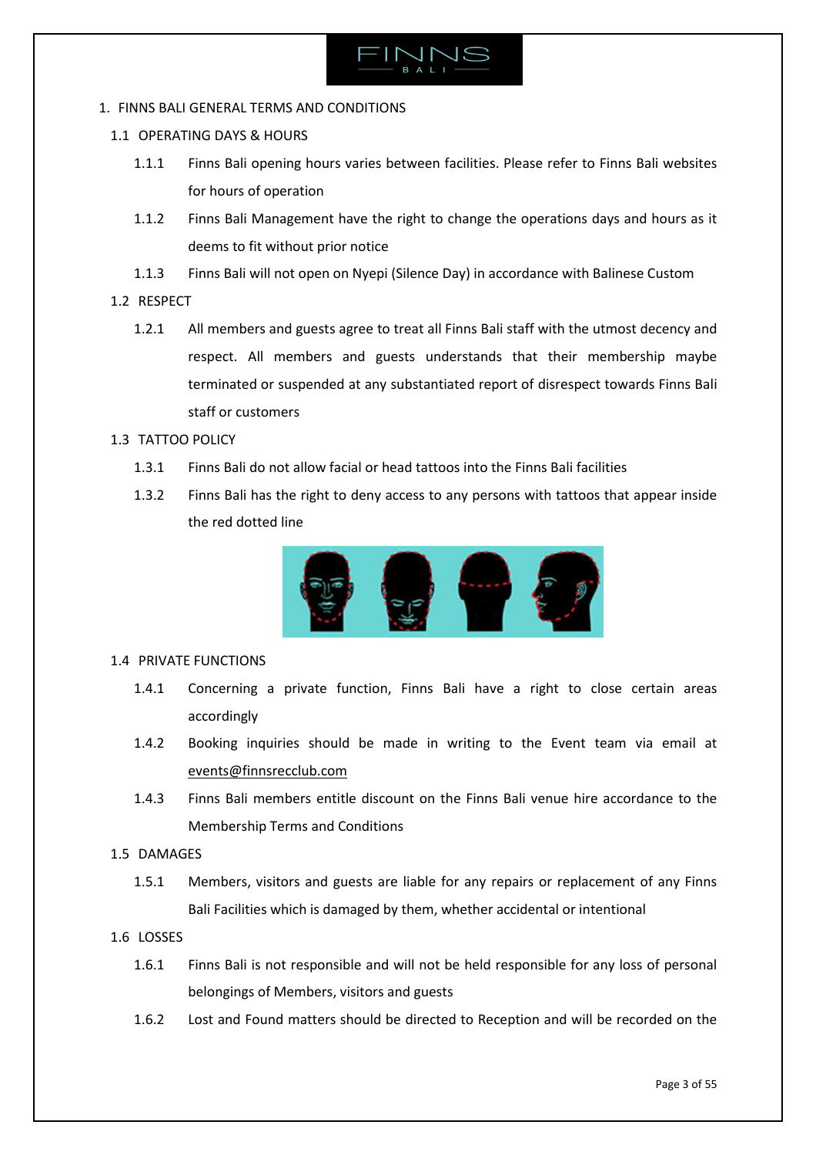

# <span id="page-2-0"></span>1. FINNS BALI GENERAL TERMS AND CONDITIONS

- <span id="page-2-1"></span>1.1 OPERATING DAYS & HOURS
	- 1.1.1 Finns Bali opening hours varies between facilities. Please refer to Finns Bali websites for hours of operation
	- 1.1.2 Finns Bali Management have the right to change the operations days and hours as it deems to fit without prior notice
	- 1.1.3 Finns Bali will not open on Nyepi (Silence Day) in accordance with Balinese Custom

# <span id="page-2-2"></span>1.2 RESPECT

1.2.1 All members and guests agree to treat all Finns Bali staff with the utmost decency and respect. All members and guests understands that their membership maybe terminated or suspended at any substantiated report of disrespect towards Finns Bali staff or customers

# <span id="page-2-3"></span>1.3 TATTOO POLICY

- 1.3.1 Finns Bali do not allow facial or head tattoos into the Finns Bali facilities
- 1.3.2 Finns Bali has the right to deny access to any persons with tattoos that appear inside the red dotted line



# <span id="page-2-4"></span>1.4 PRIVATE FUNCTIONS

- 1.4.1 Concerning a private function, Finns Bali have a right to close certain areas accordingly
- 1.4.2 Booking inquiries should be made in writing to the Event team via email at [events@finnsrecclub.com](mailto:events@finnsrecclub.com)
- 1.4.3 Finns Bali members entitle discount on the Finns Bali venue hire accordance to the Membership Terms and Conditions

# <span id="page-2-5"></span>1.5 DAMAGES

1.5.1 Members, visitors and guests are liable for any repairs or replacement of any Finns Bali Facilities which is damaged by them, whether accidental or intentional

# <span id="page-2-6"></span>1.6 LOSSES

- 1.6.1 Finns Bali is not responsible and will not be held responsible for any loss of personal belongings of Members, visitors and guests
- 1.6.2 Lost and Found matters should be directed to Reception and will be recorded on the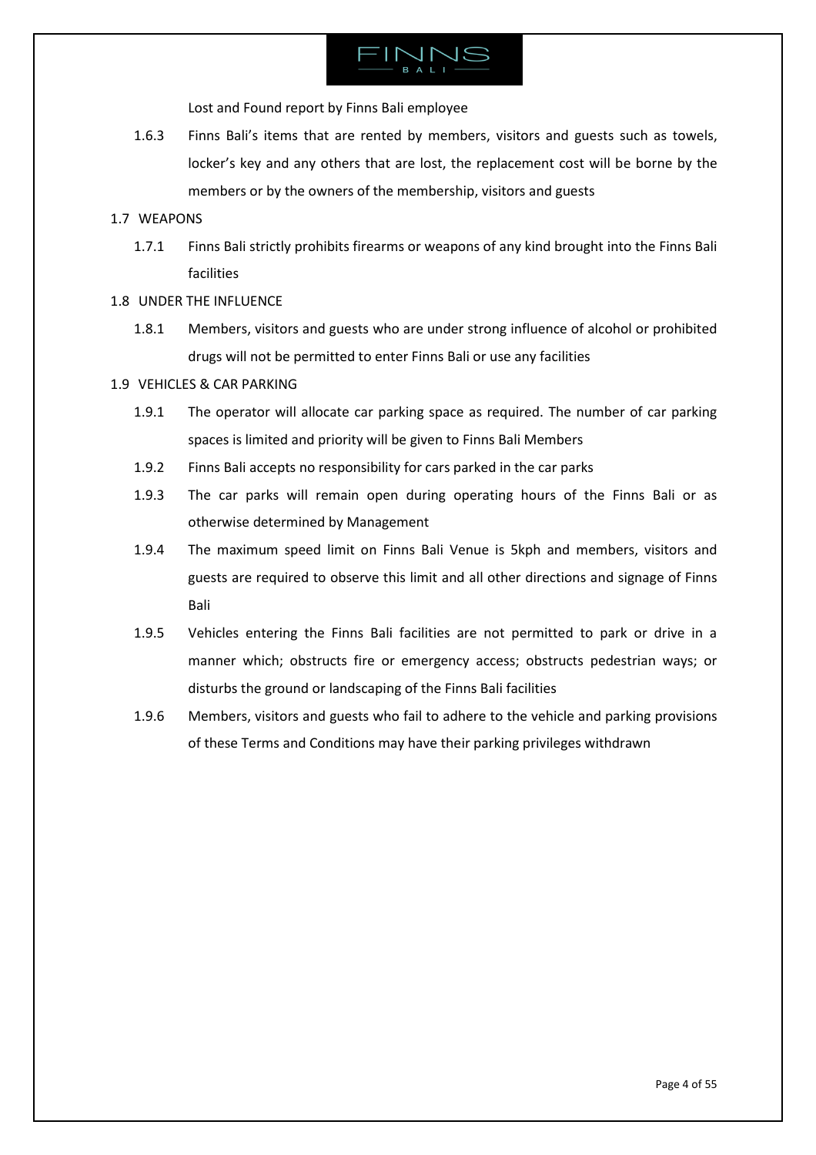

Lost and Found report by Finns Bali employee

1.6.3 Finns Bali's items that are rented by members, visitors and guests such as towels, locker's key and any others that are lost, the replacement cost will be borne by the members or by the owners of the membership, visitors and guests

# <span id="page-3-0"></span>1.7 WEAPONS

- 1.7.1 Finns Bali strictly prohibits firearms or weapons of any kind brought into the Finns Bali facilities
- <span id="page-3-1"></span>1.8 UNDER THE INFLUENCE
	- 1.8.1 Members, visitors and guests who are under strong influence of alcohol or prohibited drugs will not be permitted to enter Finns Bali or use any facilities

# <span id="page-3-2"></span>1.9 VEHICLES & CAR PARKING

- 1.9.1 The operator will allocate car parking space as required. The number of car parking spaces is limited and priority will be given to Finns Bali Members
- 1.9.2 Finns Bali accepts no responsibility for cars parked in the car parks
- 1.9.3 The car parks will remain open during operating hours of the Finns Bali or as otherwise determined by Management
- 1.9.4 The maximum speed limit on Finns Bali Venue is 5kph and members, visitors and guests are required to observe this limit and all other directions and signage of Finns Bali
- 1.9.5 Vehicles entering the Finns Bali facilities are not permitted to park or drive in a manner which; obstructs fire or emergency access; obstructs pedestrian ways; or disturbs the ground or landscaping of the Finns Bali facilities
- 1.9.6 Members, visitors and guests who fail to adhere to the vehicle and parking provisions of these Terms and Conditions may have their parking privileges withdrawn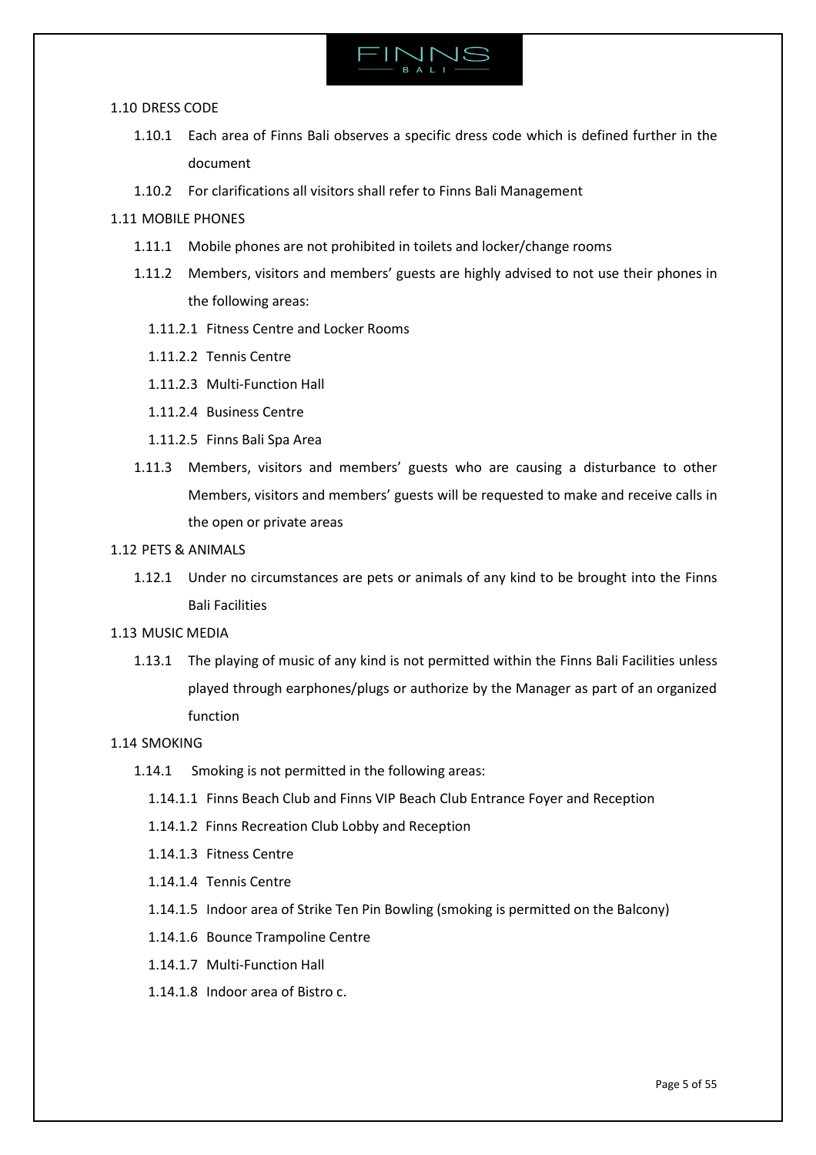

### 1.10 DRESS CODE

- <span id="page-4-0"></span>1.10.1 Each area of Finns Bali observes a specific dress code which is defined further in the document
- <span id="page-4-1"></span>1.10.2 For clarifications all visitors shall refer to Finns Bali Management

# 1.11 MOBILE PHONES

- 1.11.1 Mobile phones are not prohibited in toilets and locker/change rooms
- 1.11.2 Members, visitors and members' guests are highly advised to not use their phones in the following areas:
	- 1.11.2.1 Fitness Centre and Locker Rooms
	- 1.11.2.2 Tennis Centre
	- 1.11.2.3 Multi-Function Hall
	- 1.11.2.4 Business Centre
	- 1.11.2.5 Finns Bali Spa Area
- 1.11.3 Members, visitors and members' guests who are causing a disturbance to other Members, visitors and members' guests will be requested to make and receive calls in the open or private areas
- <span id="page-4-2"></span>1.12 PETS & ANIMALS
	- 1.12.1 Under no circumstances are pets or animals of any kind to be brought into the Finns Bali Facilities
- <span id="page-4-3"></span>1.13 MUSIC MEDIA
	- 1.13.1 The playing of music of any kind is not permitted within the Finns Bali Facilities unless played through earphones/plugs or authorize by the Manager as part of an organized function

# 1.14 SMOKING

- <span id="page-4-4"></span>1.14.1 Smoking is not permitted in the following areas:
	- 1.14.1.1 Finns Beach Club and Finns VIP Beach Club Entrance Foyer and Reception
	- 1.14.1.2 Finns Recreation Club Lobby and Reception
	- 1.14.1.3 Fitness Centre
	- 1.14.1.4 Tennis Centre
	- 1.14.1.5 Indoor area of Strike Ten Pin Bowling (smoking is permitted on the Balcony)
	- 1.14.1.6 Bounce Trampoline Centre
	- 1.14.1.7 Multi-Function Hall
	- 1.14.1.8 Indoor area of Bistro c.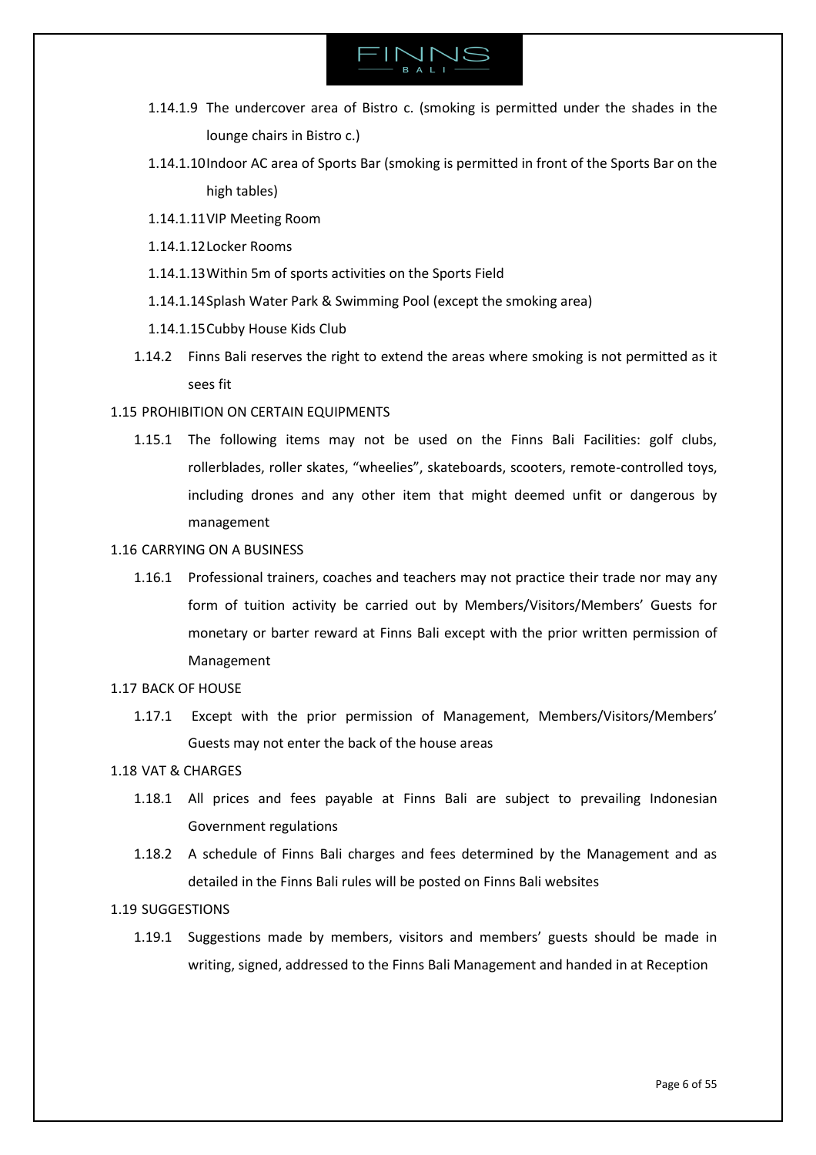

- 1.14.1.9 The undercover area of Bistro c. (smoking is permitted under the shades in the lounge chairs in Bistro c.)
- 1.14.1.10Indoor AC area of Sports Bar (smoking is permitted in front of the Sports Bar on the high tables)
- 1.14.1.11VIP Meeting Room
- 1.14.1.12Locker Rooms
- 1.14.1.13Within 5m of sports activities on the Sports Field
- 1.14.1.14Splash Water Park & Swimming Pool (except the smoking area)
- 1.14.1.15Cubby House Kids Club
- 1.14.2 Finns Bali reserves the right to extend the areas where smoking is not permitted as it sees fit

# <span id="page-5-0"></span>1.15 PROHIBITION ON CERTAIN EQUIPMENTS

- 1.15.1 The following items may not be used on the Finns Bali Facilities: golf clubs, rollerblades, roller skates, "wheelies", skateboards, scooters, remote-controlled toys, including drones and any other item that might deemed unfit or dangerous by management
- <span id="page-5-1"></span>1.16 CARRYING ON A BUSINESS
	- 1.16.1 Professional trainers, coaches and teachers may not practice their trade nor may any form of tuition activity be carried out by Members/Visitors/Members' Guests for monetary or barter reward at Finns Bali except with the prior written permission of Management
- <span id="page-5-2"></span>1.17 BACK OF HOUSE
	- 1.17.1 Except with the prior permission of Management, Members/Visitors/Members' Guests may not enter the back of the house areas

# <span id="page-5-3"></span>1.18 VAT & CHARGES

- 1.18.1 All prices and fees payable at Finns Bali are subject to prevailing Indonesian Government regulations
- 1.18.2 A schedule of Finns Bali charges and fees determined by the Management and as detailed in the Finns Bali rules will be posted on Finns Bali websites

# <span id="page-5-4"></span>1.19 SUGGESTIONS

1.19.1 Suggestions made by members, visitors and members' guests should be made in writing, signed, addressed to the Finns Bali Management and handed in at Reception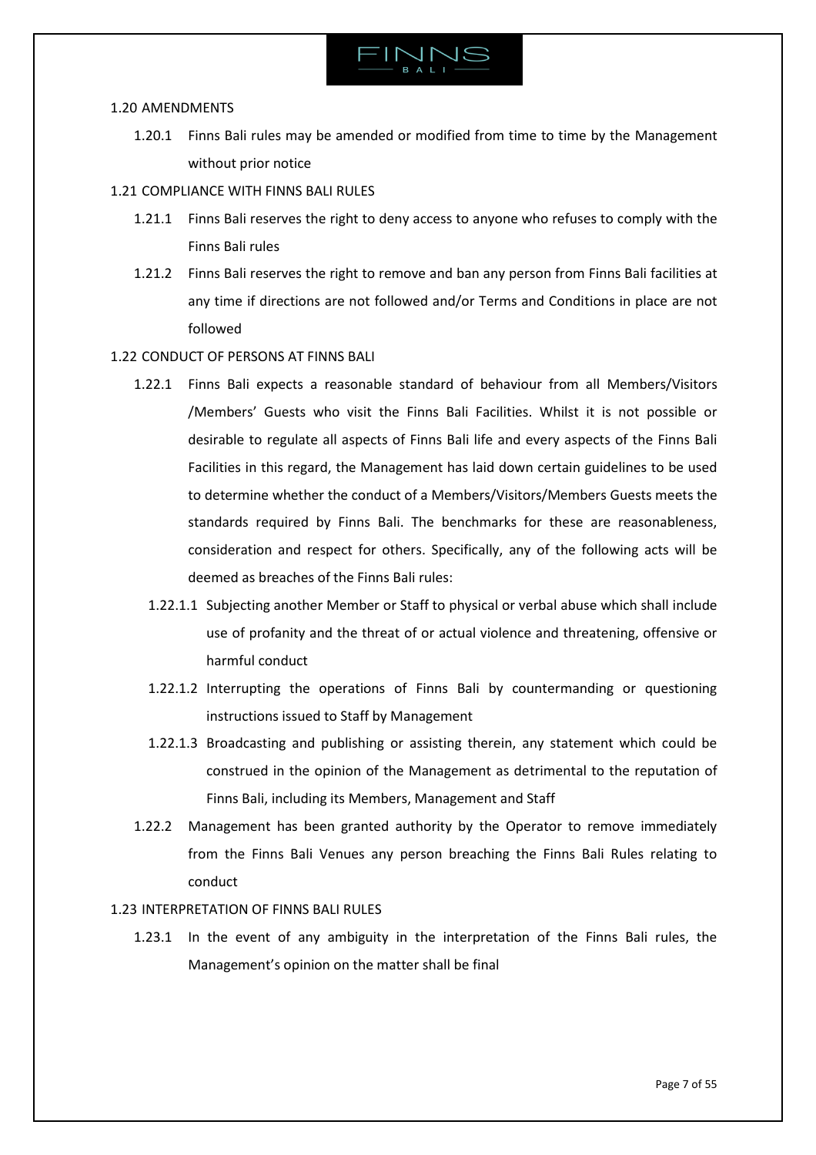

### <span id="page-6-0"></span>1.20 AMENDMENTS

- 1.20.1 Finns Bali rules may be amended or modified from time to time by the Management without prior notice
- <span id="page-6-1"></span>1.21 COMPLIANCE WITH FINNS BALI RULES
	- 1.21.1 Finns Bali reserves the right to deny access to anyone who refuses to comply with the Finns Bali rules
	- 1.21.2 Finns Bali reserves the right to remove and ban any person from Finns Bali facilities at any time if directions are not followed and/or Terms and Conditions in place are not followed
- <span id="page-6-2"></span>1.22 CONDUCT OF PERSONS AT FINNS BALI
	- 1.22.1 Finns Bali expects a reasonable standard of behaviour from all Members/Visitors /Members' Guests who visit the Finns Bali Facilities. Whilst it is not possible or desirable to regulate all aspects of Finns Bali life and every aspects of the Finns Bali Facilities in this regard, the Management has laid down certain guidelines to be used to determine whether the conduct of a Members/Visitors/Members Guests meets the standards required by Finns Bali. The benchmarks for these are reasonableness, consideration and respect for others. Specifically, any of the following acts will be deemed as breaches of the Finns Bali rules:
		- 1.22.1.1 Subjecting another Member or Staff to physical or verbal abuse which shall include use of profanity and the threat of or actual violence and threatening, offensive or harmful conduct
		- 1.22.1.2 Interrupting the operations of Finns Bali by countermanding or questioning instructions issued to Staff by Management
		- 1.22.1.3 Broadcasting and publishing or assisting therein, any statement which could be construed in the opinion of the Management as detrimental to the reputation of Finns Bali, including its Members, Management and Staff
	- 1.22.2 Management has been granted authority by the Operator to remove immediately from the Finns Bali Venues any person breaching the Finns Bali Rules relating to conduct

# <span id="page-6-3"></span>1.23 INTERPRETATION OF FINNS BALI RULES

1.23.1 In the event of any ambiguity in the interpretation of the Finns Bali rules, the Management's opinion on the matter shall be final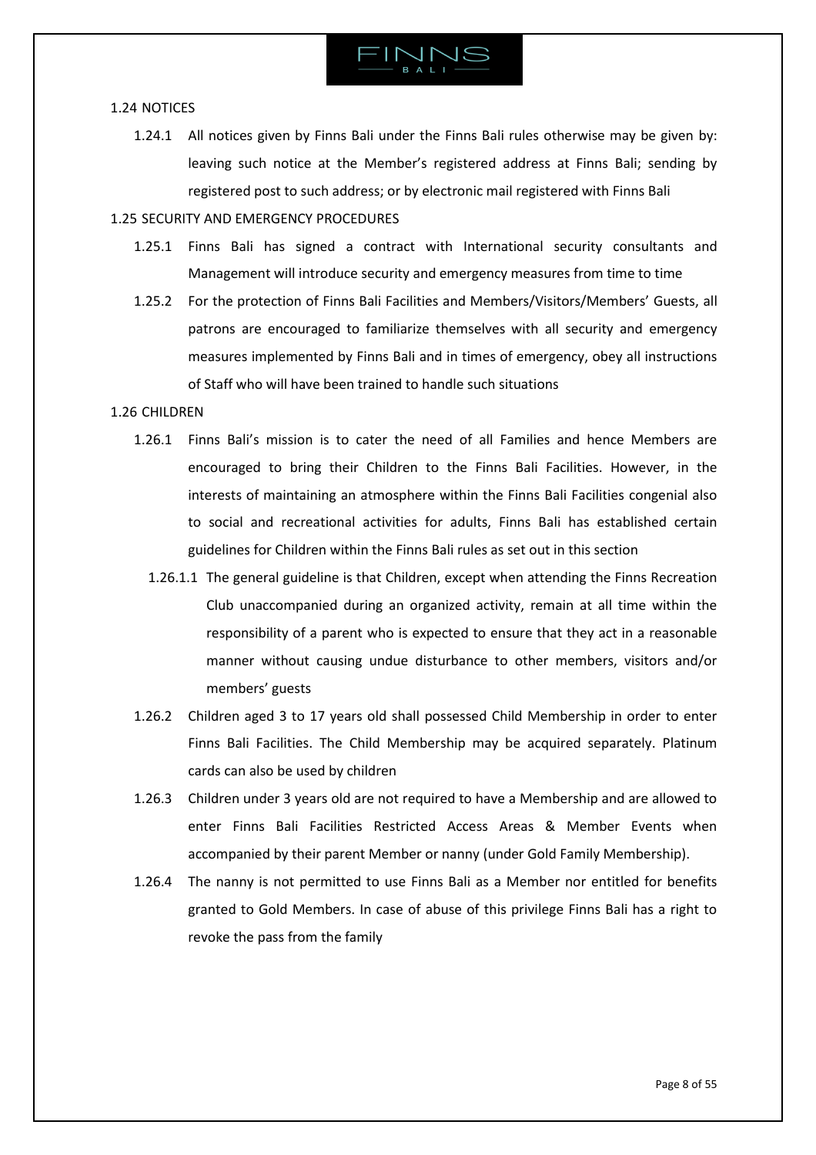

### <span id="page-7-0"></span>1.24 NOTICES

1.24.1 All notices given by Finns Bali under the Finns Bali rules otherwise may be given by: leaving such notice at the Member's registered address at Finns Bali; sending by registered post to such address; or by electronic mail registered with Finns Bali

# <span id="page-7-1"></span>1.25 SECURITY AND EMERGENCY PROCEDURES

- 1.25.1 Finns Bali has signed a contract with International security consultants and Management will introduce security and emergency measures from time to time
- 1.25.2 For the protection of Finns Bali Facilities and Members/Visitors/Members' Guests, all patrons are encouraged to familiarize themselves with all security and emergency measures implemented by Finns Bali and in times of emergency, obey all instructions of Staff who will have been trained to handle such situations

# <span id="page-7-2"></span>1.26 CHILDREN

- 1.26.1 Finns Bali's mission is to cater the need of all Families and hence Members are encouraged to bring their Children to the Finns Bali Facilities. However, in the interests of maintaining an atmosphere within the Finns Bali Facilities congenial also to social and recreational activities for adults, Finns Bali has established certain guidelines for Children within the Finns Bali rules as set out in this section
	- 1.26.1.1 The general guideline is that Children, except when attending the Finns Recreation Club unaccompanied during an organized activity, remain at all time within the responsibility of a parent who is expected to ensure that they act in a reasonable manner without causing undue disturbance to other members, visitors and/or members' guests
- 1.26.2 Children aged 3 to 17 years old shall possessed Child Membership in order to enter Finns Bali Facilities. The Child Membership may be acquired separately. Platinum cards can also be used by children
- 1.26.3 Children under 3 years old are not required to have a Membership and are allowed to enter Finns Bali Facilities Restricted Access Areas & Member Events when accompanied by their parent Member or nanny (under Gold Family Membership).
- 1.26.4 The nanny is not permitted to use Finns Bali as a Member nor entitled for benefits granted to Gold Members. In case of abuse of this privilege Finns Bali has a right to revoke the pass from the family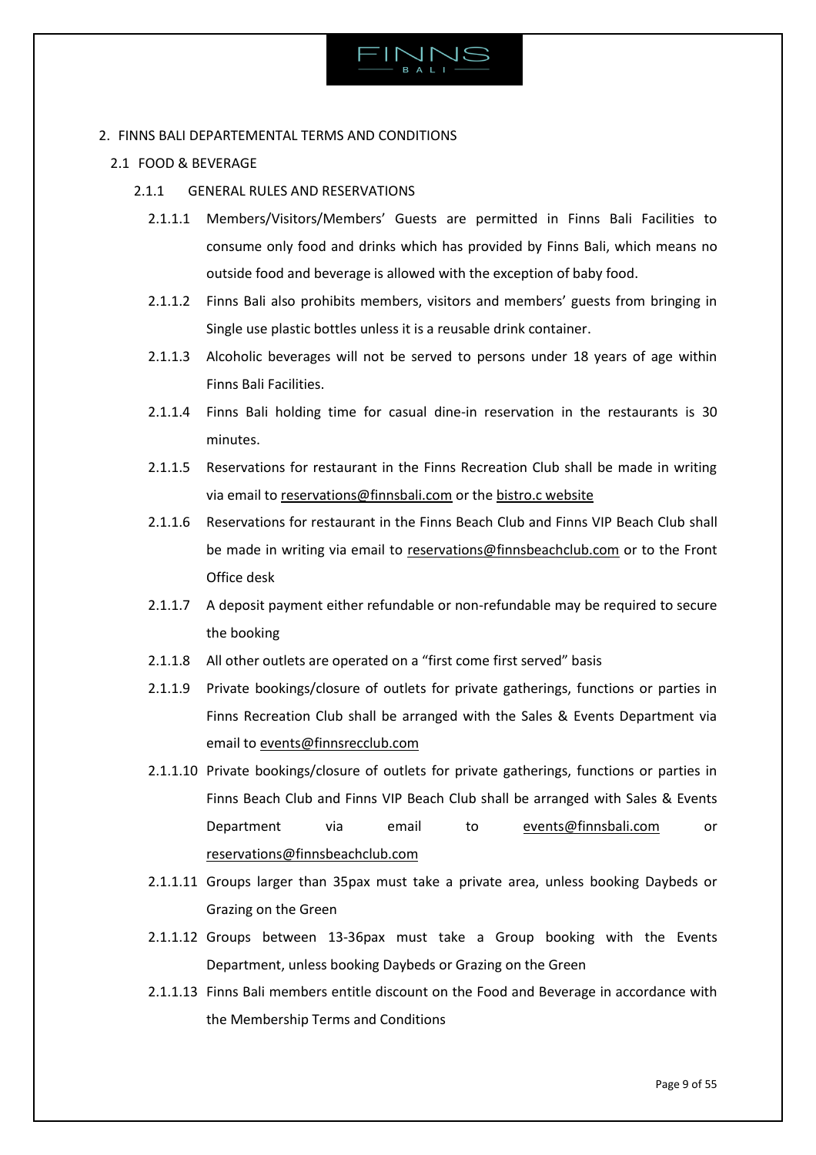

# <span id="page-8-0"></span>2. FINNS BALI DEPARTEMENTAL TERMS AND CONDITIONS

<span id="page-8-1"></span>2.1 FOOD & BEVERAGE

# 2.1.1 GENERAL RULES AND RESERVATIONS

- 2.1.1.1 Members/Visitors/Members' Guests are permitted in Finns Bali Facilities to consume only food and drinks which has provided by Finns Bali, which means no outside food and beverage is allowed with the exception of baby food.
- 2.1.1.2 Finns Bali also prohibits members, visitors and members' guests from bringing in Single use plastic bottles unless it is a reusable drink container.
- 2.1.1.3 Alcoholic beverages will not be served to persons under 18 years of age within Finns Bali Facilities.
- 2.1.1.4 Finns Bali holding time for casual dine-in reservation in the restaurants is 30 minutes.
- 2.1.1.5 Reservations for restaurant in the Finns Recreation Club shall be made in writing via email to [reservations@finnsbali.com](mailto:reservations@finnsbali.com) or the [bistro.c website](https://www.bistrocbali.com/)
- 2.1.1.6 Reservations for restaurant in the Finns Beach Club and Finns VIP Beach Club shall be made in writing via email to [reservations@finnsbeachclub.com](mailto:reservations@finnsbeachclub.com) or to the Front Office desk
- 2.1.1.7 A deposit payment either refundable or non-refundable may be required to secure the booking
- 2.1.1.8 All other outlets are operated on a "first come first served" basis
- 2.1.1.9 Private bookings/closure of outlets for private gatherings, functions or parties in Finns Recreation Club shall be arranged with the Sales & Events Department via email t[o events@finnsrecclub.com](mailto:events@finnsrecclub.com)
- 2.1.1.10 Private bookings/closure of outlets for private gatherings, functions or parties in Finns Beach Club and Finns VIP Beach Club shall be arranged with Sales & Events Department via email to [events@finnsbali.com](mailto:events@finnsbali.com) or [reservations@finnsbeachclub.com](mailto:reservations@finnsbeachclub.com)
- 2.1.1.11 Groups larger than 35pax must take a private area, unless booking Daybeds or Grazing on the Green
- 2.1.1.12 Groups between 13-36pax must take a Group booking with the Events Department, unless booking Daybeds or Grazing on the Green
- 2.1.1.13 Finns Bali members entitle discount on the Food and Beverage in accordance with the Membership Terms and Conditions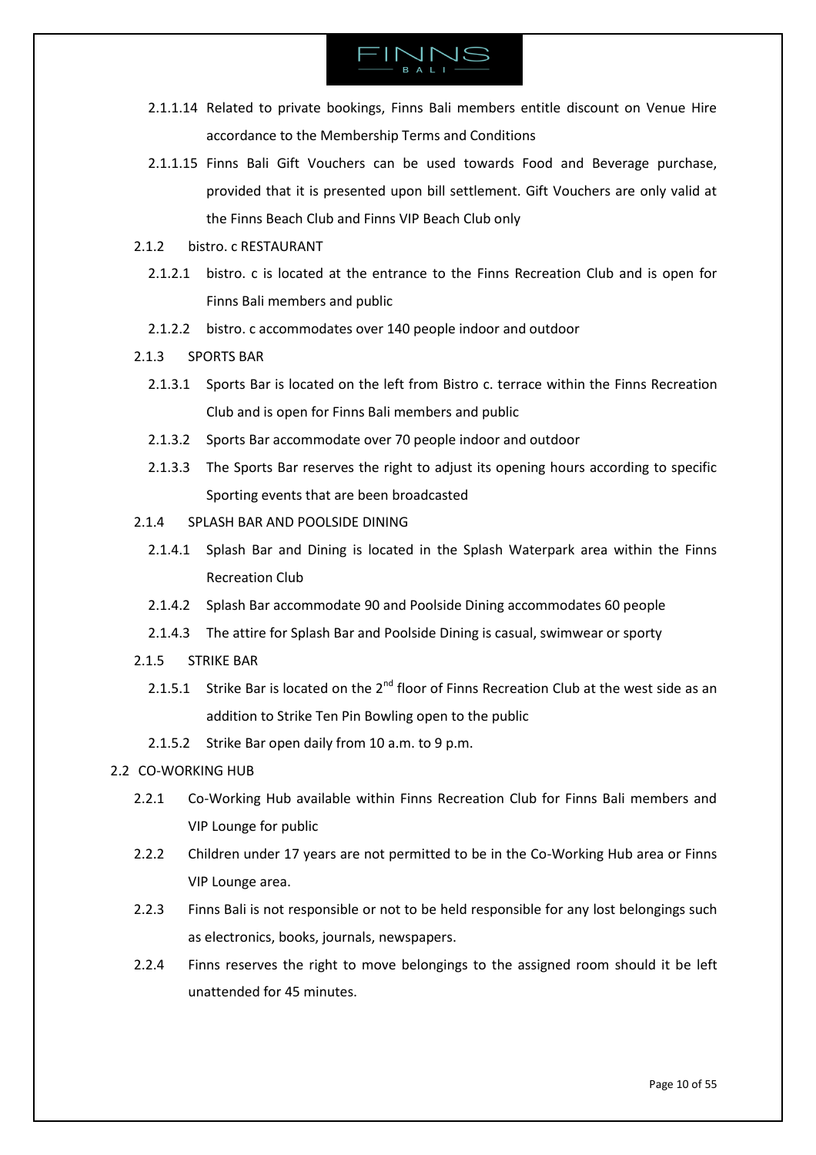

- 2.1.1.14 Related to private bookings, Finns Bali members entitle discount on Venue Hire accordance to the Membership Terms and Conditions
- 2.1.1.15 Finns Bali Gift Vouchers can be used towards Food and Beverage purchase, provided that it is presented upon bill settlement. Gift Vouchers are only valid at the Finns Beach Club and Finns VIP Beach Club only
- 2.1.2 bistro. c RESTAURANT
	- 2.1.2.1 bistro. c is located at the entrance to the Finns Recreation Club and is open for Finns Bali members and public
	- 2.1.2.2 bistro. c accommodates over 140 people indoor and outdoor
- 2.1.3 SPORTS BAR
	- 2.1.3.1 Sports Bar is located on the left from Bistro c. terrace within the Finns Recreation Club and is open for Finns Bali members and public
	- 2.1.3.2 Sports Bar accommodate over 70 people indoor and outdoor
	- 2.1.3.3 The Sports Bar reserves the right to adjust its opening hours according to specific Sporting events that are been broadcasted
- 2.1.4 SPLASH BAR AND POOLSIDE DINING
	- 2.1.4.1 Splash Bar and Dining is located in the Splash Waterpark area within the Finns Recreation Club
	- 2.1.4.2 Splash Bar accommodate 90 and Poolside Dining accommodates 60 people
	- 2.1.4.3 The attire for Splash Bar and Poolside Dining is casual, swimwear or sporty
- 2.1.5 STRIKE BAR
	- 2.1.5.1 Strike Bar is located on the  $2^{nd}$  floor of Finns Recreation Club at the west side as an addition to Strike Ten Pin Bowling open to the public
	- 2.1.5.2 Strike Bar open daily from 10 a.m. to 9 p.m.

# <span id="page-9-0"></span>2.2 CO-WORKING HUB

- 2.2.1 Co-Working Hub available within Finns Recreation Club for Finns Bali members and VIP Lounge for public
- 2.2.2 Children under 17 years are not permitted to be in the Co-Working Hub area or Finns VIP Lounge area.
- 2.2.3 Finns Bali is not responsible or not to be held responsible for any lost belongings such as electronics, books, journals, newspapers.
- 2.2.4 Finns reserves the right to move belongings to the assigned room should it be left unattended for 45 minutes.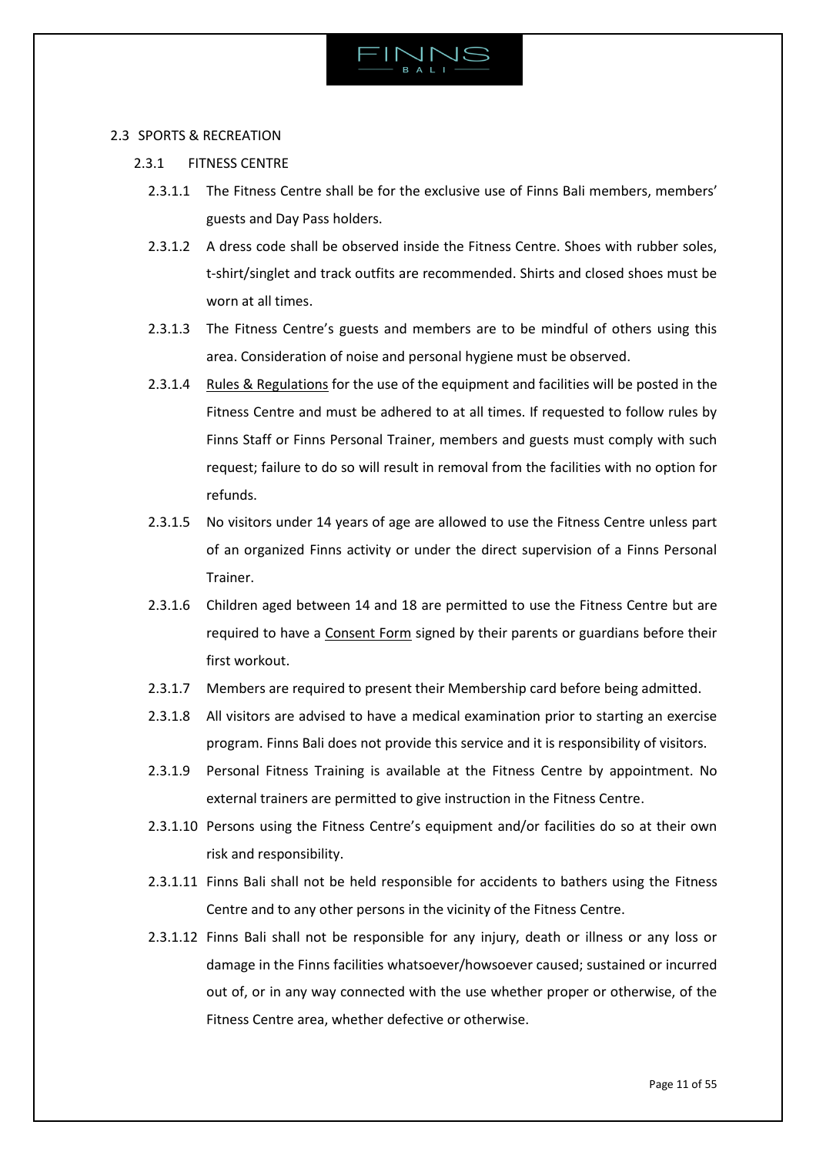

# <span id="page-10-0"></span>2.3 SPORTS & RECREATION

- 2.3.1 FITNESS CENTRE
	- 2.3.1.1 The Fitness Centre shall be for the exclusive use of Finns Bali members, members' guests and Day Pass holders.
	- 2.3.1.2 A dress code shall be observed inside the Fitness Centre. Shoes with rubber soles, t-shirt/singlet and track outfits are recommended. Shirts and closed shoes must be worn at all times.
	- 2.3.1.3 The Fitness Centre's guests and members are to be mindful of others using this area. Consideration of noise and personal hygiene must be observed.
	- 2.3.1.4 [Rules & Regulations](https://www.finnsrecclub.com/facilities/fitness/) for the use of the equipment and facilities will be posted in the Fitness Centre and must be adhered to at all times. If requested to follow rules by Finns Staff or Finns Personal Trainer, members and guests must comply with such request; failure to do so will result in removal from the facilities with no option for refunds.
	- 2.3.1.5 No visitors under 14 years of age are allowed to use the Fitness Centre unless part of an organized Finns activity or under the direct supervision of a Finns Personal Trainer.
	- 2.3.1.6 Children aged between 14 and 18 are permitted to use the Fitness Centre but are required to have a [Consent Form](https://finnsbali.com/download/consent-form-fitness-centre.pdf) signed by their parents or guardians before their first workout.
	- 2.3.1.7 Members are required to present their Membership card before being admitted.
	- 2.3.1.8 All visitors are advised to have a medical examination prior to starting an exercise program. Finns Bali does not provide this service and it is responsibility of visitors.
	- 2.3.1.9 Personal Fitness Training is available at the Fitness Centre by appointment. No external trainers are permitted to give instruction in the Fitness Centre.
	- 2.3.1.10 Persons using the Fitness Centre's equipment and/or facilities do so at their own risk and responsibility.
	- 2.3.1.11 Finns Bali shall not be held responsible for accidents to bathers using the Fitness Centre and to any other persons in the vicinity of the Fitness Centre.
	- 2.3.1.12 Finns Bali shall not be responsible for any injury, death or illness or any loss or damage in the Finns facilities whatsoever/howsoever caused; sustained or incurred out of, or in any way connected with the use whether proper or otherwise, of the Fitness Centre area, whether defective or otherwise.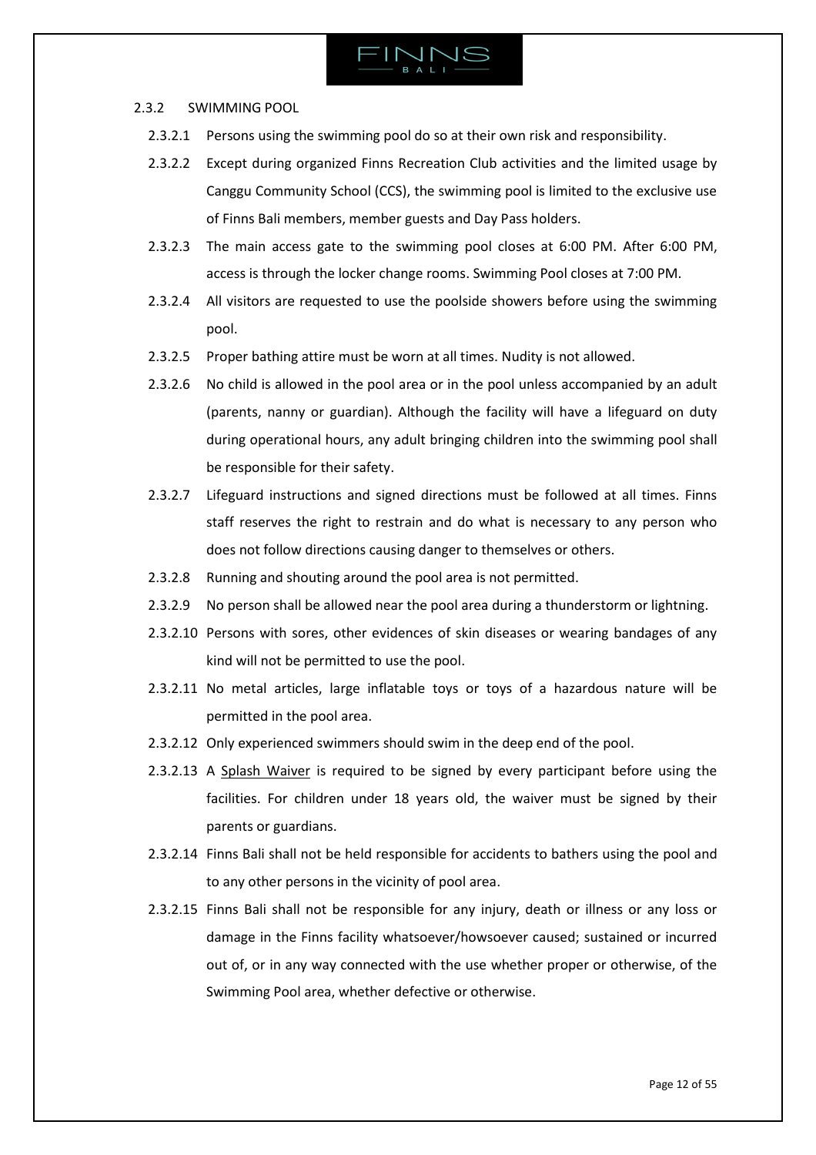### 2.3.2 SWIMMING POOL

- 2.3.2.1 Persons using the swimming pool do so at their own risk and responsibility.
- 2.3.2.2 Except during organized Finns Recreation Club activities and the limited usage by Canggu Community School (CCS), the swimming pool is limited to the exclusive use of Finns Bali members, member guests and Day Pass holders.
- 2.3.2.3 The main access gate to the swimming pool closes at 6:00 PM. After 6:00 PM, access is through the locker change rooms. Swimming Pool closes at 7:00 PM.
- 2.3.2.4 All visitors are requested to use the poolside showers before using the swimming pool.
- 2.3.2.5 Proper bathing attire must be worn at all times. Nudity is not allowed.
- 2.3.2.6 No child is allowed in the pool area or in the pool unless accompanied by an adult (parents, nanny or guardian). Although the facility will have a lifeguard on duty during operational hours, any adult bringing children into the swimming pool shall be responsible for their safety.
- 2.3.2.7 Lifeguard instructions and signed directions must be followed at all times. Finns staff reserves the right to restrain and do what is necessary to any person who does not follow directions causing danger to themselves or others.
- 2.3.2.8 Running and shouting around the pool area is not permitted.
- 2.3.2.9 No person shall be allowed near the pool area during a thunderstorm or lightning.
- 2.3.2.10 Persons with sores, other evidences of skin diseases or wearing bandages of any kind will not be permitted to use the pool.
- 2.3.2.11 No metal articles, large inflatable toys or toys of a hazardous nature will be permitted in the pool area.
- 2.3.2.12 Only experienced swimmers should swim in the deep end of the pool.
- 2.3.2.13 A [Splash Waiver](https://finnsbali.com/download/splash-waiver.pdf) is required to be signed by every participant before using the facilities. For children under 18 years old, the waiver must be signed by their parents or guardians.
- 2.3.2.14 Finns Bali shall not be held responsible for accidents to bathers using the pool and to any other persons in the vicinity of pool area.
- 2.3.2.15 Finns Bali shall not be responsible for any injury, death or illness or any loss or damage in the Finns facility whatsoever/howsoever caused; sustained or incurred out of, or in any way connected with the use whether proper or otherwise, of the Swimming Pool area, whether defective or otherwise.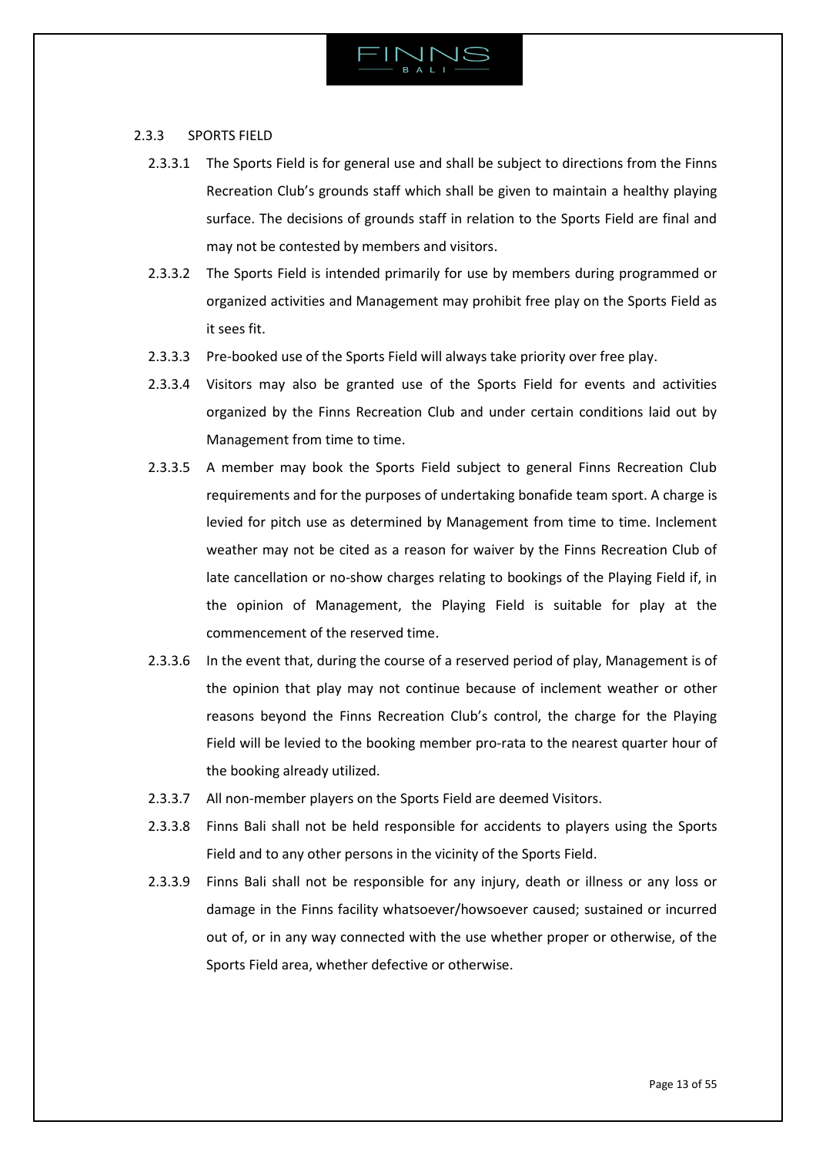

### 2.3.3 SPORTS FIELD

- 2.3.3.1 The Sports Field is for general use and shall be subject to directions from the Finns Recreation Club's grounds staff which shall be given to maintain a healthy playing surface. The decisions of grounds staff in relation to the Sports Field are final and may not be contested by members and visitors.
- 2.3.3.2 The Sports Field is intended primarily for use by members during programmed or organized activities and Management may prohibit free play on the Sports Field as it sees fit.
- 2.3.3.3 Pre-booked use of the Sports Field will always take priority over free play.
- 2.3.3.4 Visitors may also be granted use of the Sports Field for events and activities organized by the Finns Recreation Club and under certain conditions laid out by Management from time to time.
- 2.3.3.5 A member may book the Sports Field subject to general Finns Recreation Club requirements and for the purposes of undertaking bonafide team sport. A charge is levied for pitch use as determined by Management from time to time. Inclement weather may not be cited as a reason for waiver by the Finns Recreation Club of late cancellation or no-show charges relating to bookings of the Playing Field if, in the opinion of Management, the Playing Field is suitable for play at the commencement of the reserved time.
- 2.3.3.6 In the event that, during the course of a reserved period of play, Management is of the opinion that play may not continue because of inclement weather or other reasons beyond the Finns Recreation Club's control, the charge for the Playing Field will be levied to the booking member pro-rata to the nearest quarter hour of the booking already utilized.
- 2.3.3.7 All non-member players on the Sports Field are deemed Visitors.
- 2.3.3.8 Finns Bali shall not be held responsible for accidents to players using the Sports Field and to any other persons in the vicinity of the Sports Field.
- 2.3.3.9 Finns Bali shall not be responsible for any injury, death or illness or any loss or damage in the Finns facility whatsoever/howsoever caused; sustained or incurred out of, or in any way connected with the use whether proper or otherwise, of the Sports Field area, whether defective or otherwise.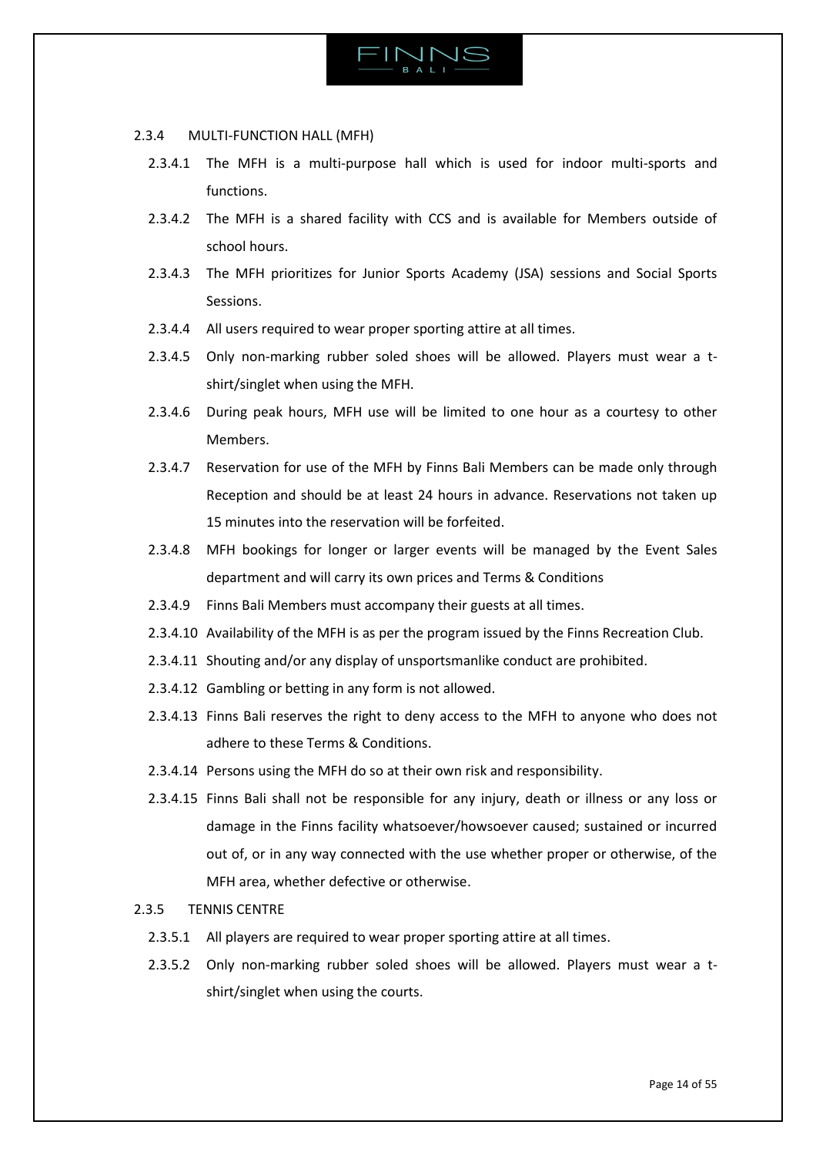

### 2.3.4 MULTI-FUNCTION HALL (MFH)

- 2.3.4.1 The MFH is a multi-purpose hall which is used for indoor multi-sports and functions.
- 2.3.4.2 The MFH is a shared facility with CCS and is available for Members outside of school hours.
- 2.3.4.3 The MFH prioritizes for Junior Sports Academy (JSA) sessions and Social Sports Sessions.
- 2.3.4.4 All users required to wear proper sporting attire at all times.
- 2.3.4.5 Only non-marking rubber soled shoes will be allowed. Players must wear a tshirt/singlet when using the MFH.
- 2.3.4.6 During peak hours, MFH use will be limited to one hour as a courtesy to other Members.
- 2.3.4.7 Reservation for use of the MFH by Finns Bali Members can be made only through Reception and should be at least 24 hours in advance. Reservations not taken up 15 minutes into the reservation will be forfeited.
- 2.3.4.8 MFH bookings for longer or larger events will be managed by the Event Sales department and will carry its own prices and Terms & Conditions
- 2.3.4.9 Finns Bali Members must accompany their guests at all times.
- 2.3.4.10 Availability of the MFH is as per the program issued by the Finns Recreation Club.
- 2.3.4.11 Shouting and/or any display of unsportsmanlike conduct are prohibited.
- 2.3.4.12 Gambling or betting in any form is not allowed.
- 2.3.4.13 Finns Bali reserves the right to deny access to the MFH to anyone who does not adhere to these Terms & Conditions.
- 2.3.4.14 Persons using the MFH do so at their own risk and responsibility.
- 2.3.4.15 Finns Bali shall not be responsible for any injury, death or illness or any loss or damage in the Finns facility whatsoever/howsoever caused; sustained or incurred out of, or in any way connected with the use whether proper or otherwise, of the MFH area, whether defective or otherwise.

# 2.3.5 TENNIS CENTRE

- 2.3.5.1 All players are required to wear proper sporting attire at all times.
- 2.3.5.2 Only non-marking rubber soled shoes will be allowed. Players must wear a tshirt/singlet when using the courts.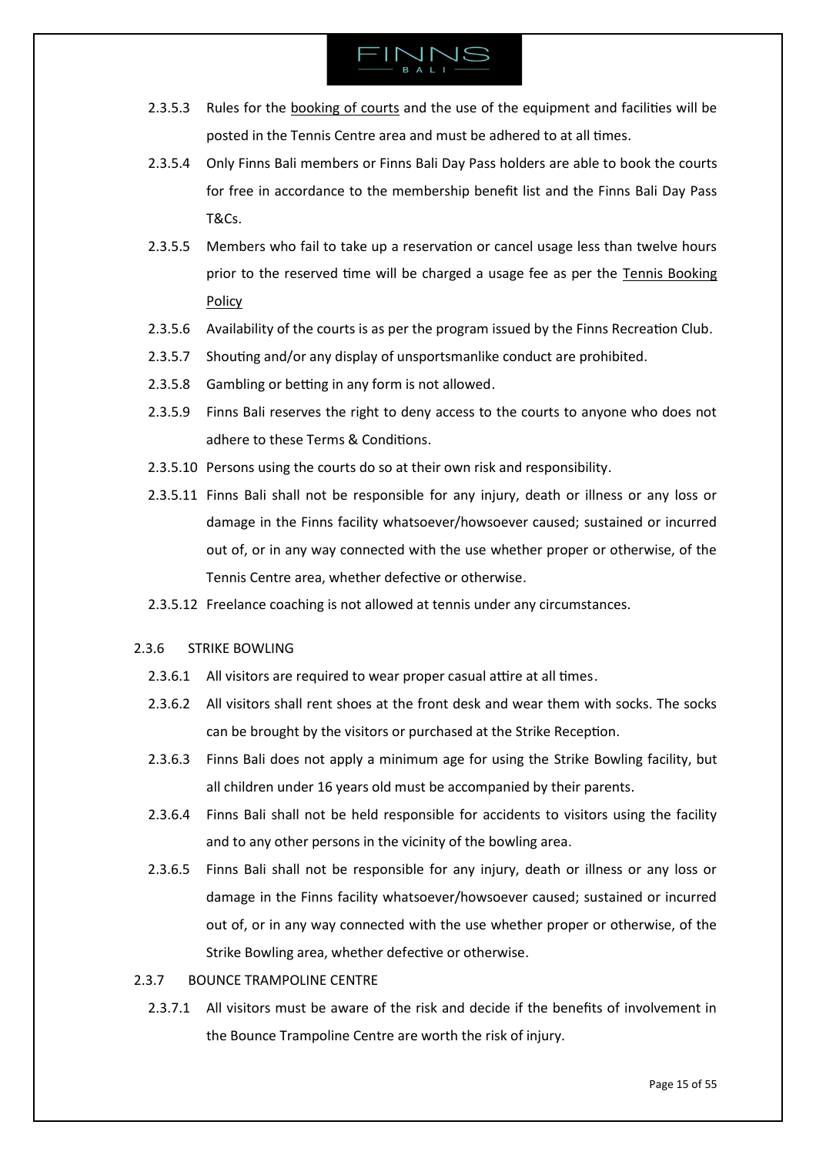- 2.3.5.3 Rules for the [booking](https://www.finnsrecclub.com/tennis/) of courts and the use of the equipment and facilities will be posted in the Tennis Centre area and must be adhered to at all times.
- 2.3.5.4 Only Finns Bali members or Finns Bali Day Pass holders are able to book the courts for free in accordance to the membership benefit list and the Finns Bali Day Pass T&Cs.
- 2.3.5.5 Members who fail to take up a reservation or cancel usage less than twelve hours prior to the reserved time will be charged a usage fee as per the Tennis [Booking](https://www.finnsrecclub.com/wp-content/uploads/2020/01/tennis-booking-policy.pdf) [Policy](https://www.finnsrecclub.com/wp-content/uploads/2020/01/tennis-booking-policy.pdf)
- 2.3.5.6 Availability of the courts is as per the program issued by the Finns Recreation Club.
- 2.3.5.7 Shouting and/or any display of unsportsmanlike conduct are prohibited.
- 2.3.5.8 Gambling or betting in any form is not allowed.
- 2.3.5.9 Finns Bali reserves the right to deny access to the courts to anyone who does not adhere to these Terms & Conditions.
- 2.3.5.10 Persons using the courts do so at their own risk and responsibility.
- 2.3.5.11 Finns Bali shall not be responsible for any injury, death or illness or any loss or damage in the Finns facility whatsoever/howsoever caused; sustained or incurred out of, or in any way connected with the use whether proper or otherwise, of the Tennis Centre area, whether defective or otherwise.
- 2.3.5.12 Freelance coaching is not allowed at tennis under any circumstances.

### 2.3.6 STRIKE BOWLING

- 2.3.6.1 All visitors are required to wear proper casual attire at all times.
- 2.3.6.2 All visitors shall rent shoes at the front desk and wear them with socks. The socks can be brought by the visitors or purchased at the Strike Reception.
- 2.3.6.3 Finns Bali does not apply a minimum age for using the Strike Bowling facility, but all children under 16 years old must be accompanied by their parents.
- 2.3.6.4 Finns Bali shall not be held responsible for accidents to visitors using the facility and to any other persons in the vicinity of the bowling area.
- 2.3.6.5 Finns Bali shall not be responsible for any injury, death or illness or any loss or damage in the Finns facility whatsoever/howsoever caused; sustained or incurred out of, or in any way connected with the use whether proper or otherwise, of the Strike Bowling area, whether defective or otherwise.

### 2.3.7 BOUNCE TRAMPOLINE CENTRE

2.3.7.1 All visitors must be aware of the risk and decide if the benefits of involvement in the Bounce Trampoline Centre are worth the risk of injury.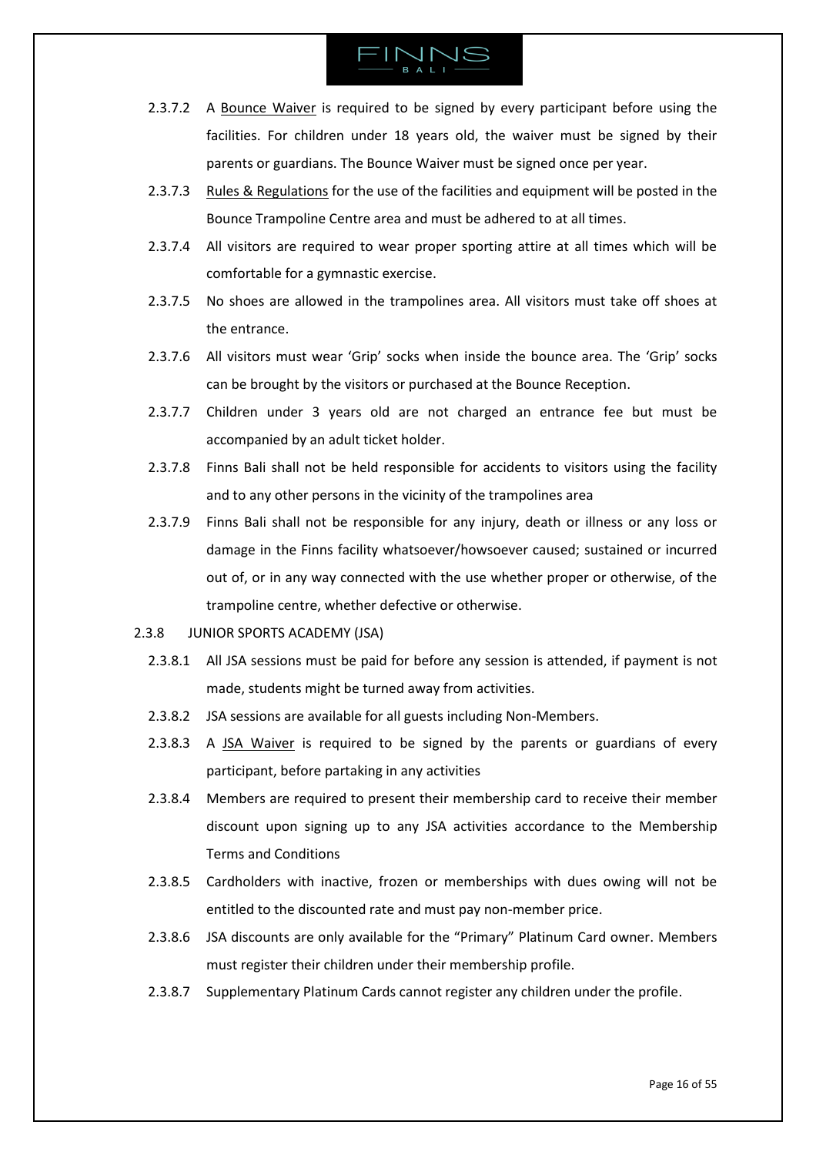- 2.3.7.2 A [Bounce Waiver](https://finnsbali.com/download/bounce-waiver.pdf) is required to be signed by every participant before using the facilities. For children under 18 years old, the waiver must be signed by their parents or guardians. The Bounce Waiver must be signed once per year.
- 2.3.7.3 [Rules & Regulations](https://www.bouncebali.com/rules/) for the use of the facilities and equipment will be posted in the Bounce Trampoline Centre area and must be adhered to at all times.
- 2.3.7.4 All visitors are required to wear proper sporting attire at all times which will be comfortable for a gymnastic exercise.
- 2.3.7.5 No shoes are allowed in the trampolines area. All visitors must take off shoes at the entrance.
- 2.3.7.6 All visitors must wear 'Grip' socks when inside the bounce area. The 'Grip' socks can be brought by the visitors or purchased at the Bounce Reception.
- 2.3.7.7 Children under 3 years old are not charged an entrance fee but must be accompanied by an adult ticket holder.
- 2.3.7.8 Finns Bali shall not be held responsible for accidents to visitors using the facility and to any other persons in the vicinity of the trampolines area
- 2.3.7.9 Finns Bali shall not be responsible for any injury, death or illness or any loss or damage in the Finns facility whatsoever/howsoever caused; sustained or incurred out of, or in any way connected with the use whether proper or otherwise, of the trampoline centre, whether defective or otherwise.
- 2.3.8 JUNIOR SPORTS ACADEMY (JSA)
	- 2.3.8.1 All JSA sessions must be paid for before any session is attended, if payment is not made, students might be turned away from activities.
	- 2.3.8.2 JSA sessions are available for all guests including Non-Members.
	- 2.3.8.3 A [JSA Waiver](https://finnsbali.com/download/jsa-waiver.pdf) is required to be signed by the parents or guardians of every participant, before partaking in any activities
	- 2.3.8.4 Members are required to present their membership card to receive their member discount upon signing up to any JSA activities accordance to the Membership Terms and Conditions
	- 2.3.8.5 Cardholders with inactive, frozen or memberships with dues owing will not be entitled to the discounted rate and must pay non-member price.
	- 2.3.8.6 JSA discounts are only available for the "Primary" Platinum Card owner. Members must register their children under their membership profile.
	- 2.3.8.7 Supplementary Platinum Cards cannot register any children under the profile.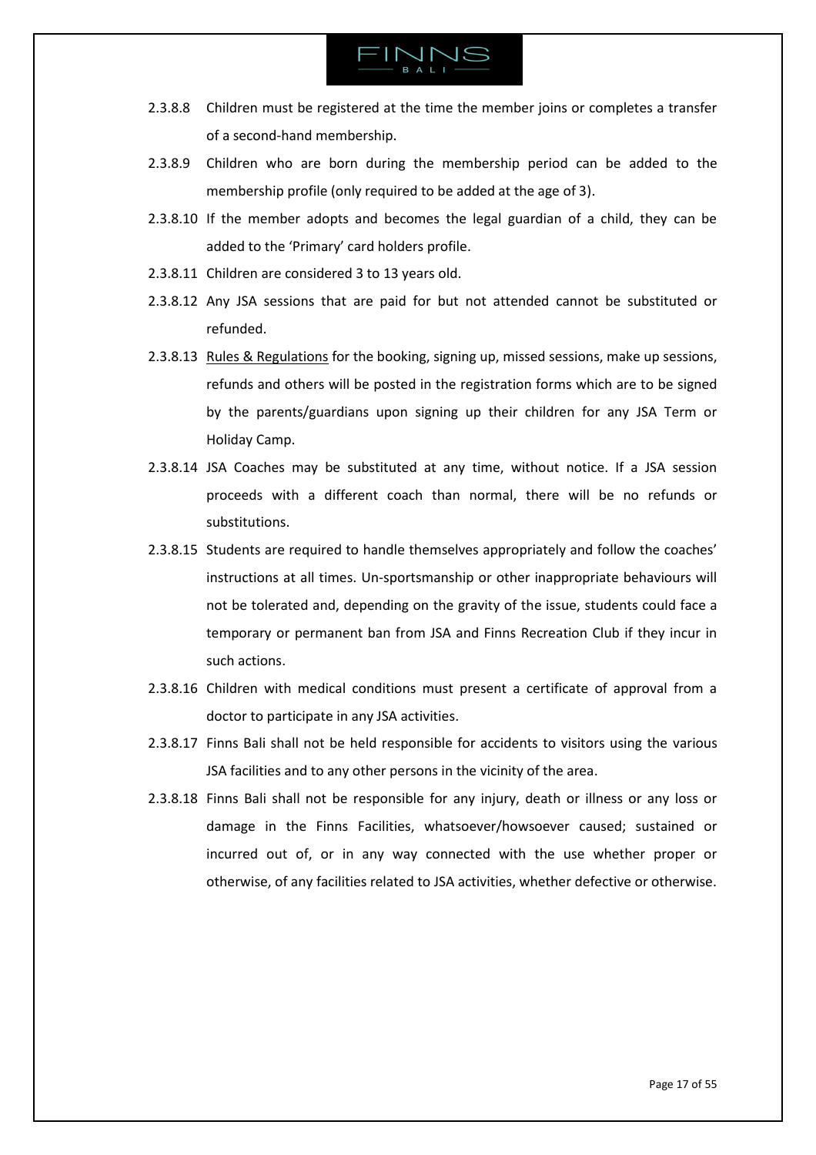

- 2.3.8.8 Children must be registered at the time the member joins or completes a transfer of a second-hand membership.
- 2.3.8.9 Children who are born during the membership period can be added to the membership profile (only required to be added at the age of 3).
- 2.3.8.10 If the member adopts and becomes the legal guardian of a child, they can be added to the 'Primary' card holders profile.
- 2.3.8.11 Children are considered 3 to 13 years old.
- 2.3.8.12 Any JSA sessions that are paid for but not attended cannot be substituted or refunded.
- 2.3.8.13 [Rules & Regulations](https://finnsbali.com/download/jsa-waiver.pdf) for the booking, signing up, missed sessions, make up sessions, refunds and others will be posted in the registration forms which are to be signed by the parents/guardians upon signing up their children for any JSA Term or Holiday Camp.
- 2.3.8.14 JSA Coaches may be substituted at any time, without notice. If a JSA session proceeds with a different coach than normal, there will be no refunds or substitutions.
- 2.3.8.15 Students are required to handle themselves appropriately and follow the coaches' instructions at all times. Un-sportsmanship or other inappropriate behaviours will not be tolerated and, depending on the gravity of the issue, students could face a temporary or permanent ban from JSA and Finns Recreation Club if they incur in such actions.
- 2.3.8.16 Children with medical conditions must present a certificate of approval from a doctor to participate in any JSA activities.
- 2.3.8.17 Finns Bali shall not be held responsible for accidents to visitors using the various JSA facilities and to any other persons in the vicinity of the area.
- 2.3.8.18 Finns Bali shall not be responsible for any injury, death or illness or any loss or damage in the Finns Facilities, whatsoever/howsoever caused; sustained or incurred out of, or in any way connected with the use whether proper or otherwise, of any facilities related to JSA activities, whether defective or otherwise.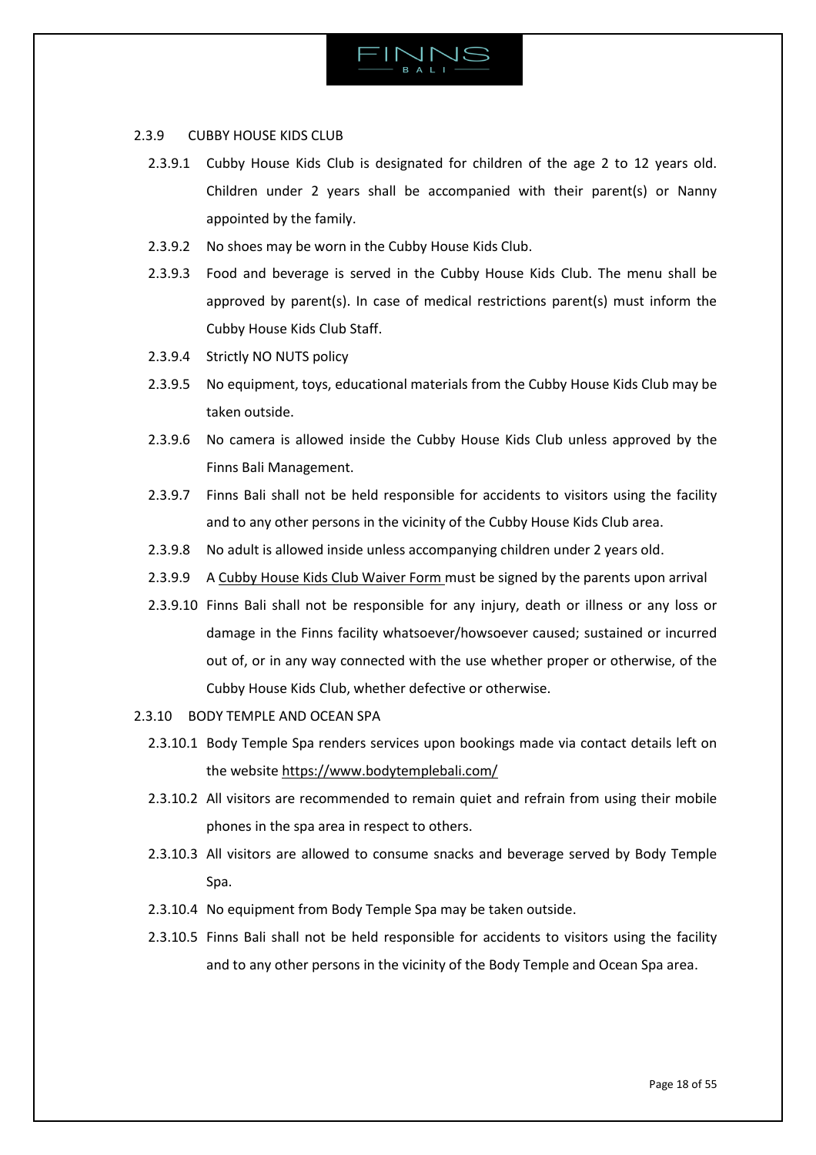

# 2.3.9 CUBBY HOUSE KIDS CLUB

- 2.3.9.1 Cubby House Kids Club is designated for children of the age 2 to 12 years old. Children under 2 years shall be accompanied with their parent(s) or Nanny appointed by the family.
- 2.3.9.2 No shoes may be worn in the Cubby House Kids Club.
- 2.3.9.3 Food and beverage is served in the Cubby House Kids Club. The menu shall be approved by parent(s). In case of medical restrictions parent(s) must inform the Cubby House Kids Club Staff.
- 2.3.9.4 Strictly NO NUTS policy
- 2.3.9.5 No equipment, toys, educational materials from the Cubby House Kids Club may be taken outside.
- 2.3.9.6 No camera is allowed inside the Cubby House Kids Club unless approved by the Finns Bali Management.
- 2.3.9.7 Finns Bali shall not be held responsible for accidents to visitors using the facility and to any other persons in the vicinity of the Cubby House Kids Club area.
- 2.3.9.8 No adult is allowed inside unless accompanying children under 2 years old.
- 2.3.9.9 A [Cubby House Kids Club Waiver Form](https://www.cubbyhousekidsclub.com/terms-and-conditions/waiver-disclosure/) must be signed by the parents upon arrival
- 2.3.9.10 Finns Bali shall not be responsible for any injury, death or illness or any loss or damage in the Finns facility whatsoever/howsoever caused; sustained or incurred out of, or in any way connected with the use whether proper or otherwise, of the Cubby House Kids Club, whether defective or otherwise.
- 2.3.10 BODY TEMPLE AND OCEAN SPA
	- 2.3.10.1 Body Temple Spa renders services upon bookings made via contact details left on the websit[e https://www.bodytemplebali.com/](https://www.bodytemplebali.com/)
	- 2.3.10.2 All visitors are recommended to remain quiet and refrain from using their mobile phones in the spa area in respect to others.
	- 2.3.10.3 All visitors are allowed to consume snacks and beverage served by Body Temple Spa.
	- 2.3.10.4 No equipment from Body Temple Spa may be taken outside.
	- 2.3.10.5 Finns Bali shall not be held responsible for accidents to visitors using the facility and to any other persons in the vicinity of the Body Temple and Ocean Spa area.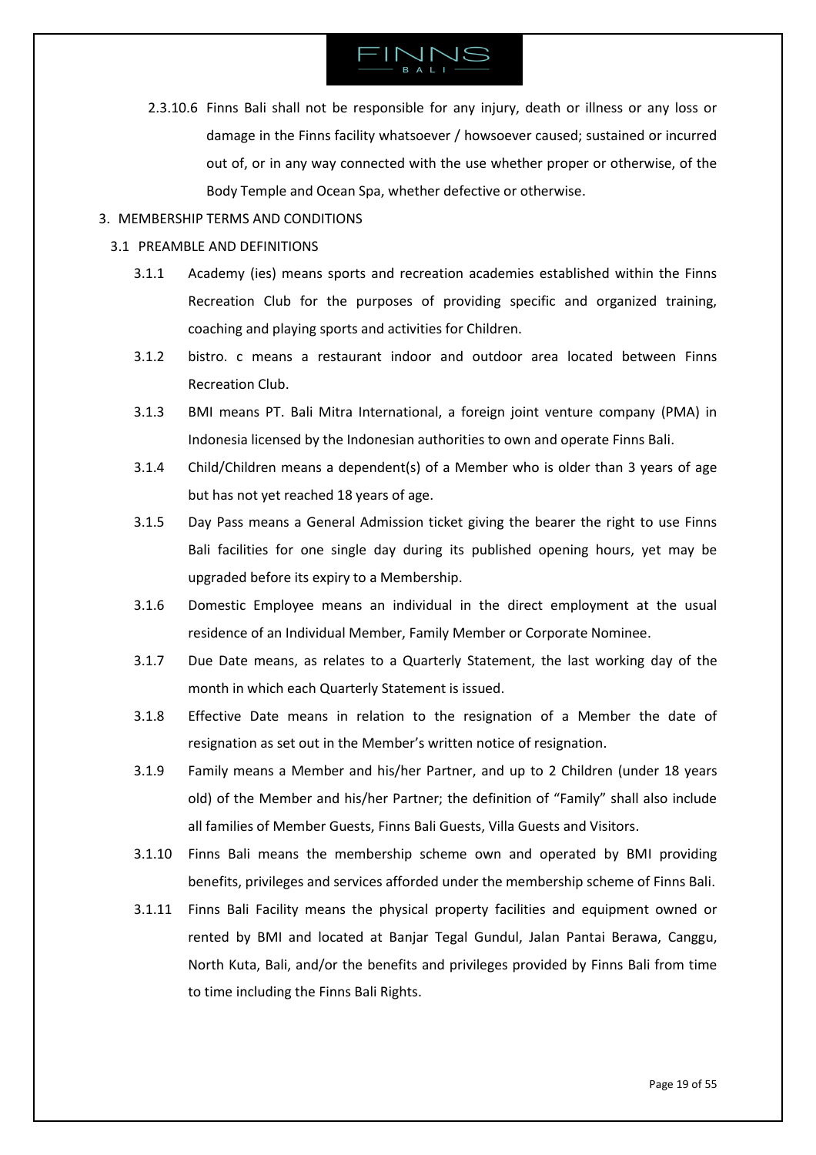

2.3.10.6 Finns Bali shall not be responsible for any injury, death or illness or any loss or damage in the Finns facility whatsoever / howsoever caused; sustained or incurred out of, or in any way connected with the use whether proper or otherwise, of the Body Temple and Ocean Spa, whether defective or otherwise.

### <span id="page-18-0"></span>3. MEMBERSHIP TERMS AND CONDITIONS

### <span id="page-18-1"></span>3.1 PREAMBLE AND DEFINITIONS

- 3.1.1 Academy (ies) means sports and recreation academies established within the Finns Recreation Club for the purposes of providing specific and organized training, coaching and playing sports and activities for Children.
- 3.1.2 bistro. c means a restaurant indoor and outdoor area located between Finns Recreation Club.
- 3.1.3 BMI means PT. Bali Mitra International, a foreign joint venture company (PMA) in Indonesia licensed by the Indonesian authorities to own and operate Finns Bali.
- 3.1.4 Child/Children means a dependent(s) of a Member who is older than 3 years of age but has not yet reached 18 years of age.
- 3.1.5 Day Pass means a General Admission ticket giving the bearer the right to use Finns Bali facilities for one single day during its published opening hours, yet may be upgraded before its expiry to a Membership.
- 3.1.6 Domestic Employee means an individual in the direct employment at the usual residence of an Individual Member, Family Member or Corporate Nominee.
- 3.1.7 Due Date means, as relates to a Quarterly Statement, the last working day of the month in which each Quarterly Statement is issued.
- 3.1.8 Effective Date means in relation to the resignation of a Member the date of resignation as set out in the Member's written notice of resignation.
- 3.1.9 Family means a Member and his/her Partner, and up to 2 Children (under 18 years old) of the Member and his/her Partner; the definition of "Family" shall also include all families of Member Guests, Finns Bali Guests, Villa Guests and Visitors.
- 3.1.10 Finns Bali means the membership scheme own and operated by BMI providing benefits, privileges and services afforded under the membership scheme of Finns Bali.
- 3.1.11 Finns Bali Facility means the physical property facilities and equipment owned or rented by BMI and located at Banjar Tegal Gundul, Jalan Pantai Berawa, Canggu, North Kuta, Bali, and/or the benefits and privileges provided by Finns Bali from time to time including the Finns Bali Rights.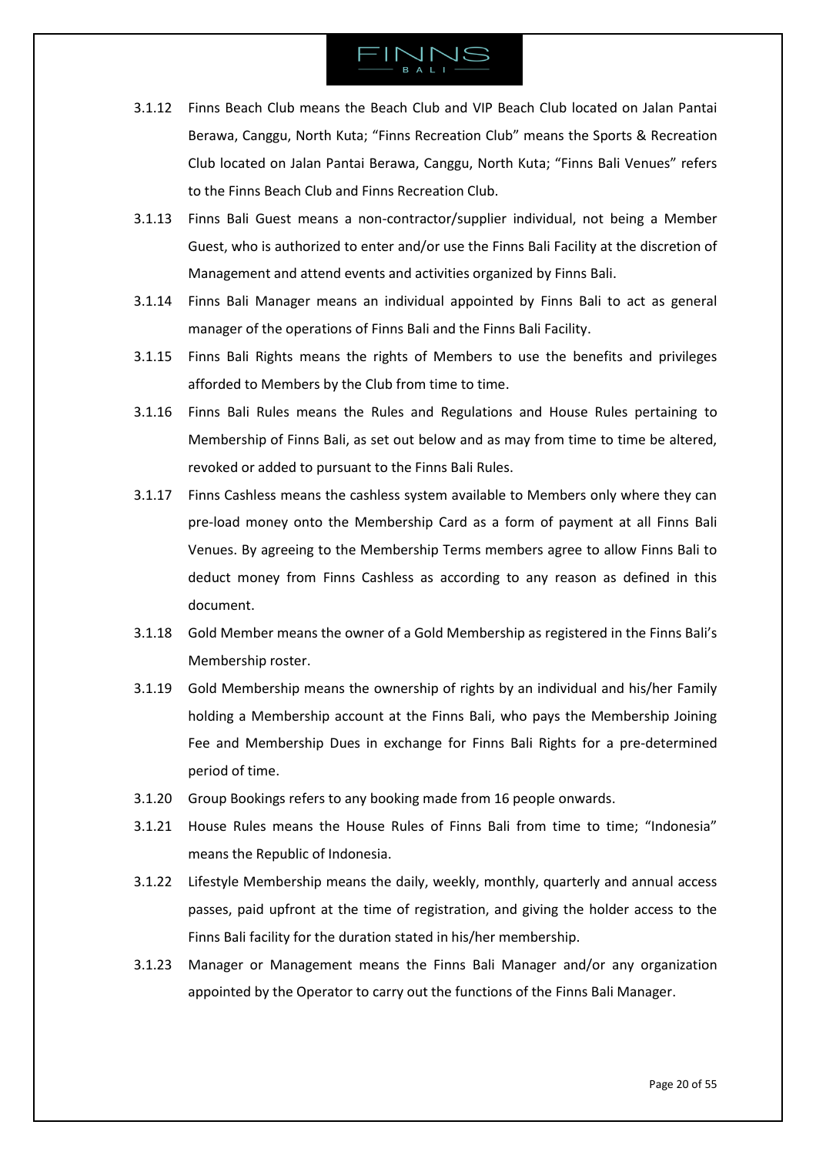- 3.1.12 Finns Beach Club means the Beach Club and VIP Beach Club located on Jalan Pantai Berawa, Canggu, North Kuta; "Finns Recreation Club" means the Sports & Recreation Club located on Jalan Pantai Berawa, Canggu, North Kuta; "Finns Bali Venues" refers to the Finns Beach Club and Finns Recreation Club.
- 3.1.13 Finns Bali Guest means a non-contractor/supplier individual, not being a Member Guest, who is authorized to enter and/or use the Finns Bali Facility at the discretion of Management and attend events and activities organized by Finns Bali.
- 3.1.14 Finns Bali Manager means an individual appointed by Finns Bali to act as general manager of the operations of Finns Bali and the Finns Bali Facility.
- 3.1.15 Finns Bali Rights means the rights of Members to use the benefits and privileges afforded to Members by the Club from time to time.
- 3.1.16 Finns Bali Rules means the Rules and Regulations and House Rules pertaining to Membership of Finns Bali, as set out below and as may from time to time be altered, revoked or added to pursuant to the Finns Bali Rules.
- 3.1.17 Finns Cashless means the cashless system available to Members only where they can pre-load money onto the Membership Card as a form of payment at all Finns Bali Venues. By agreeing to the Membership Terms members agree to allow Finns Bali to deduct money from Finns Cashless as according to any reason as defined in this document.
- 3.1.18 Gold Member means the owner of a Gold Membership as registered in the Finns Bali's Membership roster.
- 3.1.19 Gold Membership means the ownership of rights by an individual and his/her Family holding a Membership account at the Finns Bali, who pays the Membership Joining Fee and Membership Dues in exchange for Finns Bali Rights for a pre-determined period of time.
- 3.1.20 Group Bookings refers to any booking made from 16 people onwards.
- 3.1.21 House Rules means the House Rules of Finns Bali from time to time; "Indonesia" means the Republic of Indonesia.
- 3.1.22 Lifestyle Membership means the daily, weekly, monthly, quarterly and annual access passes, paid upfront at the time of registration, and giving the holder access to the Finns Bali facility for the duration stated in his/her membership.
- 3.1.23 Manager or Management means the Finns Bali Manager and/or any organization appointed by the Operator to carry out the functions of the Finns Bali Manager.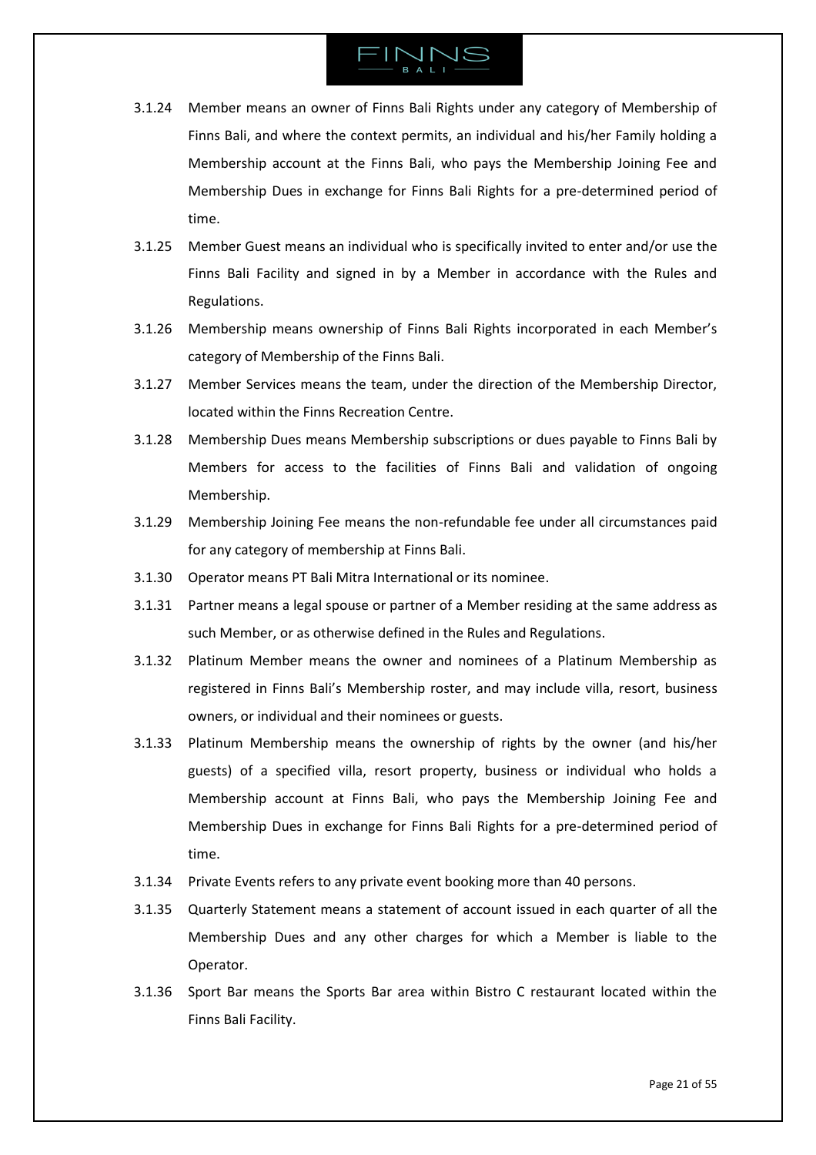- 3.1.24 Member means an owner of Finns Bali Rights under any category of Membership of Finns Bali, and where the context permits, an individual and his/her Family holding a Membership account at the Finns Bali, who pays the Membership Joining Fee and Membership Dues in exchange for Finns Bali Rights for a pre-determined period of time.
- 3.1.25 Member Guest means an individual who is specifically invited to enter and/or use the Finns Bali Facility and signed in by a Member in accordance with the Rules and Regulations.
- 3.1.26 Membership means ownership of Finns Bali Rights incorporated in each Member's category of Membership of the Finns Bali.
- 3.1.27 Member Services means the team, under the direction of the Membership Director, located within the Finns Recreation Centre.
- 3.1.28 Membership Dues means Membership subscriptions or dues payable to Finns Bali by Members for access to the facilities of Finns Bali and validation of ongoing Membership.
- 3.1.29 Membership Joining Fee means the non-refundable fee under all circumstances paid for any category of membership at Finns Bali.
- 3.1.30 Operator means PT Bali Mitra International or its nominee.
- 3.1.31 Partner means a legal spouse or partner of a Member residing at the same address as such Member, or as otherwise defined in the Rules and Regulations.
- 3.1.32 Platinum Member means the owner and nominees of a Platinum Membership as registered in Finns Bali's Membership roster, and may include villa, resort, business owners, or individual and their nominees or guests.
- 3.1.33 Platinum Membership means the ownership of rights by the owner (and his/her guests) of a specified villa, resort property, business or individual who holds a Membership account at Finns Bali, who pays the Membership Joining Fee and Membership Dues in exchange for Finns Bali Rights for a pre-determined period of time.
- 3.1.34 Private Events refers to any private event booking more than 40 persons.
- 3.1.35 Quarterly Statement means a statement of account issued in each quarter of all the Membership Dues and any other charges for which a Member is liable to the Operator.
- 3.1.36 Sport Bar means the Sports Bar area within Bistro C restaurant located within the Finns Bali Facility.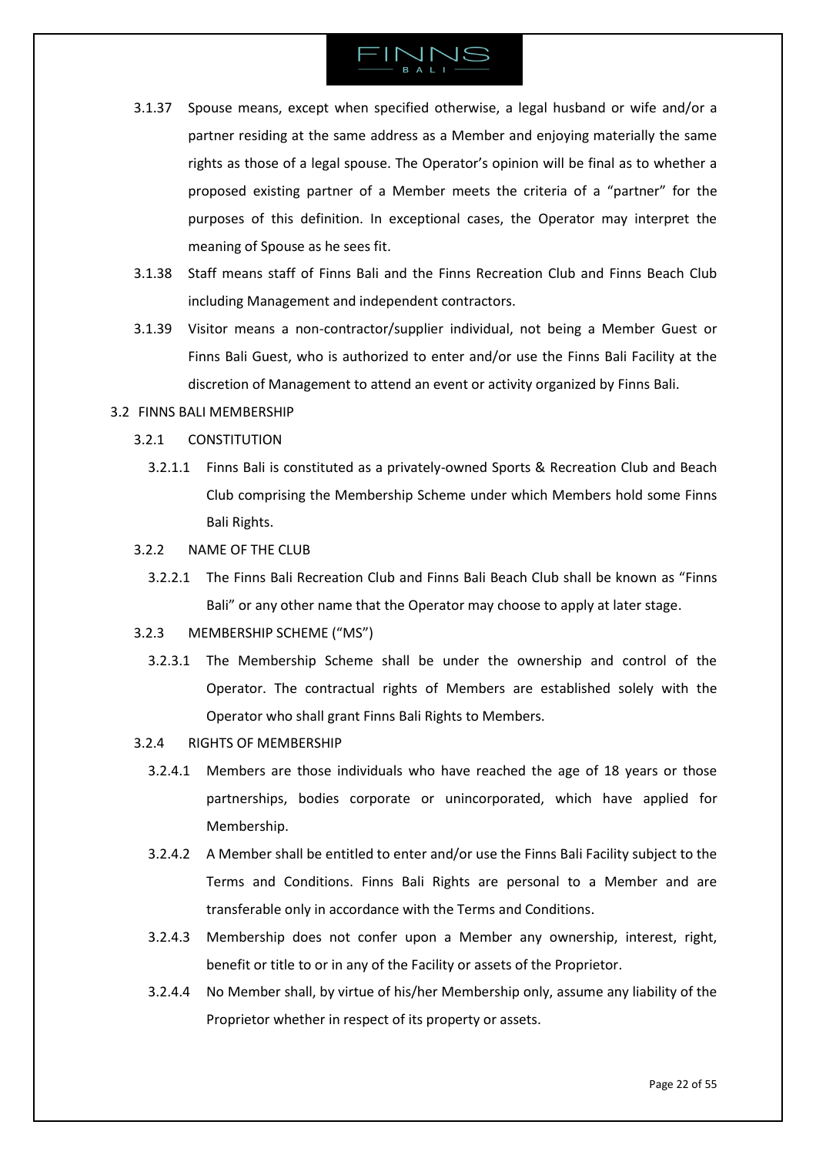- 3.1.37 Spouse means, except when specified otherwise, a legal husband or wife and/or a partner residing at the same address as a Member and enjoying materially the same rights as those of a legal spouse. The Operator's opinion will be final as to whether a proposed existing partner of a Member meets the criteria of a "partner" for the purposes of this definition. In exceptional cases, the Operator may interpret the meaning of Spouse as he sees fit.
- 3.1.38 Staff means staff of Finns Bali and the Finns Recreation Club and Finns Beach Club including Management and independent contractors.
- 3.1.39 Visitor means a non-contractor/supplier individual, not being a Member Guest or Finns Bali Guest, who is authorized to enter and/or use the Finns Bali Facility at the discretion of Management to attend an event or activity organized by Finns Bali.

### <span id="page-21-0"></span>3.2 FINNS BALI MEMBERSHIP

- 3.2.1 CONSTITUTION
	- 3.2.1.1 Finns Bali is constituted as a privately-owned Sports & Recreation Club and Beach Club comprising the Membership Scheme under which Members hold some Finns Bali Rights.
- 3.2.2 NAME OF THE CLUB
	- 3.2.2.1 The Finns Bali Recreation Club and Finns Bali Beach Club shall be known as "Finns Bali" or any other name that the Operator may choose to apply at later stage.
- 3.2.3 MEMBERSHIP SCHEME ("MS")
	- 3.2.3.1 The Membership Scheme shall be under the ownership and control of the Operator. The contractual rights of Members are established solely with the Operator who shall grant Finns Bali Rights to Members.
- 3.2.4 RIGHTS OF MEMBERSHIP
	- 3.2.4.1 Members are those individuals who have reached the age of 18 years or those partnerships, bodies corporate or unincorporated, which have applied for Membership.
	- 3.2.4.2 A Member shall be entitled to enter and/or use the Finns Bali Facility subject to the Terms and Conditions. Finns Bali Rights are personal to a Member and are transferable only in accordance with the Terms and Conditions.
	- 3.2.4.3 Membership does not confer upon a Member any ownership, interest, right, benefit or title to or in any of the Facility or assets of the Proprietor.
	- 3.2.4.4 No Member shall, by virtue of his/her Membership only, assume any liability of the Proprietor whether in respect of its property or assets.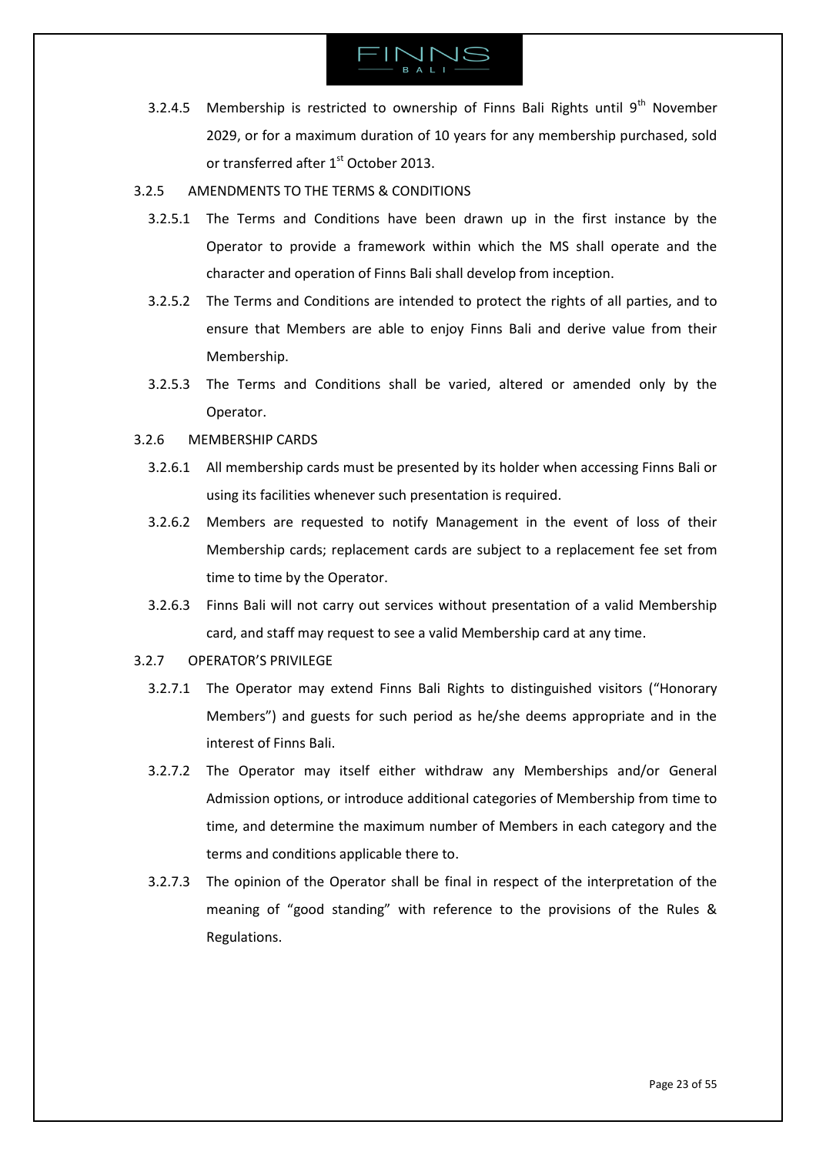

- 3.2.4.5 Membership is restricted to ownership of Finns Bali Rights until  $9<sup>th</sup>$  November 2029, or for a maximum duration of 10 years for any membership purchased, sold or transferred after 1<sup>st</sup> October 2013.
- 3.2.5 AMENDMENTS TO THE TERMS & CONDITIONS
	- 3.2.5.1 The Terms and Conditions have been drawn up in the first instance by the Operator to provide a framework within which the MS shall operate and the character and operation of Finns Bali shall develop from inception.
	- 3.2.5.2 The Terms and Conditions are intended to protect the rights of all parties, and to ensure that Members are able to enjoy Finns Bali and derive value from their Membership.
	- 3.2.5.3 The Terms and Conditions shall be varied, altered or amended only by the Operator.
- 3.2.6 MEMBERSHIP CARDS
	- 3.2.6.1 All membership cards must be presented by its holder when accessing Finns Bali or using its facilities whenever such presentation is required.
	- 3.2.6.2 Members are requested to notify Management in the event of loss of their Membership cards; replacement cards are subject to a replacement fee set from time to time by the Operator.
	- 3.2.6.3 Finns Bali will not carry out services without presentation of a valid Membership card, and staff may request to see a valid Membership card at any time.

# 3.2.7 OPERATOR'S PRIVILEGE

- 3.2.7.1 The Operator may extend Finns Bali Rights to distinguished visitors ("Honorary Members") and guests for such period as he/she deems appropriate and in the interest of Finns Bali.
- 3.2.7.2 The Operator may itself either withdraw any Memberships and/or General Admission options, or introduce additional categories of Membership from time to time, and determine the maximum number of Members in each category and the terms and conditions applicable there to.
- 3.2.7.3 The opinion of the Operator shall be final in respect of the interpretation of the meaning of "good standing" with reference to the provisions of the Rules & Regulations.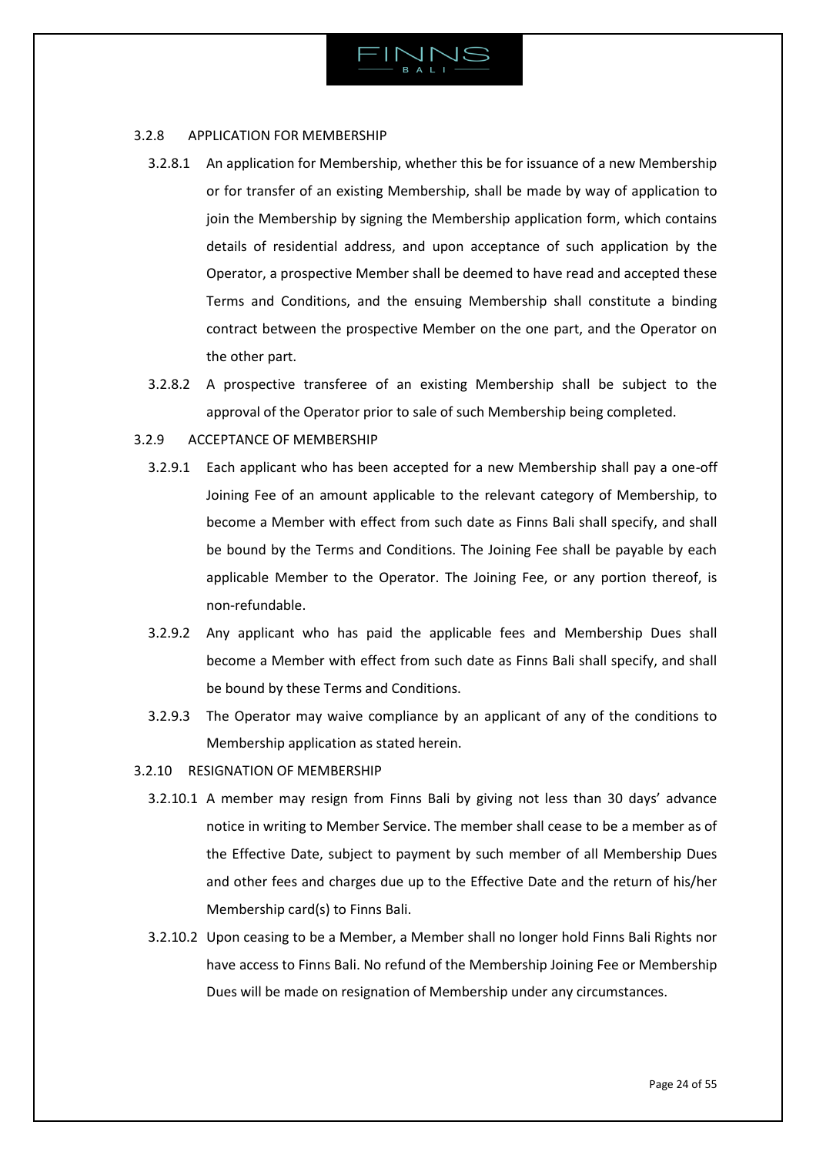

# 3.2.8 APPLICATION FOR MEMBERSHIP

- 3.2.8.1 An application for Membership, whether this be for issuance of a new Membership or for transfer of an existing Membership, shall be made by way of application to join the Membership by signing the Membership application form, which contains details of residential address, and upon acceptance of such application by the Operator, a prospective Member shall be deemed to have read and accepted these Terms and Conditions, and the ensuing Membership shall constitute a binding contract between the prospective Member on the one part, and the Operator on the other part.
- 3.2.8.2 A prospective transferee of an existing Membership shall be subject to the approval of the Operator prior to sale of such Membership being completed.

# 3.2.9 ACCEPTANCE OF MEMBERSHIP

- 3.2.9.1 Each applicant who has been accepted for a new Membership shall pay a one-off Joining Fee of an amount applicable to the relevant category of Membership, to become a Member with effect from such date as Finns Bali shall specify, and shall be bound by the Terms and Conditions. The Joining Fee shall be payable by each applicable Member to the Operator. The Joining Fee, or any portion thereof, is non-refundable.
- 3.2.9.2 Any applicant who has paid the applicable fees and Membership Dues shall become a Member with effect from such date as Finns Bali shall specify, and shall be bound by these Terms and Conditions.
- 3.2.9.3 The Operator may waive compliance by an applicant of any of the conditions to Membership application as stated herein.
- 3.2.10 RESIGNATION OF MEMBERSHIP
	- 3.2.10.1 A member may resign from Finns Bali by giving not less than 30 days' advance notice in writing to Member Service. The member shall cease to be a member as of the Effective Date, subject to payment by such member of all Membership Dues and other fees and charges due up to the Effective Date and the return of his/her Membership card(s) to Finns Bali.
	- 3.2.10.2 Upon ceasing to be a Member, a Member shall no longer hold Finns Bali Rights nor have access to Finns Bali. No refund of the Membership Joining Fee or Membership Dues will be made on resignation of Membership under any circumstances.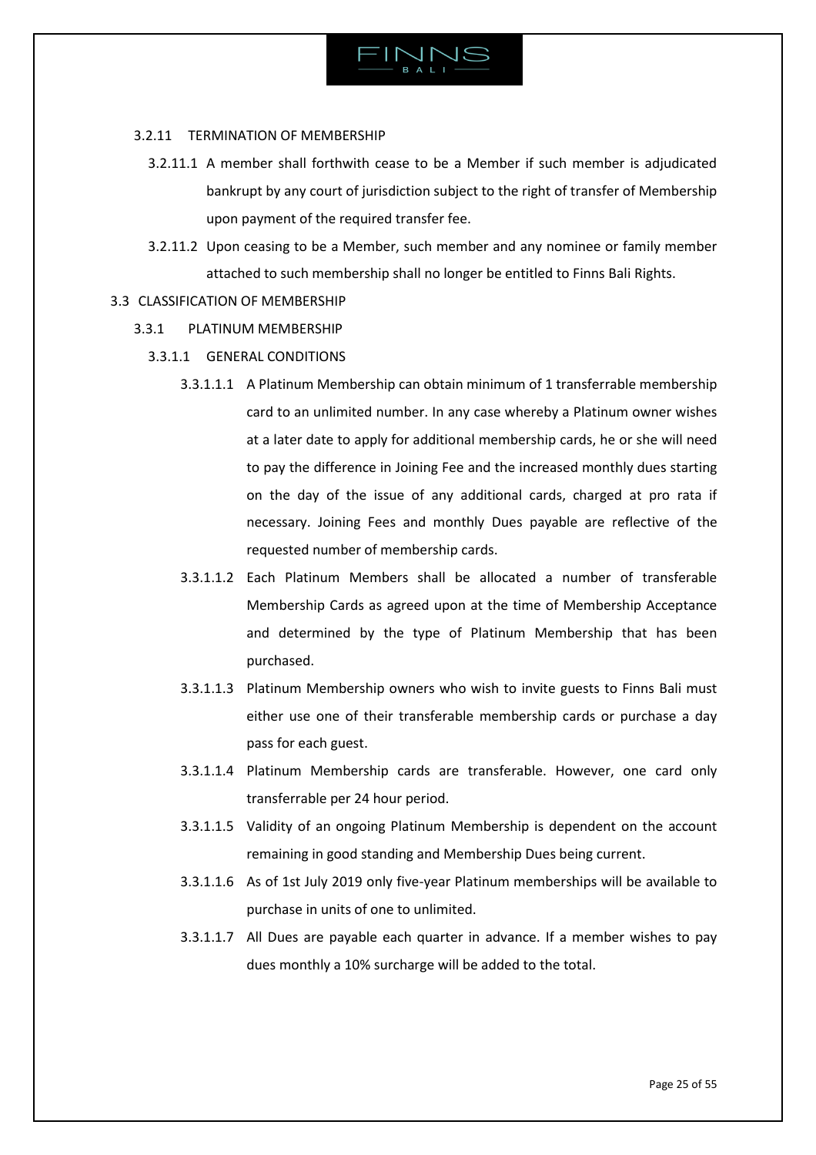

# 3.2.11 TERMINATION OF MEMBERSHIP

- 3.2.11.1 A member shall forthwith cease to be a Member if such member is adjudicated bankrupt by any court of jurisdiction subject to the right of transfer of Membership upon payment of the required transfer fee.
- 3.2.11.2 Upon ceasing to be a Member, such member and any nominee or family member attached to such membership shall no longer be entitled to Finns Bali Rights.
- <span id="page-24-0"></span>3.3 CLASSIFICATION OF MEMBERSHIP
	- 3.3.1 PLATINUM MEMBERSHIP
		- 3.3.1.1 GENERAL CONDITIONS
			- 3.3.1.1.1 A Platinum Membership can obtain minimum of 1 transferrable membership card to an unlimited number. In any case whereby a Platinum owner wishes at a later date to apply for additional membership cards, he or she will need to pay the difference in Joining Fee and the increased monthly dues starting on the day of the issue of any additional cards, charged at pro rata if necessary. Joining Fees and monthly Dues payable are reflective of the requested number of membership cards.
			- 3.3.1.1.2 Each Platinum Members shall be allocated a number of transferable Membership Cards as agreed upon at the time of Membership Acceptance and determined by the type of Platinum Membership that has been purchased.
			- 3.3.1.1.3 Platinum Membership owners who wish to invite guests to Finns Bali must either use one of their transferable membership cards or purchase a day pass for each guest.
			- 3.3.1.1.4 Platinum Membership cards are transferable. However, one card only transferrable per 24 hour period.
			- 3.3.1.1.5 Validity of an ongoing Platinum Membership is dependent on the account remaining in good standing and Membership Dues being current.
			- 3.3.1.1.6 As of 1st July 2019 only five-year Platinum memberships will be available to purchase in units of one to unlimited.
			- 3.3.1.1.7 All Dues are payable each quarter in advance. If a member wishes to pay dues monthly a 10% surcharge will be added to the total.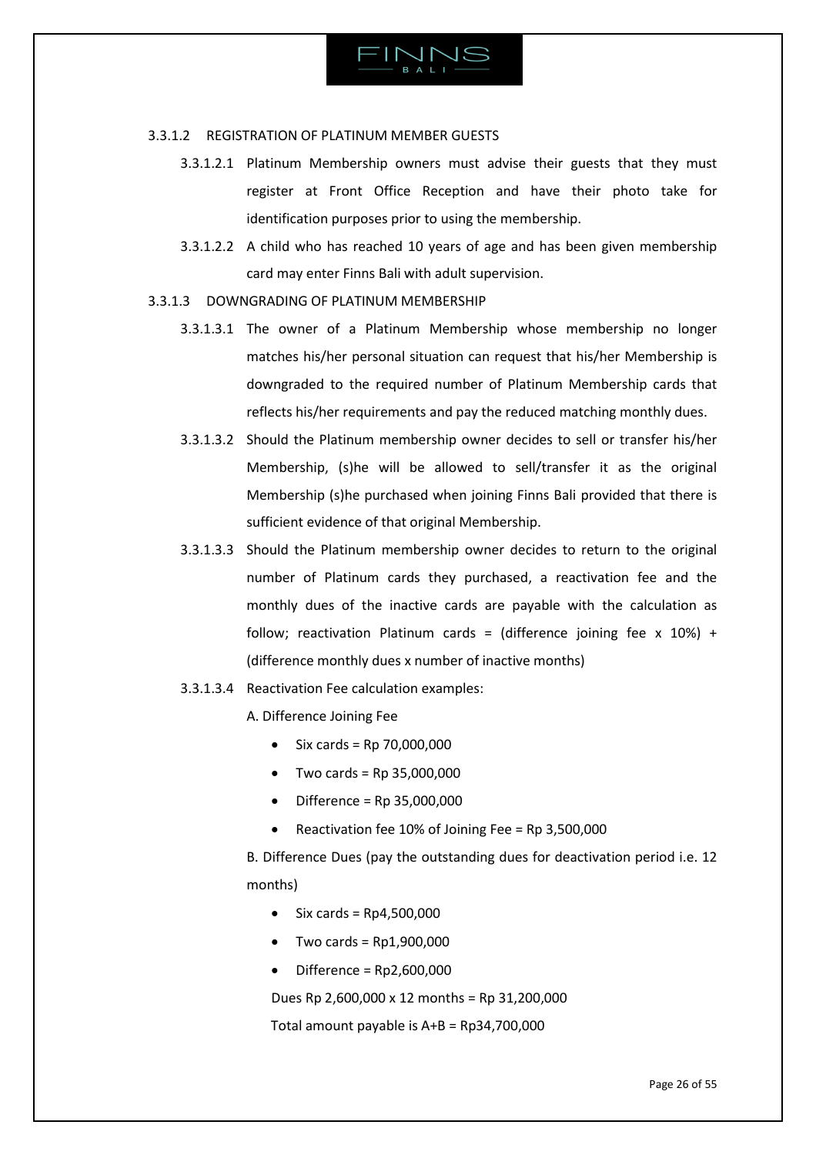

### 3.3.1.2 REGISTRATION OF PLATINUM MEMBER GUESTS

- 3.3.1.2.1 Platinum Membership owners must advise their guests that they must register at Front Office Reception and have their photo take for identification purposes prior to using the membership.
- 3.3.1.2.2 A child who has reached 10 years of age and has been given membership card may enter Finns Bali with adult supervision.
- 3.3.1.3 DOWNGRADING OF PLATINUM MEMBERSHIP
	- 3.3.1.3.1 The owner of a Platinum Membership whose membership no longer matches his/her personal situation can request that his/her Membership is downgraded to the required number of Platinum Membership cards that reflects his/her requirements and pay the reduced matching monthly dues.
	- 3.3.1.3.2 Should the Platinum membership owner decides to sell or transfer his/her Membership, (s)he will be allowed to sell/transfer it as the original Membership (s)he purchased when joining Finns Bali provided that there is sufficient evidence of that original Membership.
	- 3.3.1.3.3 Should the Platinum membership owner decides to return to the original number of Platinum cards they purchased, a reactivation fee and the monthly dues of the inactive cards are payable with the calculation as follow; reactivation Platinum cards = (difference joining fee x  $10\%$ ) + (difference monthly dues x number of inactive months)
	- 3.3.1.3.4 Reactivation Fee calculation examples:
		- A. Difference Joining Fee
			- Six cards = Rp 70,000,000
			- $\bullet$  Two cards = Rp 35,000,000
			- $\bullet$  Difference = Rp 35,000,000
			- Reactivation fee 10% of Joining Fee = Rp 3,500,000

<span id="page-25-0"></span>B. Difference Dues (pay the outstanding dues for deactivation period i.e. 12 months)

- $\bullet$  Six cards = Rp4,500,000
- Two cards = Rp1,900,000
- Difference = Rp2,600,000

Dues Rp 2,600,000 x 12 months = Rp 31,200,000

Total amount payable is A+B = Rp34,700,000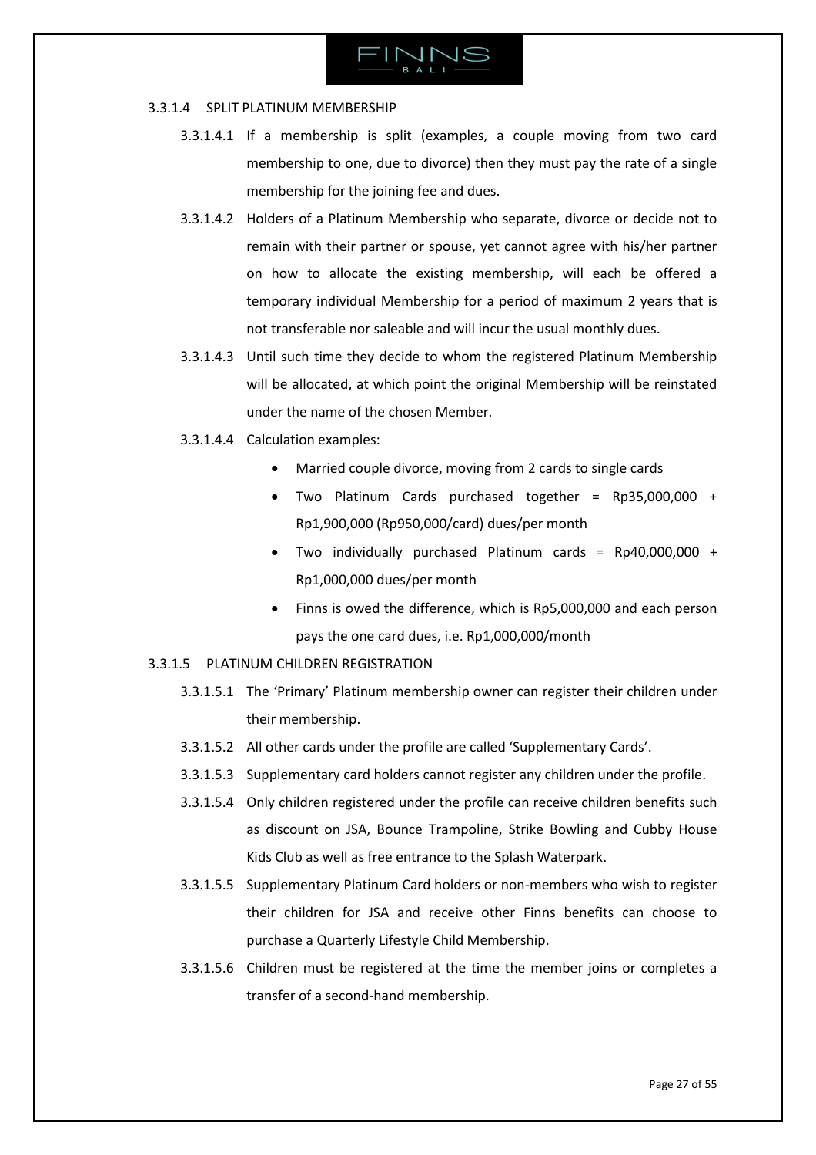

### 3.3.1.4 SPLIT PLATINUM MEMBERSHIP

- 3.3.1.4.1 If a membership is split (examples, a couple moving from two card membership to one, due to divorce) then they must pay the rate of a single membership for the joining fee and dues.
- 3.3.1.4.2 Holders of a Platinum Membership who separate, divorce or decide not to remain with their partner or spouse, yet cannot agree with his/her partner on how to allocate the existing membership, will each be offered a temporary individual Membership for a period of maximum 2 years that is not transferable nor saleable and will incur the usual monthly dues.
- 3.3.1.4.3 Until such time they decide to whom the registered Platinum Membership will be allocated, at which point the original Membership will be reinstated under the name of the chosen Member.
- 3.3.1.4.4 Calculation examples:
	- Married couple divorce, moving from 2 cards to single cards
	- Two Platinum Cards purchased together = Rp35,000,000 + Rp1,900,000 (Rp950,000/card) dues/per month
	- Two individually purchased Platinum cards = Rp40,000,000 + Rp1,000,000 dues/per month
	- Finns is owed the difference, which is Rp5,000,000 and each person pays the one card dues, i.e. Rp1,000,000/month
- <span id="page-26-0"></span>3.3.1.5 PLATINUM CHILDREN REGISTRATION
	- 3.3.1.5.1 The 'Primary' Platinum membership owner can register their children under their membership.
	- 3.3.1.5.2 All other cards under the profile are called 'Supplementary Cards'.
	- 3.3.1.5.3 Supplementary card holders cannot register any children under the profile.
	- 3.3.1.5.4 Only children registered under the profile can receive children benefits such as discount on JSA, Bounce Trampoline, Strike Bowling and Cubby House Kids Club as well as free entrance to the Splash Waterpark.
	- 3.3.1.5.5 Supplementary Platinum Card holders or non-members who wish to register their children for JSA and receive other Finns benefits can choose to purchase a Quarterly Lifestyle Child Membership.
	- 3.3.1.5.6 Children must be registered at the time the member joins or completes a transfer of a second-hand membership.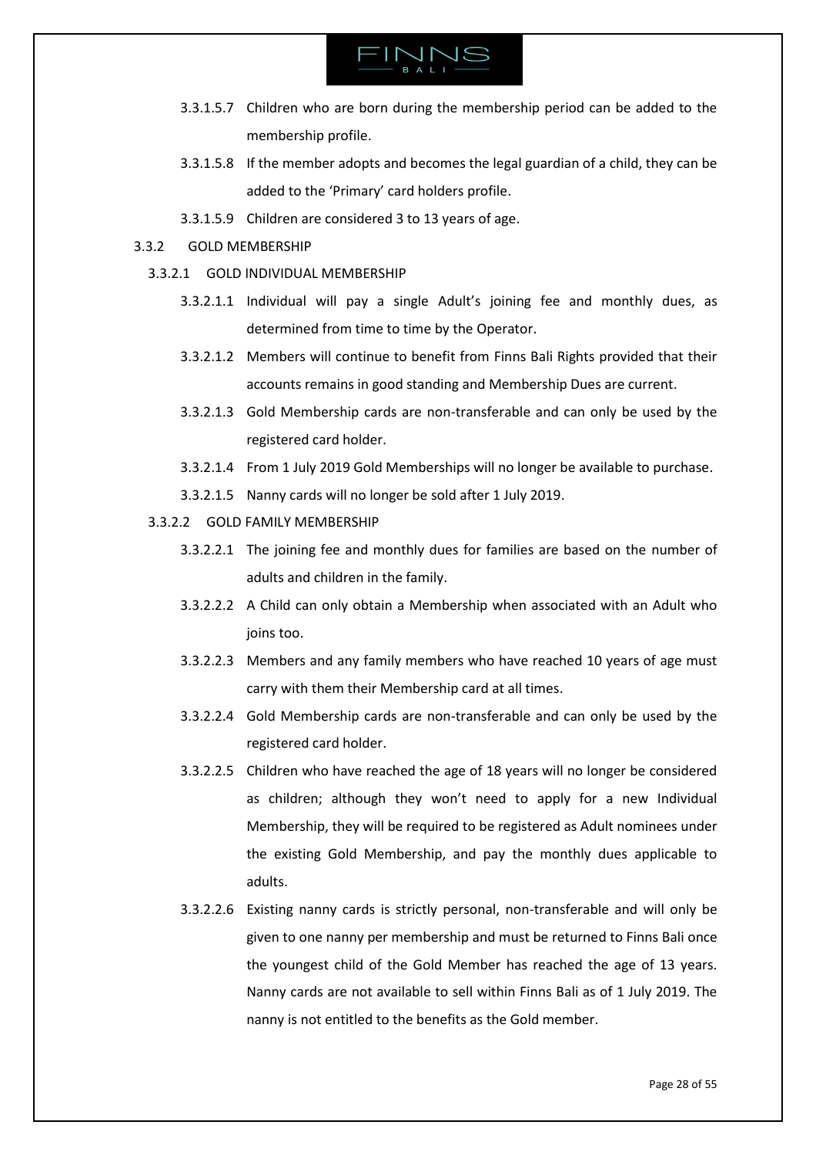

- 3.3.1.5.7 Children who are born during the membership period can be added to the membership profile.
- 3.3.1.5.8 If the member adopts and becomes the legal guardian of a child, they can be added to the 'Primary' card holders profile.
- 3.3.1.5.9 Children are considered 3 to 13 years of age.
- 3.3.2 GOLD MEMBERSHIP
	- 3.3.2.1 GOLD INDIVIDUAL MEMBERSHIP
		- 3.3.2.1.1 Individual will pay a single Adult's joining fee and monthly dues, as determined from time to time by the Operator.
		- 3.3.2.1.2 Members will continue to benefit from Finns Bali Rights provided that their accounts remains in good standing and Membership Dues are current.
		- 3.3.2.1.3 Gold Membership cards are non-transferable and can only be used by the registered card holder.
		- 3.3.2.1.4 From 1 July 2019 Gold Memberships will no longer be available to purchase.
		- 3.3.2.1.5 Nanny cards will no longer be sold after 1 July 2019.
	- 3.3.2.2 GOLD FAMILY MEMBERSHIP
		- 3.3.2.2.1 The joining fee and monthly dues for families are based on the number of adults and children in the family.
		- 3.3.2.2.2 A Child can only obtain a Membership when associated with an Adult who joins too.
		- 3.3.2.2.3 Members and any family members who have reached 10 years of age must carry with them their Membership card at all times.
		- 3.3.2.2.4 Gold Membership cards are non-transferable and can only be used by the registered card holder.
		- 3.3.2.2.5 Children who have reached the age of 18 years will no longer be considered as children; although they won't need to apply for a new Individual Membership, they will be required to be registered as Adult nominees under the existing Gold Membership, and pay the monthly dues applicable to adults.
		- 3.3.2.2.6 Existing nanny cards is strictly personal, non-transferable and will only be given to one nanny per membership and must be returned to Finns Bali once the youngest child of the Gold Member has reached the age of 13 years. Nanny cards are not available to sell within Finns Bali as of 1 July 2019. The nanny is not entitled to the benefits as the Gold member.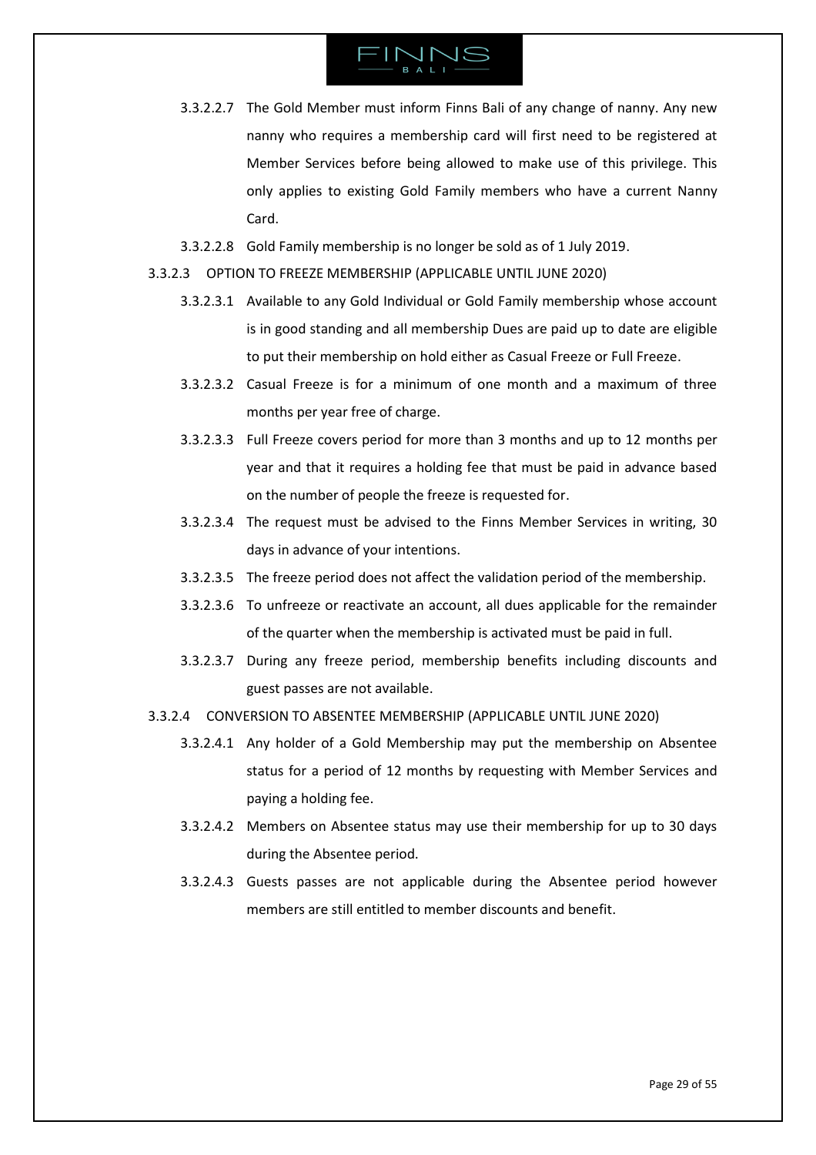- 3.3.2.2.7 The Gold Member must inform Finns Bali of any change of nanny. Any new nanny who requires a membership card will first need to be registered at Member Services before being allowed to make use of this privilege. This only applies to existing Gold Family members who have a current Nanny Card.
- 3.3.2.2.8 Gold Family membership is no longer be sold as of 1 July 2019.
- <span id="page-28-0"></span>3.3.2.3 OPTION TO FREEZE MEMBERSHIP (APPLICABLE UNTIL JUNE 2020)
	- 3.3.2.3.1 Available to any Gold Individual or Gold Family membership whose account is in good standing and all membership Dues are paid up to date are eligible to put their membership on hold either as Casual Freeze or Full Freeze.
	- 3.3.2.3.2 Casual Freeze is for a minimum of one month and a maximum of three months per year free of charge.
	- 3.3.2.3.3 Full Freeze covers period for more than 3 months and up to 12 months per year and that it requires a holding fee that must be paid in advance based on the number of people the freeze is requested for.
	- 3.3.2.3.4 The request must be advised to the Finns Member Services in writing, 30 days in advance of your intentions.
	- 3.3.2.3.5 The freeze period does not affect the validation period of the membership.
	- 3.3.2.3.6 To unfreeze or reactivate an account, all dues applicable for the remainder of the quarter when the membership is activated must be paid in full.
	- 3.3.2.3.7 During any freeze period, membership benefits including discounts and guest passes are not available.
- 3.3.2.4 CONVERSION TO ABSENTEE MEMBERSHIP (APPLICABLE UNTIL JUNE 2020)
	- 3.3.2.4.1 Any holder of a Gold Membership may put the membership on Absentee status for a period of 12 months by requesting with Member Services and paying a holding fee.
	- 3.3.2.4.2 Members on Absentee status may use their membership for up to 30 days during the Absentee period.
	- 3.3.2.4.3 Guests passes are not applicable during the Absentee period however members are still entitled to member discounts and benefit.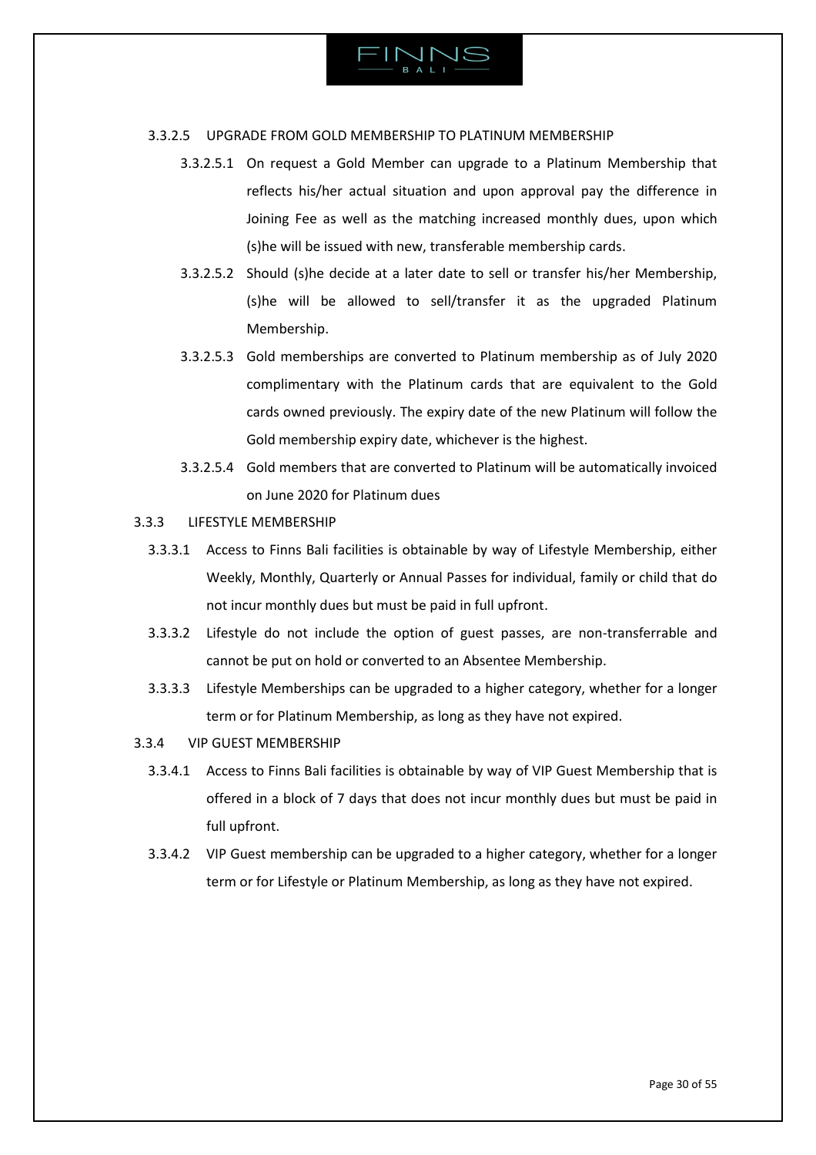

# 3.3.2.5 UPGRADE FROM GOLD MEMBERSHIP TO PLATINUM MEMBERSHIP

- 3.3.2.5.1 On request a Gold Member can upgrade to a Platinum Membership that reflects his/her actual situation and upon approval pay the difference in Joining Fee as well as the matching increased monthly dues, upon which (s)he will be issued with new, transferable membership cards.
- 3.3.2.5.2 Should (s)he decide at a later date to sell or transfer his/her Membership, (s)he will be allowed to sell/transfer it as the upgraded Platinum Membership.
- 3.3.2.5.3 Gold memberships are converted to Platinum membership as of July 2020 complimentary with the Platinum cards that are equivalent to the Gold cards owned previously. The expiry date of the new Platinum will follow the Gold membership expiry date, whichever is the highest.
- 3.3.2.5.4 Gold members that are converted to Platinum will be automatically invoiced on June 2020 for Platinum dues
- 3.3.3 LIFESTYLE MEMBERSHIP
	- 3.3.3.1 Access to Finns Bali facilities is obtainable by way of Lifestyle Membership, either Weekly, Monthly, Quarterly or Annual Passes for individual, family or child that do not incur monthly dues but must be paid in full upfront.
	- 3.3.3.2 Lifestyle do not include the option of guest passes, are non-transferrable and cannot be put on hold or converted to an Absentee Membership.
	- 3.3.3.3 Lifestyle Memberships can be upgraded to a higher category, whether for a longer term or for Platinum Membership, as long as they have not expired.
- 3.3.4 VIP GUEST MEMBERSHIP
	- 3.3.4.1 Access to Finns Bali facilities is obtainable by way of VIP Guest Membership that is offered in a block of 7 days that does not incur monthly dues but must be paid in full upfront.
	- 3.3.4.2 VIP Guest membership can be upgraded to a higher category, whether for a longer term or for Lifestyle or Platinum Membership, as long as they have not expired.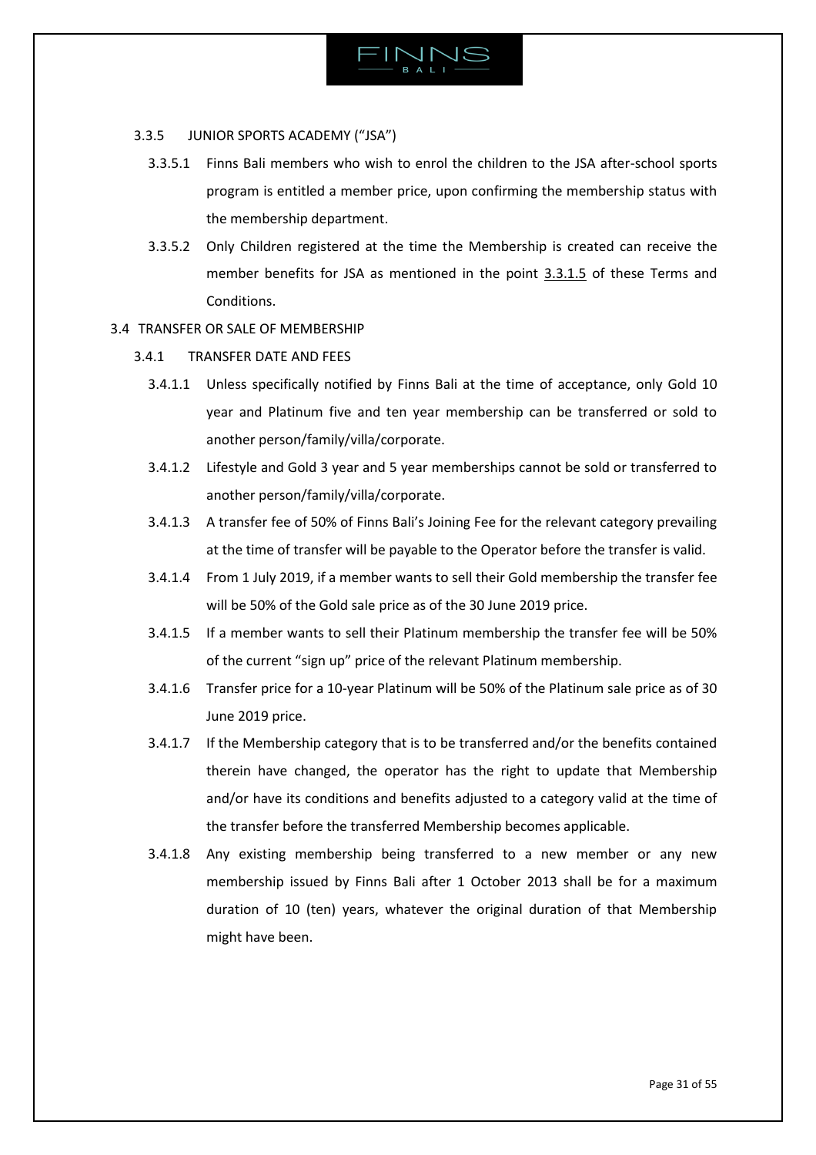

# 3.3.5 JUNIOR SPORTS ACADEMY ("JSA")

- 3.3.5.1 Finns Bali members who wish to enrol the children to the JSA after-school sports program is entitled a member price, upon confirming the membership status with the membership department.
- 3.3.5.2 Only Children registered at the time the Membership is created can receive the member benefits for JSA as mentioned in the point [3.3.1.5](#page-26-0) of these Terms and Conditions.

# <span id="page-30-0"></span>3.4 TRANSFER OR SALE OF MEMBERSHIP

- 3.4.1 TRANSFER DATE AND FEES
	- 3.4.1.1 Unless specifically notified by Finns Bali at the time of acceptance, only Gold 10 year and Platinum five and ten year membership can be transferred or sold to another person/family/villa/corporate.
	- 3.4.1.2 Lifestyle and Gold 3 year and 5 year memberships cannot be sold or transferred to another person/family/villa/corporate.
	- 3.4.1.3 A transfer fee of 50% of Finns Bali's Joining Fee for the relevant category prevailing at the time of transfer will be payable to the Operator before the transfer is valid.
	- 3.4.1.4 From 1 July 2019, if a member wants to sell their Gold membership the transfer fee will be 50% of the Gold sale price as of the 30 June 2019 price.
	- 3.4.1.5 If a member wants to sell their Platinum membership the transfer fee will be 50% of the current "sign up" price of the relevant Platinum membership.
	- 3.4.1.6 Transfer price for a 10-year Platinum will be 50% of the Platinum sale price as of 30 June 2019 price.
	- 3.4.1.7 If the Membership category that is to be transferred and/or the benefits contained therein have changed, the operator has the right to update that Membership and/or have its conditions and benefits adjusted to a category valid at the time of the transfer before the transferred Membership becomes applicable.
	- 3.4.1.8 Any existing membership being transferred to a new member or any new membership issued by Finns Bali after 1 October 2013 shall be for a maximum duration of 10 (ten) years, whatever the original duration of that Membership might have been.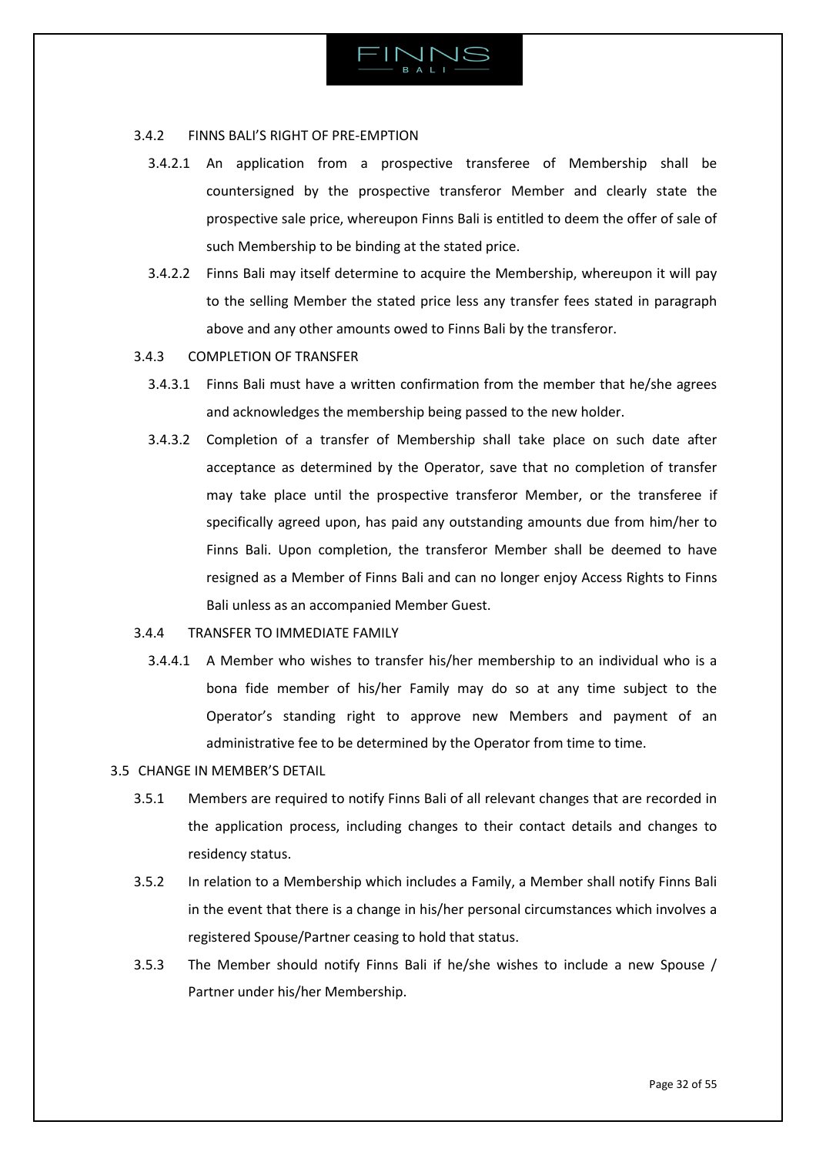

### 3.4.2 FINNS BALI'S RIGHT OF PRE-EMPTION

- 3.4.2.1 An application from a prospective transferee of Membership shall be countersigned by the prospective transferor Member and clearly state the prospective sale price, whereupon Finns Bali is entitled to deem the offer of sale of such Membership to be binding at the stated price.
- 3.4.2.2 Finns Bali may itself determine to acquire the Membership, whereupon it will pay to the selling Member the stated price less any transfer fees stated in paragraph above and any other amounts owed to Finns Bali by the transferor.
- 3.4.3 COMPLETION OF TRANSFER
	- 3.4.3.1 Finns Bali must have a written confirmation from the member that he/she agrees and acknowledges the membership being passed to the new holder.
	- 3.4.3.2 Completion of a transfer of Membership shall take place on such date after acceptance as determined by the Operator, save that no completion of transfer may take place until the prospective transferor Member, or the transferee if specifically agreed upon, has paid any outstanding amounts due from him/her to Finns Bali. Upon completion, the transferor Member shall be deemed to have resigned as a Member of Finns Bali and can no longer enjoy Access Rights to Finns Bali unless as an accompanied Member Guest.
- 3.4.4 TRANSFER TO IMMEDIATE FAMILY
	- 3.4.4.1 A Member who wishes to transfer his/her membership to an individual who is a bona fide member of his/her Family may do so at any time subject to the Operator's standing right to approve new Members and payment of an administrative fee to be determined by the Operator from time to time.
- <span id="page-31-0"></span>3.5 CHANGE IN MEMBER'S DETAIL
	- 3.5.1 Members are required to notify Finns Bali of all relevant changes that are recorded in the application process, including changes to their contact details and changes to residency status.
	- 3.5.2 In relation to a Membership which includes a Family, a Member shall notify Finns Bali in the event that there is a change in his/her personal circumstances which involves a registered Spouse/Partner ceasing to hold that status.
	- 3.5.3 The Member should notify Finns Bali if he/she wishes to include a new Spouse / Partner under his/her Membership.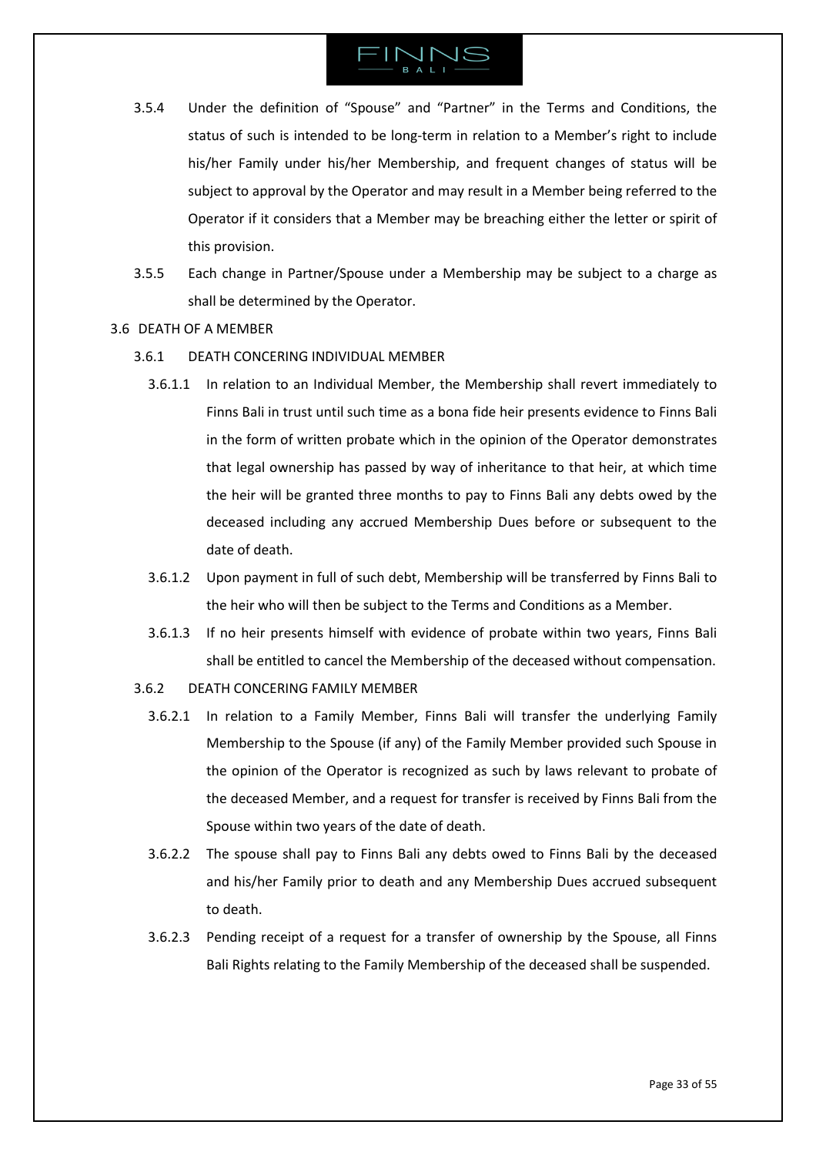- 3.5.4 Under the definition of "Spouse" and "Partner" in the Terms and Conditions, the status of such is intended to be long-term in relation to a Member's right to include his/her Family under his/her Membership, and frequent changes of status will be subject to approval by the Operator and may result in a Member being referred to the Operator if it considers that a Member may be breaching either the letter or spirit of this provision.
- 3.5.5 Each change in Partner/Spouse under a Membership may be subject to a charge as shall be determined by the Operator.
- <span id="page-32-0"></span>3.6 DEATH OF A MEMBER
	- 3.6.1 DEATH CONCERING INDIVIDUAL MEMBER
		- 3.6.1.1 In relation to an Individual Member, the Membership shall revert immediately to Finns Bali in trust until such time as a bona fide heir presents evidence to Finns Bali in the form of written probate which in the opinion of the Operator demonstrates that legal ownership has passed by way of inheritance to that heir, at which time the heir will be granted three months to pay to Finns Bali any debts owed by the deceased including any accrued Membership Dues before or subsequent to the date of death.
		- 3.6.1.2 Upon payment in full of such debt, Membership will be transferred by Finns Bali to the heir who will then be subject to the Terms and Conditions as a Member.
		- 3.6.1.3 If no heir presents himself with evidence of probate within two years, Finns Bali shall be entitled to cancel the Membership of the deceased without compensation.
	- 3.6.2 DEATH CONCERING FAMILY MEMBER
		- 3.6.2.1 In relation to a Family Member, Finns Bali will transfer the underlying Family Membership to the Spouse (if any) of the Family Member provided such Spouse in the opinion of the Operator is recognized as such by laws relevant to probate of the deceased Member, and a request for transfer is received by Finns Bali from the Spouse within two years of the date of death.
		- 3.6.2.2 The spouse shall pay to Finns Bali any debts owed to Finns Bali by the deceased and his/her Family prior to death and any Membership Dues accrued subsequent to death.
		- 3.6.2.3 Pending receipt of a request for a transfer of ownership by the Spouse, all Finns Bali Rights relating to the Family Membership of the deceased shall be suspended.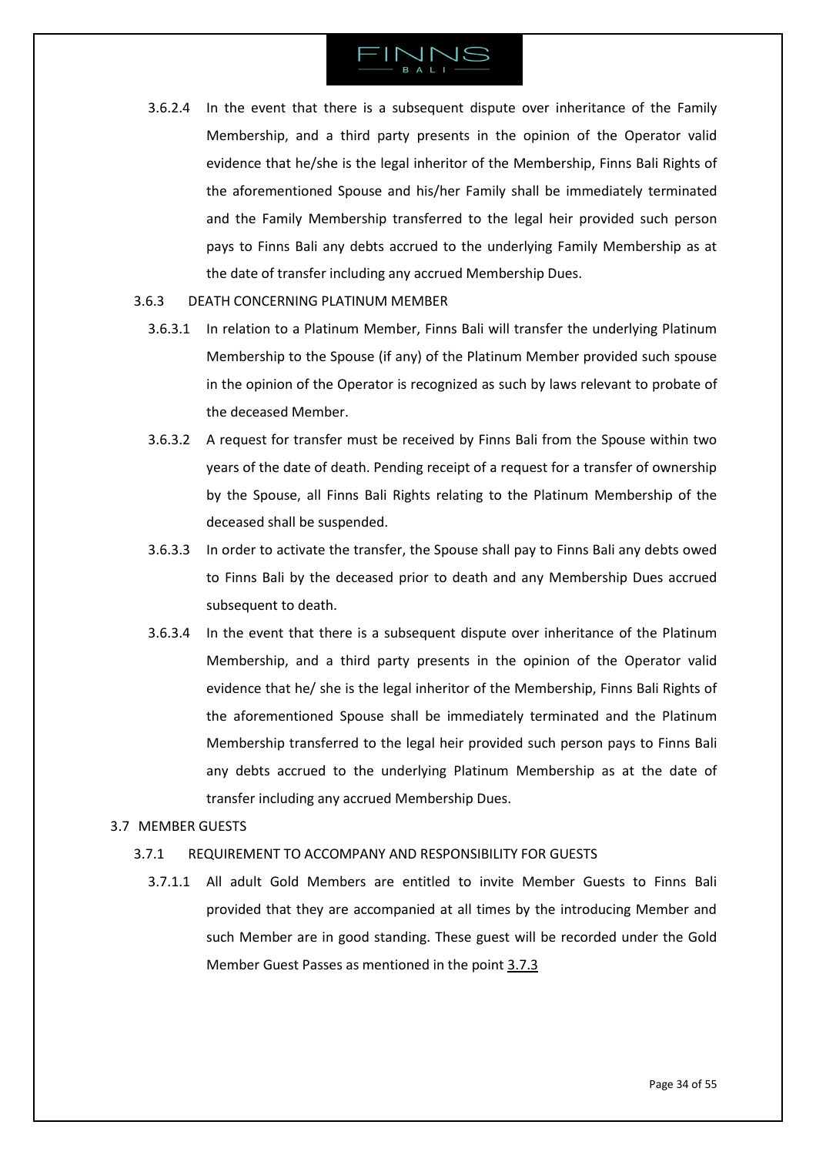

- 3.6.2.4 In the event that there is a subsequent dispute over inheritance of the Family Membership, and a third party presents in the opinion of the Operator valid evidence that he/she is the legal inheritor of the Membership, Finns Bali Rights of the aforementioned Spouse and his/her Family shall be immediately terminated and the Family Membership transferred to the legal heir provided such person pays to Finns Bali any debts accrued to the underlying Family Membership as at the date of transfer including any accrued Membership Dues.
- 3.6.3 DEATH CONCERNING PLATINUM MEMBER
	- 3.6.3.1 In relation to a Platinum Member, Finns Bali will transfer the underlying Platinum Membership to the Spouse (if any) of the Platinum Member provided such spouse in the opinion of the Operator is recognized as such by laws relevant to probate of the deceased Member.
	- 3.6.3.2 A request for transfer must be received by Finns Bali from the Spouse within two years of the date of death. Pending receipt of a request for a transfer of ownership by the Spouse, all Finns Bali Rights relating to the Platinum Membership of the deceased shall be suspended.
	- 3.6.3.3 In order to activate the transfer, the Spouse shall pay to Finns Bali any debts owed to Finns Bali by the deceased prior to death and any Membership Dues accrued subsequent to death.
	- 3.6.3.4 In the event that there is a subsequent dispute over inheritance of the Platinum Membership, and a third party presents in the opinion of the Operator valid evidence that he/ she is the legal inheritor of the Membership, Finns Bali Rights of the aforementioned Spouse shall be immediately terminated and the Platinum Membership transferred to the legal heir provided such person pays to Finns Bali any debts accrued to the underlying Platinum Membership as at the date of transfer including any accrued Membership Dues.

# <span id="page-33-0"></span>3.7 MEMBER GUESTS

# 3.7.1 REQUIREMENT TO ACCOMPANY AND RESPONSIBILITY FOR GUESTS

3.7.1.1 All adult Gold Members are entitled to invite Member Guests to Finns Bali provided that they are accompanied at all times by the introducing Member and such Member are in good standing. These guest will be recorded under the Gold Member Guest Passes as mentioned in the point [3.7.3](#page-34-0)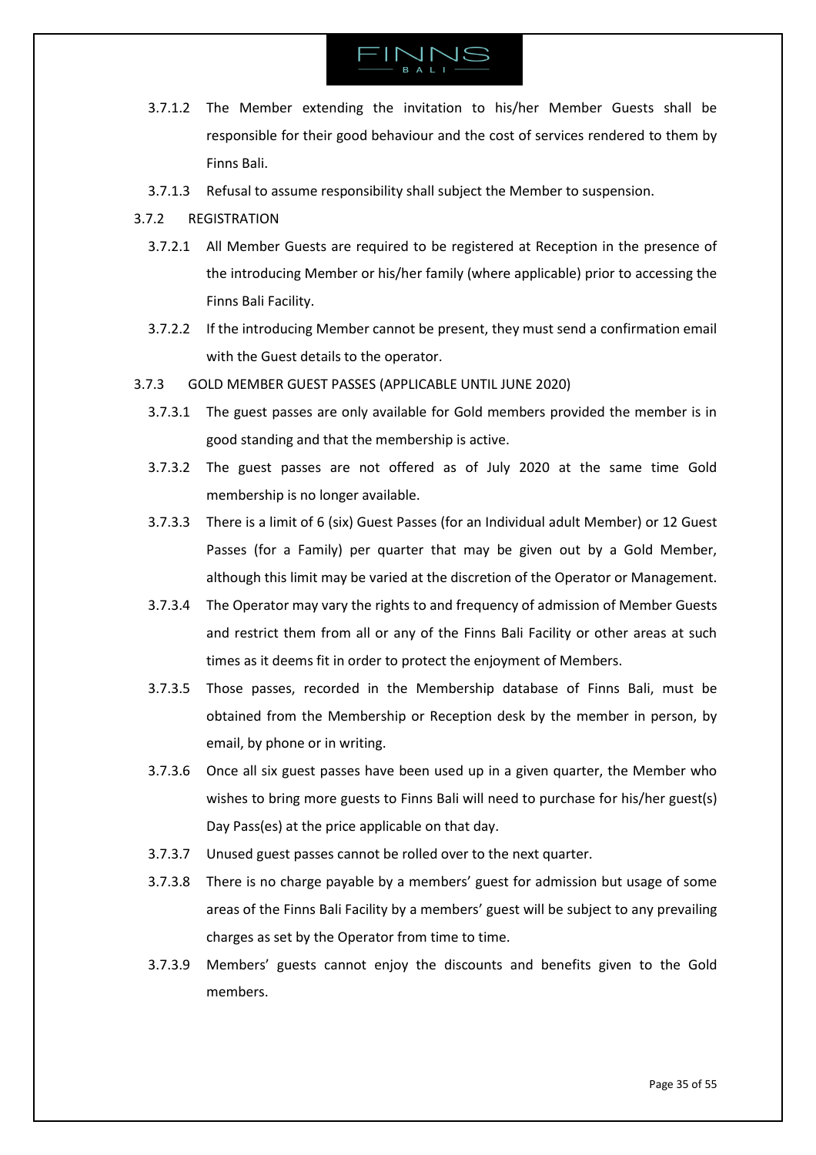

- 3.7.1.2 The Member extending the invitation to his/her Member Guests shall be responsible for their good behaviour and the cost of services rendered to them by Finns Bali.
- 3.7.1.3 Refusal to assume responsibility shall subject the Member to suspension.
- 3.7.2 REGISTRATION
	- 3.7.2.1 All Member Guests are required to be registered at Reception in the presence of the introducing Member or his/her family (where applicable) prior to accessing the Finns Bali Facility.
	- 3.7.2.2 If the introducing Member cannot be present, they must send a confirmation email with the Guest details to the operator.
- <span id="page-34-0"></span>3.7.3 GOLD MEMBER GUEST PASSES (APPLICABLE UNTIL JUNE 2020)
	- 3.7.3.1 The guest passes are only available for Gold members provided the member is in good standing and that the membership is active.
	- 3.7.3.2 The guest passes are not offered as of July 2020 at the same time Gold membership is no longer available.
	- 3.7.3.3 There is a limit of 6 (six) Guest Passes (for an Individual adult Member) or 12 Guest Passes (for a Family) per quarter that may be given out by a Gold Member, although this limit may be varied at the discretion of the Operator or Management.
	- 3.7.3.4 The Operator may vary the rights to and frequency of admission of Member Guests and restrict them from all or any of the Finns Bali Facility or other areas at such times as it deems fit in order to protect the enjoyment of Members.
	- 3.7.3.5 Those passes, recorded in the Membership database of Finns Bali, must be obtained from the Membership or Reception desk by the member in person, by email, by phone or in writing.
	- 3.7.3.6 Once all six guest passes have been used up in a given quarter, the Member who wishes to bring more guests to Finns Bali will need to purchase for his/her guest(s) Day Pass(es) at the price applicable on that day.
	- 3.7.3.7 Unused guest passes cannot be rolled over to the next quarter.
	- 3.7.3.8 There is no charge payable by a members' guest for admission but usage of some areas of the Finns Bali Facility by a members' guest will be subject to any prevailing charges as set by the Operator from time to time.
	- 3.7.3.9 Members' guests cannot enjoy the discounts and benefits given to the Gold members.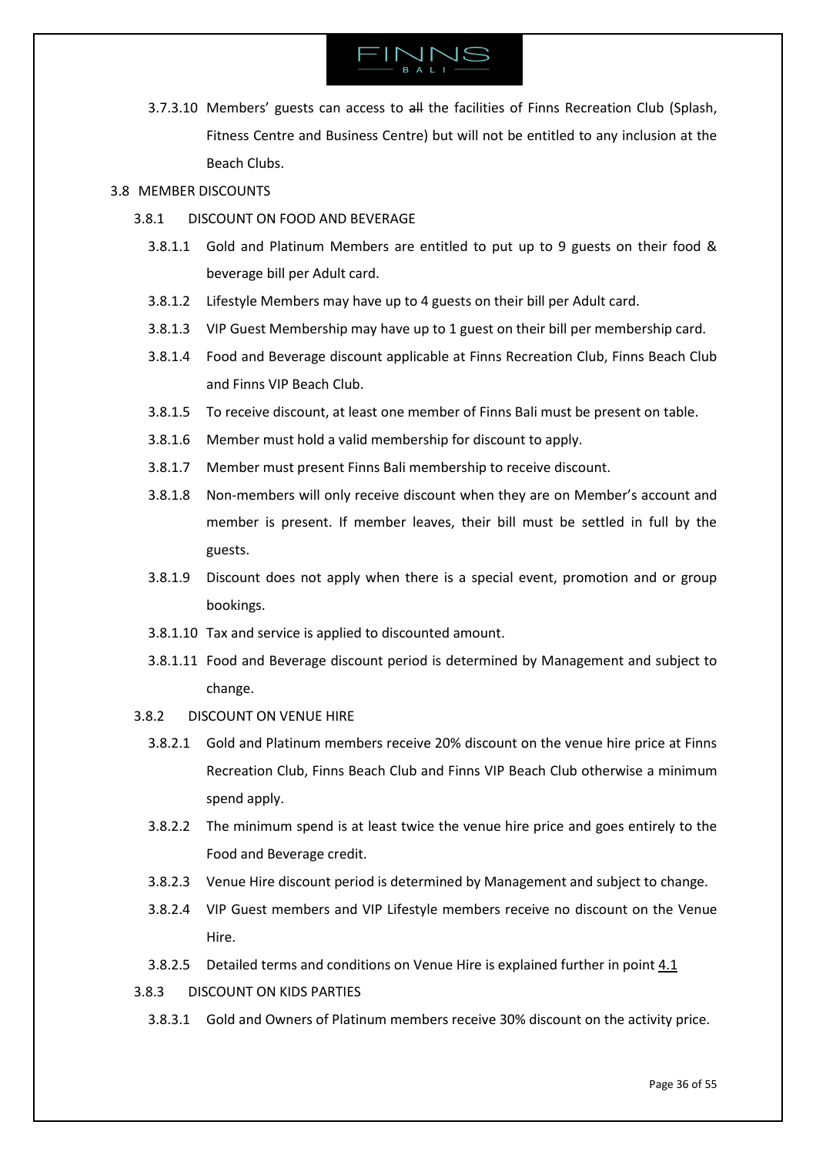

3.7.3.10 Members' guests can access to all the facilities of Finns Recreation Club (Splash, Fitness Centre and Business Centre) but will not be entitled to any inclusion at the Beach Clubs.

# <span id="page-35-0"></span>3.8 MEMBER DISCOUNTS

- 3.8.1 DISCOUNT ON FOOD AND BEVERAGE
	- 3.8.1.1 Gold and Platinum Members are entitled to put up to 9 guests on their food & beverage bill per Adult card.
	- 3.8.1.2 Lifestyle Members may have up to 4 guests on their bill per Adult card.
	- 3.8.1.3 VIP Guest Membership may have up to 1 guest on their bill per membership card.
	- 3.8.1.4 Food and Beverage discount applicable at Finns Recreation Club, Finns Beach Club and Finns VIP Beach Club.
	- 3.8.1.5 To receive discount, at least one member of Finns Bali must be present on table.
	- 3.8.1.6 Member must hold a valid membership for discount to apply.
	- 3.8.1.7 Member must present Finns Bali membership to receive discount.
	- 3.8.1.8 Non-members will only receive discount when they are on Member's account and member is present. If member leaves, their bill must be settled in full by the guests.
	- 3.8.1.9 Discount does not apply when there is a special event, promotion and or group bookings.
	- 3.8.1.10 Tax and service is applied to discounted amount.
	- 3.8.1.11 Food and Beverage discount period is determined by Management and subject to change.
- 3.8.2 DISCOUNT ON VENUE HIRE
	- 3.8.2.1 Gold and Platinum members receive 20% discount on the venue hire price at Finns Recreation Club, Finns Beach Club and Finns VIP Beach Club otherwise a minimum spend apply.
	- 3.8.2.2 The minimum spend is at least twice the venue hire price and goes entirely to the Food and Beverage credit.
	- 3.8.2.3 Venue Hire discount period is determined by Management and subject to change.
	- 3.8.2.4 VIP Guest members and VIP Lifestyle members receive no discount on the Venue Hire.
	- 3.8.2.5 Detailed terms and conditions on Venue Hire is explained further in point [4.1](#page-43-1)
- 3.8.3 DISCOUNT ON KIDS PARTIES
	- 3.8.3.1 Gold and Owners of Platinum members receive 30% discount on the activity price.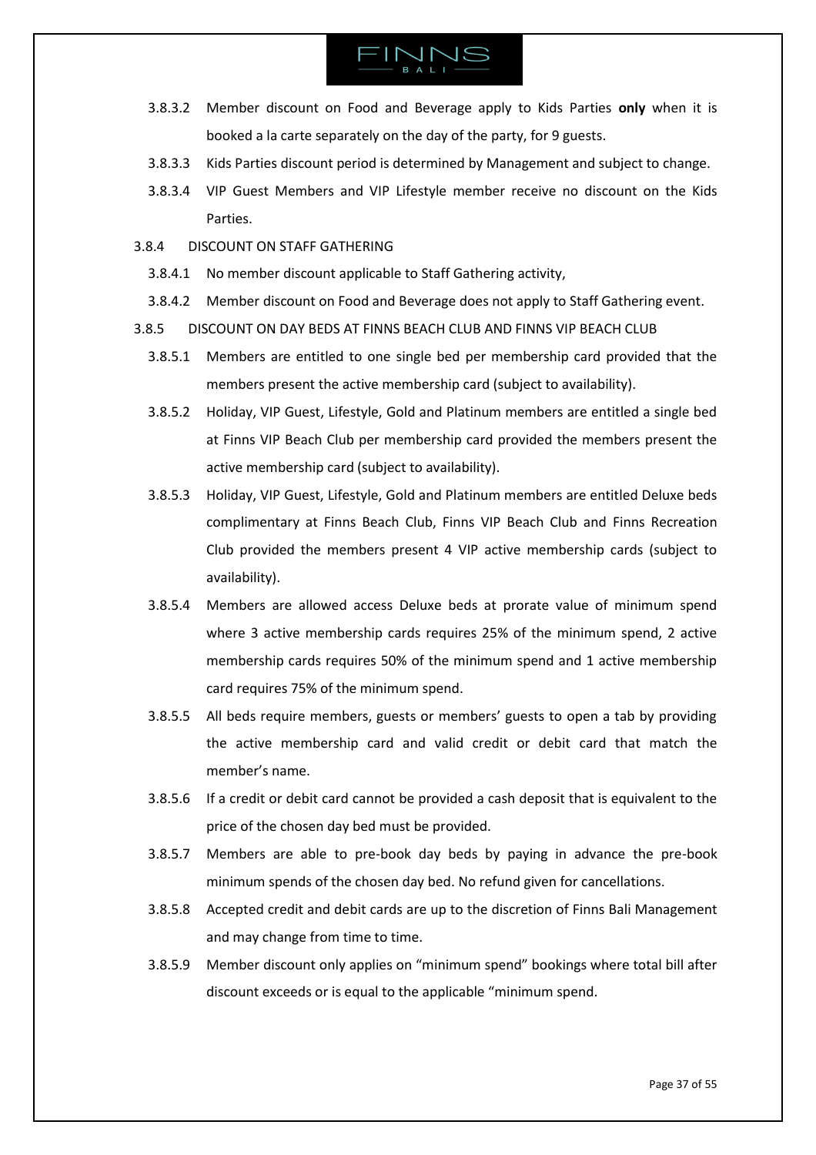- 3.8.3.2 Member discount on Food and Beverage apply to Kids Parties **only** when it is booked a la carte separately on the day of the party, for 9 guests.
- 3.8.3.3 Kids Parties discount period is determined by Management and subject to change.
- 3.8.3.4 VIP Guest Members and VIP Lifestyle member receive no discount on the Kids Parties.
- 3.8.4 DISCOUNT ON STAFF GATHERING
	- 3.8.4.1 No member discount applicable to Staff Gathering activity,
	- 3.8.4.2 Member discount on Food and Beverage does not apply to Staff Gathering event.
- 3.8.5 DISCOUNT ON DAY BEDS AT FINNS BEACH CLUB AND FINNS VIP BEACH CLUB
	- 3.8.5.1 Members are entitled to one single bed per membership card provided that the members present the active membership card (subject to availability).
	- 3.8.5.2 Holiday, VIP Guest, Lifestyle, Gold and Platinum members are entitled a single bed at Finns VIP Beach Club per membership card provided the members present the active membership card (subject to availability).
	- 3.8.5.3 Holiday, VIP Guest, Lifestyle, Gold and Platinum members are entitled Deluxe beds complimentary at Finns Beach Club, Finns VIP Beach Club and Finns Recreation Club provided the members present 4 VIP active membership cards (subject to availability).
	- 3.8.5.4 Members are allowed access Deluxe beds at prorate value of minimum spend where 3 active membership cards requires 25% of the minimum spend, 2 active membership cards requires 50% of the minimum spend and 1 active membership card requires 75% of the minimum spend.
	- 3.8.5.5 All beds require members, guests or members' guests to open a tab by providing the active membership card and valid credit or debit card that match the member's name.
	- 3.8.5.6 If a credit or debit card cannot be provided a cash deposit that is equivalent to the price of the chosen day bed must be provided.
	- 3.8.5.7 Members are able to pre-book day beds by paying in advance the pre-book minimum spends of the chosen day bed. No refund given for cancellations.
	- 3.8.5.8 Accepted credit and debit cards are up to the discretion of Finns Bali Management and may change from time to time.
	- 3.8.5.9 Member discount only applies on "minimum spend" bookings where total bill after discount exceeds or is equal to the applicable "minimum spend.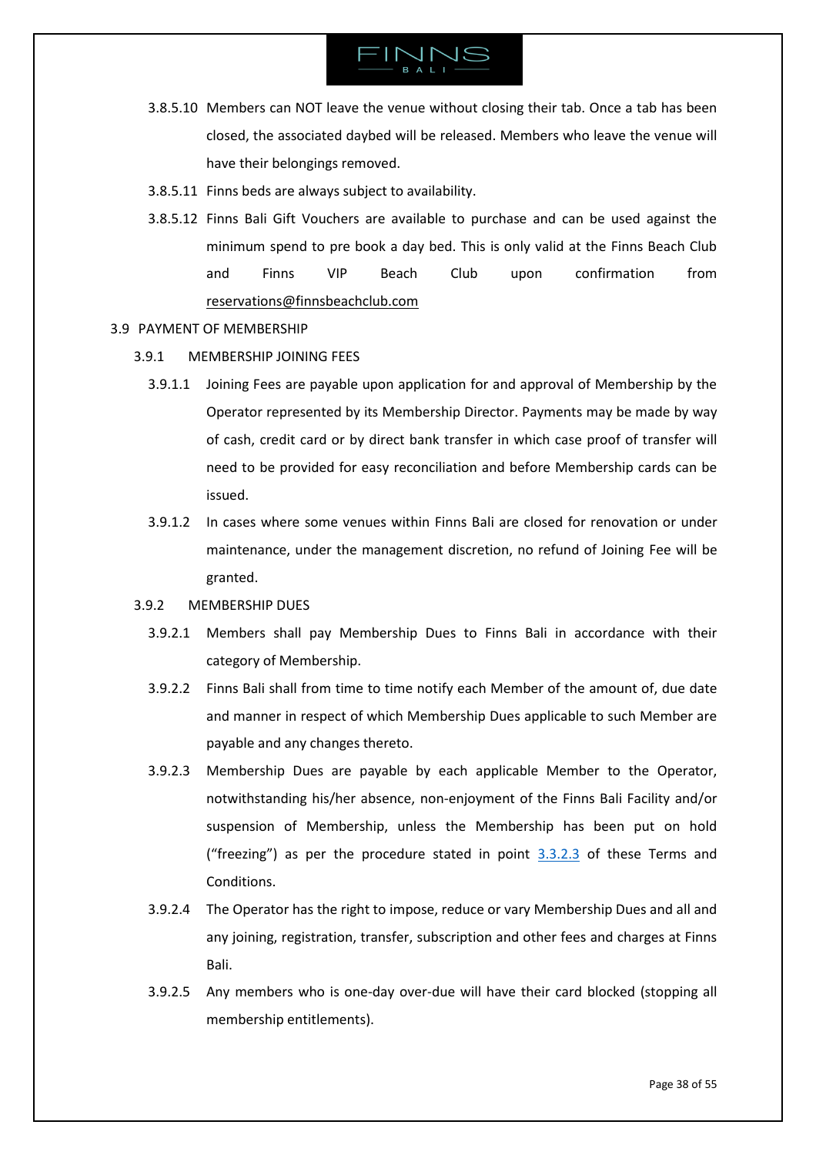

- 3.8.5.10 Members can NOT leave the venue without closing their tab. Once a tab has been closed, the associated daybed will be released. Members who leave the venue will have their belongings removed.
- 3.8.5.11 Finns beds are always subject to availability.
- 3.8.5.12 Finns Bali Gift Vouchers are available to purchase and can be used against the minimum spend to pre book a day bed. This is only valid at the Finns Beach Club and Finns VIP Beach Club upon confirmation from [reservations@finnsbeachclub.com](mailto:reservations@finnsbeachclub.com)
- <span id="page-37-0"></span>3.9 PAYMENT OF MEMBERSHIP
	- 3.9.1 MEMBERSHIP JOINING FEES
		- 3.9.1.1 Joining Fees are payable upon application for and approval of Membership by the Operator represented by its Membership Director. Payments may be made by way of cash, credit card or by direct bank transfer in which case proof of transfer will need to be provided for easy reconciliation and before Membership cards can be issued.
		- 3.9.1.2 In cases where some venues within Finns Bali are closed for renovation or under maintenance, under the management discretion, no refund of Joining Fee will be granted.
	- 3.9.2 MEMBERSHIP DUES
		- 3.9.2.1 Members shall pay Membership Dues to Finns Bali in accordance with their category of Membership.
		- 3.9.2.2 Finns Bali shall from time to time notify each Member of the amount of, due date and manner in respect of which Membership Dues applicable to such Member are payable and any changes thereto.
		- 3.9.2.3 Membership Dues are payable by each applicable Member to the Operator, notwithstanding his/her absence, non-enjoyment of the Finns Bali Facility and/or suspension of Membership, unless the Membership has been put on hold ("freezing") as per the procedure stated in point [3.3.2.3](#page-28-0) of these Terms and Conditions.
		- 3.9.2.4 The Operator has the right to impose, reduce or vary Membership Dues and all and any joining, registration, transfer, subscription and other fees and charges at Finns Bali.
		- 3.9.2.5 Any members who is one-day over-due will have their card blocked (stopping all membership entitlements).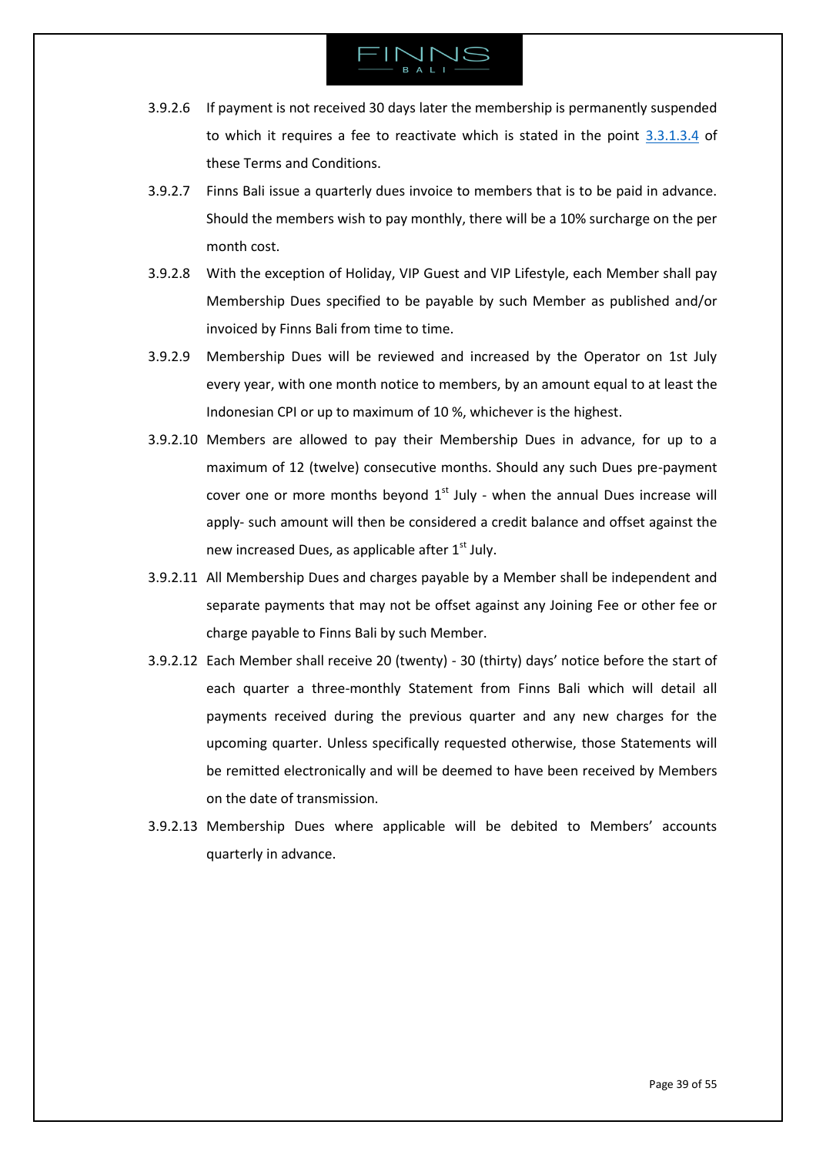

- 3.9.2.6 If payment is not received 30 days later the membership is permanently suspended to which it requires a fee to reactivate which is stated in the point  $3.3.1.3.4$  of these Terms and Conditions.
- 3.9.2.7 Finns Bali issue a quarterly dues invoice to members that is to be paid in advance. Should the members wish to pay monthly, there will be a 10% surcharge on the per month cost.
- 3.9.2.8 With the exception of Holiday, VIP Guest and VIP Lifestyle, each Member shall pay Membership Dues specified to be payable by such Member as published and/or invoiced by Finns Bali from time to time.
- 3.9.2.9 Membership Dues will be reviewed and increased by the Operator on 1st July every year, with one month notice to members, by an amount equal to at least the Indonesian CPI or up to maximum of 10 %, whichever is the highest.
- 3.9.2.10 Members are allowed to pay their Membership Dues in advance, for up to a maximum of 12 (twelve) consecutive months. Should any such Dues pre-payment cover one or more months beyond  $1<sup>st</sup>$  July - when the annual Dues increase will apply- such amount will then be considered a credit balance and offset against the new increased Dues, as applicable after  $1<sup>st</sup>$  July.
- 3.9.2.11 All Membership Dues and charges payable by a Member shall be independent and separate payments that may not be offset against any Joining Fee or other fee or charge payable to Finns Bali by such Member.
- 3.9.2.12 Each Member shall receive 20 (twenty) 30 (thirty) days' notice before the start of each quarter a three-monthly Statement from Finns Bali which will detail all payments received during the previous quarter and any new charges for the upcoming quarter. Unless specifically requested otherwise, those Statements will be remitted electronically and will be deemed to have been received by Members on the date of transmission.
- 3.9.2.13 Membership Dues where applicable will be debited to Members' accounts quarterly in advance.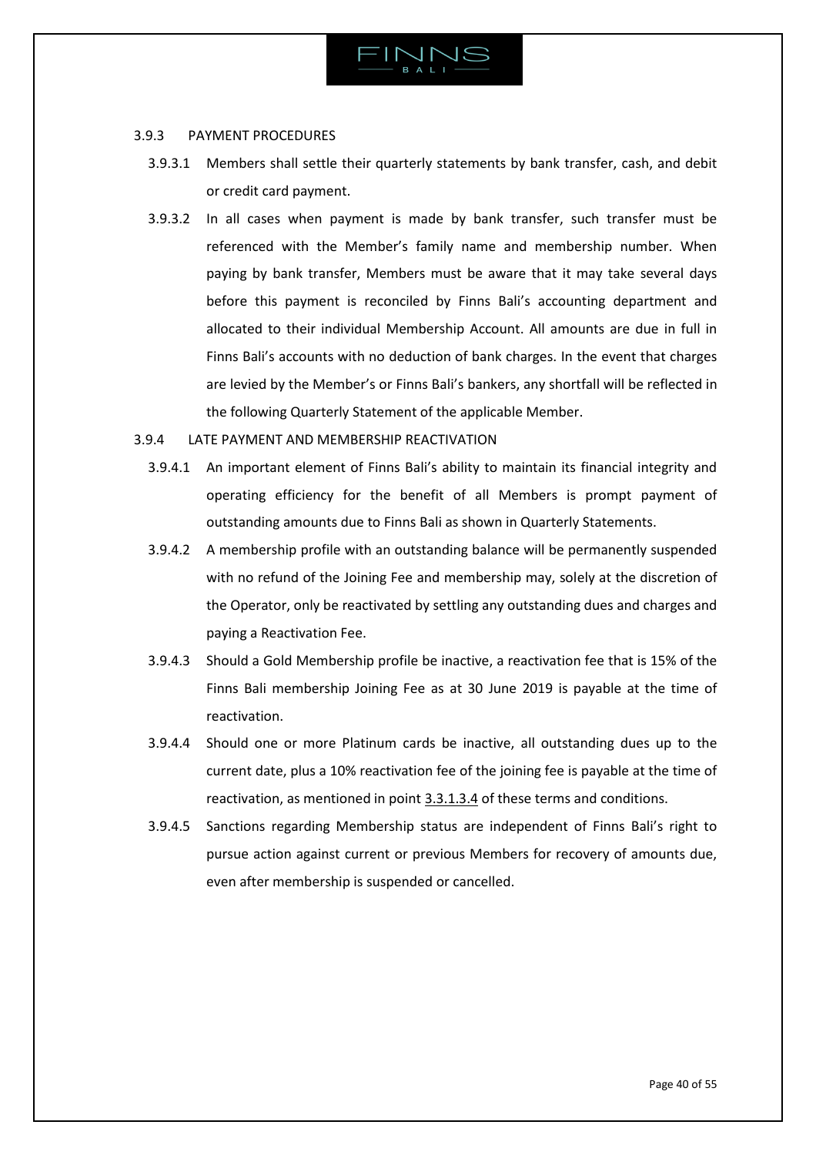

### 3.9.3 PAYMENT PROCEDURES

- 3.9.3.1 Members shall settle their quarterly statements by bank transfer, cash, and debit or credit card payment.
- 3.9.3.2 In all cases when payment is made by bank transfer, such transfer must be referenced with the Member's family name and membership number. When paying by bank transfer, Members must be aware that it may take several days before this payment is reconciled by Finns Bali's accounting department and allocated to their individual Membership Account. All amounts are due in full in Finns Bali's accounts with no deduction of bank charges. In the event that charges are levied by the Member's or Finns Bali's bankers, any shortfall will be reflected in the following Quarterly Statement of the applicable Member.

# 3.9.4 LATE PAYMENT AND MEMBERSHIP REACTIVATION

- 3.9.4.1 An important element of Finns Bali's ability to maintain its financial integrity and operating efficiency for the benefit of all Members is prompt payment of outstanding amounts due to Finns Bali as shown in Quarterly Statements.
- 3.9.4.2 A membership profile with an outstanding balance will be permanently suspended with no refund of the Joining Fee and membership may, solely at the discretion of the Operator, only be reactivated by settling any outstanding dues and charges and paying a Reactivation Fee.
- 3.9.4.3 Should a Gold Membership profile be inactive, a reactivation fee that is 15% of the Finns Bali membership Joining Fee as at 30 June 2019 is payable at the time of reactivation.
- 3.9.4.4 Should one or more Platinum cards be inactive, all outstanding dues up to the current date, plus a 10% reactivation fee of the joining fee is payable at the time of reactivation, as mentioned in point [3.3.1.3.4](#page-25-0) of these terms and conditions.
- 3.9.4.5 Sanctions regarding Membership status are independent of Finns Bali's right to pursue action against current or previous Members for recovery of amounts due, even after membership is suspended or cancelled.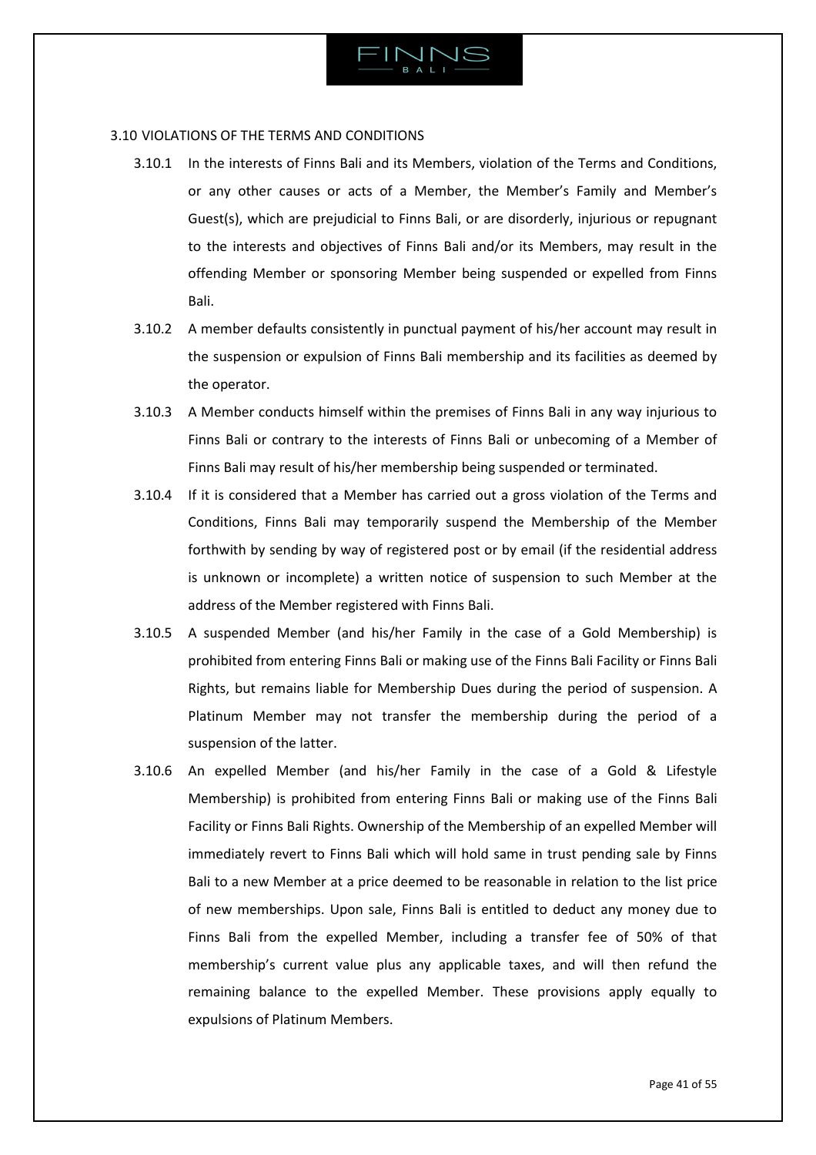

# 3.10 VIOLATIONS OF THE TERMS AND CONDITIONS

- <span id="page-40-0"></span>3.10.1 In the interests of Finns Bali and its Members, violation of the Terms and Conditions, or any other causes or acts of a Member, the Member's Family and Member's Guest(s), which are prejudicial to Finns Bali, or are disorderly, injurious or repugnant to the interests and objectives of Finns Bali and/or its Members, may result in the offending Member or sponsoring Member being suspended or expelled from Finns Bali.
- 3.10.2 A member defaults consistently in punctual payment of his/her account may result in the suspension or expulsion of Finns Bali membership and its facilities as deemed by the operator.
- 3.10.3 A Member conducts himself within the premises of Finns Bali in any way injurious to Finns Bali or contrary to the interests of Finns Bali or unbecoming of a Member of Finns Bali may result of his/her membership being suspended or terminated.
- 3.10.4 If it is considered that a Member has carried out a gross violation of the Terms and Conditions, Finns Bali may temporarily suspend the Membership of the Member forthwith by sending by way of registered post or by email (if the residential address is unknown or incomplete) a written notice of suspension to such Member at the address of the Member registered with Finns Bali.
- 3.10.5 A suspended Member (and his/her Family in the case of a Gold Membership) is prohibited from entering Finns Bali or making use of the Finns Bali Facility or Finns Bali Rights, but remains liable for Membership Dues during the period of suspension. A Platinum Member may not transfer the membership during the period of a suspension of the latter.
- 3.10.6 An expelled Member (and his/her Family in the case of a Gold & Lifestyle Membership) is prohibited from entering Finns Bali or making use of the Finns Bali Facility or Finns Bali Rights. Ownership of the Membership of an expelled Member will immediately revert to Finns Bali which will hold same in trust pending sale by Finns Bali to a new Member at a price deemed to be reasonable in relation to the list price of new memberships. Upon sale, Finns Bali is entitled to deduct any money due to Finns Bali from the expelled Member, including a transfer fee of 50% of that membership's current value plus any applicable taxes, and will then refund the remaining balance to the expelled Member. These provisions apply equally to expulsions of Platinum Members.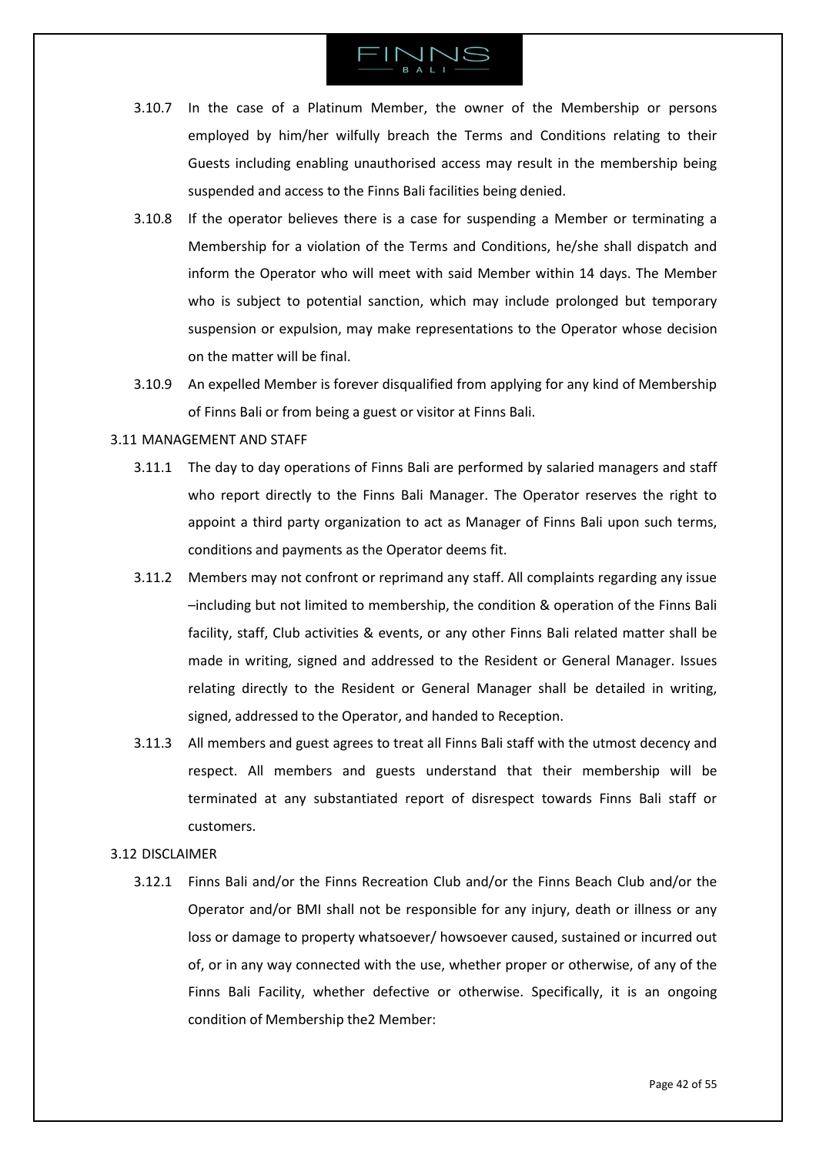

- 3.10.7 In the case of a Platinum Member, the owner of the Membership or persons employed by him/her wilfully breach the Terms and Conditions relating to their Guests including enabling unauthorised access may result in the membership being suspended and access to the Finns Bali facilities being denied.
- 3.10.8 If the operator believes there is a case for suspending a Member or terminating a Membership for a violation of the Terms and Conditions, he/she shall dispatch and inform the Operator who will meet with said Member within 14 days. The Member who is subject to potential sanction, which may include prolonged but temporary suspension or expulsion, may make representations to the Operator whose decision on the matter will be final.
- 3.10.9 An expelled Member is forever disqualified from applying for any kind of Membership of Finns Bali or from being a guest or visitor at Finns Bali.

### <span id="page-41-0"></span>3.11 MANAGEMENT AND STAFF

- 3.11.1 The day to day operations of Finns Bali are performed by salaried managers and staff who report directly to the Finns Bali Manager. The Operator reserves the right to appoint a third party organization to act as Manager of Finns Bali upon such terms, conditions and payments as the Operator deems fit.
- 3.11.2 Members may not confront or reprimand any staff. All complaints regarding any issue –including but not limited to membership, the condition & operation of the Finns Bali facility, staff, Club activities & events, or any other Finns Bali related matter shall be made in writing, signed and addressed to the Resident or General Manager. Issues relating directly to the Resident or General Manager shall be detailed in writing, signed, addressed to the Operator, and handed to Reception.
- 3.11.3 All members and guest agrees to treat all Finns Bali staff with the utmost decency and respect. All members and guests understand that their membership will be terminated at any substantiated report of disrespect towards Finns Bali staff or customers.

### <span id="page-41-1"></span>3.12 DISCLAIMER

3.12.1 Finns Bali and/or the Finns Recreation Club and/or the Finns Beach Club and/or the Operator and/or BMI shall not be responsible for any injury, death or illness or any loss or damage to property whatsoever/ howsoever caused, sustained or incurred out of, or in any way connected with the use, whether proper or otherwise, of any of the Finns Bali Facility, whether defective or otherwise. Specifically, it is an ongoing condition of Membership the2 Member: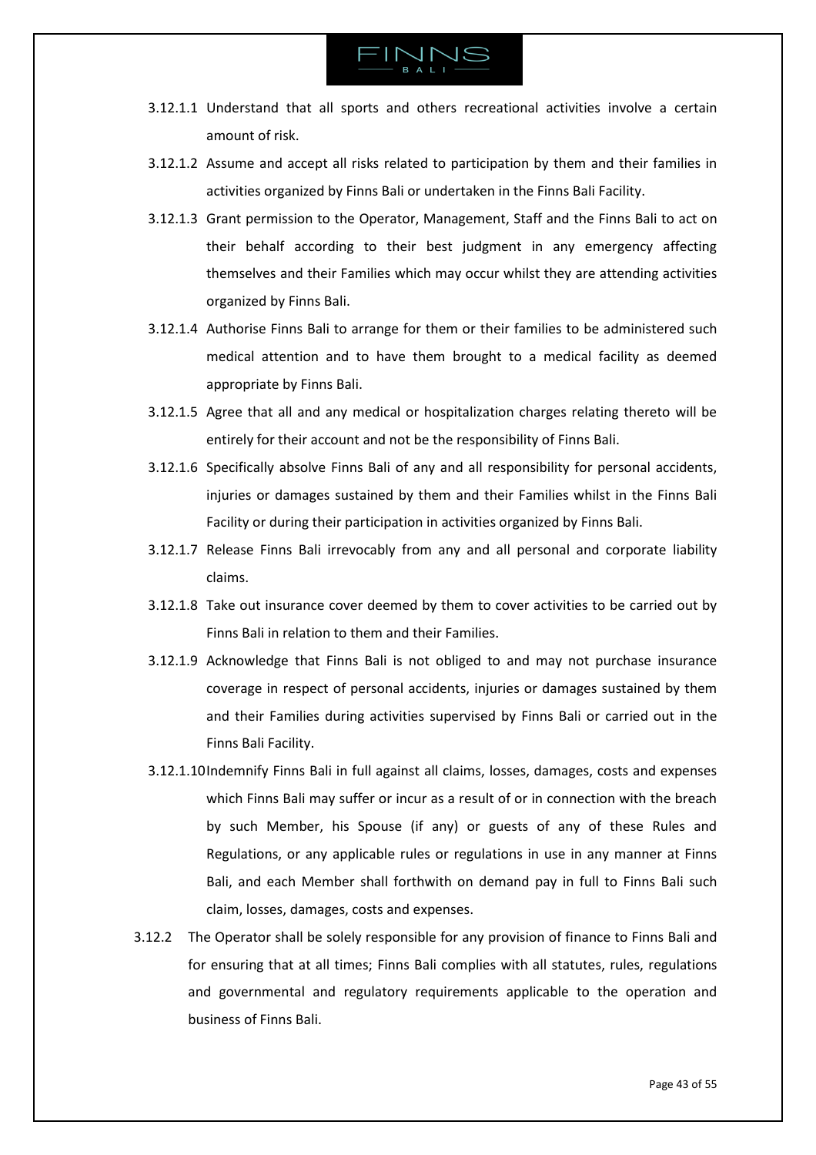

- 3.12.1.1 Understand that all sports and others recreational activities involve a certain amount of risk.
- 3.12.1.2 Assume and accept all risks related to participation by them and their families in activities organized by Finns Bali or undertaken in the Finns Bali Facility.
- 3.12.1.3 Grant permission to the Operator, Management, Staff and the Finns Bali to act on their behalf according to their best judgment in any emergency affecting themselves and their Families which may occur whilst they are attending activities organized by Finns Bali.
- 3.12.1.4 Authorise Finns Bali to arrange for them or their families to be administered such medical attention and to have them brought to a medical facility as deemed appropriate by Finns Bali.
- 3.12.1.5 Agree that all and any medical or hospitalization charges relating thereto will be entirely for their account and not be the responsibility of Finns Bali.
- 3.12.1.6 Specifically absolve Finns Bali of any and all responsibility for personal accidents, injuries or damages sustained by them and their Families whilst in the Finns Bali Facility or during their participation in activities organized by Finns Bali.
- 3.12.1.7 Release Finns Bali irrevocably from any and all personal and corporate liability claims.
- 3.12.1.8 Take out insurance cover deemed by them to cover activities to be carried out by Finns Bali in relation to them and their Families.
- 3.12.1.9 Acknowledge that Finns Bali is not obliged to and may not purchase insurance coverage in respect of personal accidents, injuries or damages sustained by them and their Families during activities supervised by Finns Bali or carried out in the Finns Bali Facility.
- 3.12.1.10Indemnify Finns Bali in full against all claims, losses, damages, costs and expenses which Finns Bali may suffer or incur as a result of or in connection with the breach by such Member, his Spouse (if any) or guests of any of these Rules and Regulations, or any applicable rules or regulations in use in any manner at Finns Bali, and each Member shall forthwith on demand pay in full to Finns Bali such claim, losses, damages, costs and expenses.
- 3.12.2 The Operator shall be solely responsible for any provision of finance to Finns Bali and for ensuring that at all times; Finns Bali complies with all statutes, rules, regulations and governmental and regulatory requirements applicable to the operation and business of Finns Bali.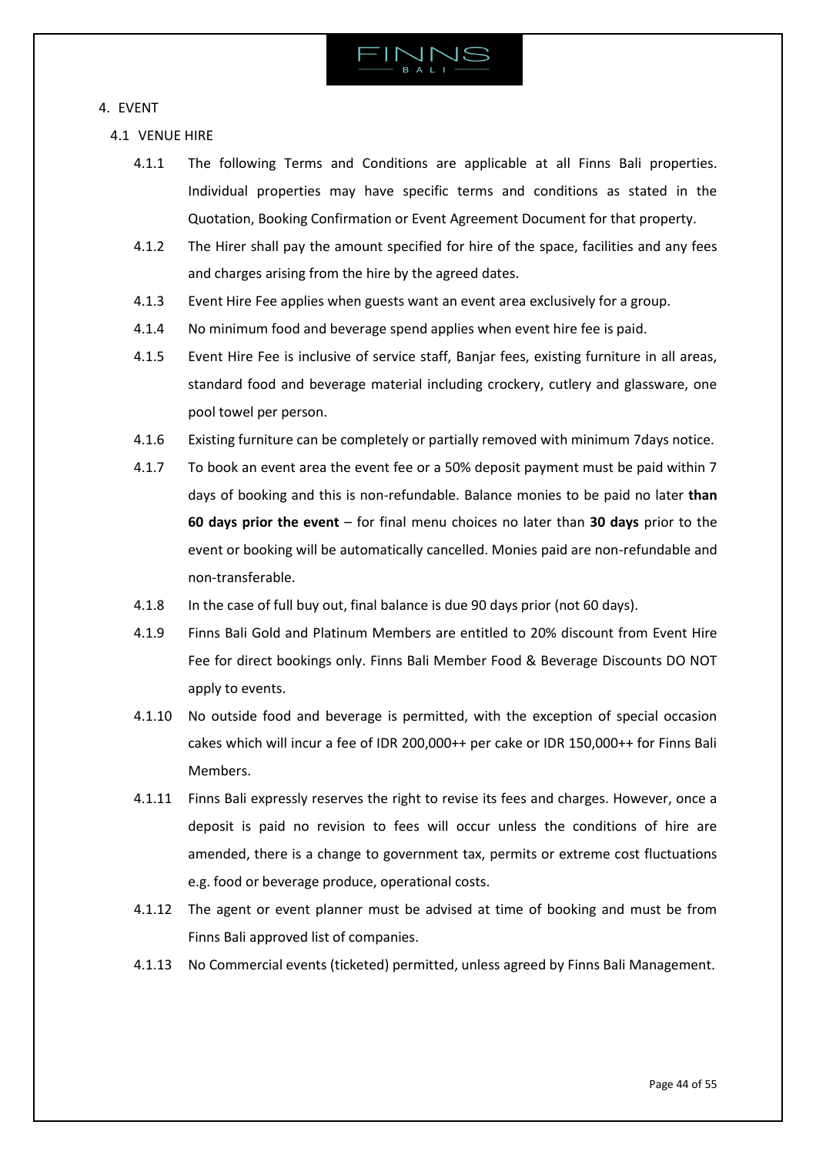

# <span id="page-43-0"></span>4. EVENT

- <span id="page-43-1"></span>4.1 VENUE HIRE
	- 4.1.1 The following Terms and Conditions are applicable at all Finns Bali properties. Individual properties may have specific terms and conditions as stated in the Quotation, Booking Confirmation or Event Agreement Document for that property.
	- 4.1.2 The Hirer shall pay the amount specified for hire of the space, facilities and any fees and charges arising from the hire by the agreed dates.
	- 4.1.3 Event Hire Fee applies when guests want an event area exclusively for a group.
	- 4.1.4 No minimum food and beverage spend applies when event hire fee is paid.
	- 4.1.5 Event Hire Fee is inclusive of service staff, Banjar fees, existing furniture in all areas, standard food and beverage material including crockery, cutlery and glassware, one pool towel per person.
	- 4.1.6 Existing furniture can be completely or partially removed with minimum 7days notice.
	- 4.1.7 To book an event area the event fee or a 50% deposit payment must be paid within 7 days of booking and this is non-refundable. Balance monies to be paid no later **than 60 days prior the event** – for final menu choices no later than **30 days** prior to the event or booking will be automatically cancelled. Monies paid are non-refundable and non-transferable.
	- 4.1.8 In the case of full buy out, final balance is due 90 days prior (not 60 days).
	- 4.1.9 Finns Bali Gold and Platinum Members are entitled to 20% discount from Event Hire Fee for direct bookings only. Finns Bali Member Food & Beverage Discounts DO NOT apply to events.
	- 4.1.10 No outside food and beverage is permitted, with the exception of special occasion cakes which will incur a fee of IDR 200,000++ per cake or IDR 150,000++ for Finns Bali Members.
	- 4.1.11 Finns Bali expressly reserves the right to revise its fees and charges. However, once a deposit is paid no revision to fees will occur unless the conditions of hire are amended, there is a change to government tax, permits or extreme cost fluctuations e.g. food or beverage produce, operational costs.
	- 4.1.12 The agent or event planner must be advised at time of booking and must be from Finns Bali approved list of companies.
	- 4.1.13 No Commercial events (ticketed) permitted, unless agreed by Finns Bali Management.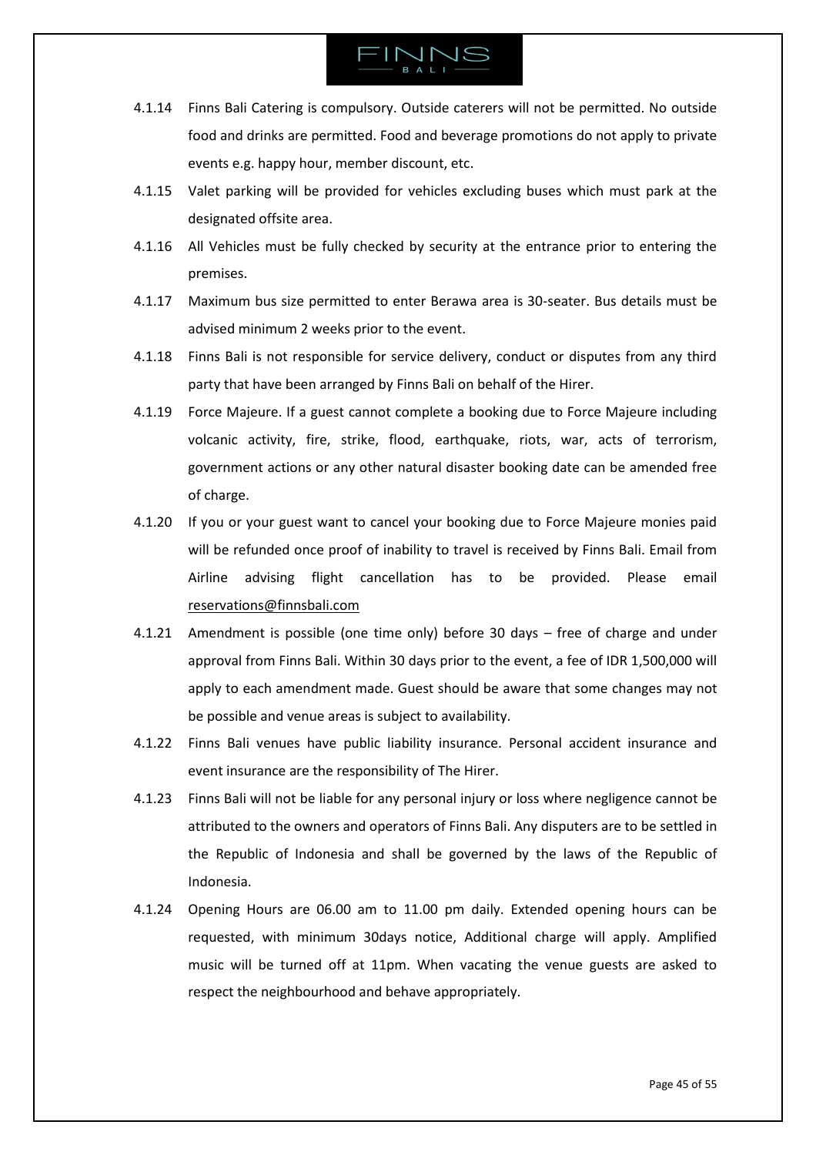- 4.1.14 Finns Bali Catering is compulsory. Outside caterers will not be permitted. No outside food and drinks are permitted. Food and beverage promotions do not apply to private events e.g. happy hour, member discount, etc.
- 4.1.15 Valet parking will be provided for vehicles excluding buses which must park at the designated offsite area.
- 4.1.16 All Vehicles must be fully checked by security at the entrance prior to entering the premises.
- 4.1.17 Maximum bus size permitted to enter Berawa area is 30-seater. Bus details must be advised minimum 2 weeks prior to the event.
- 4.1.18 Finns Bali is not responsible for service delivery, conduct or disputes from any third party that have been arranged by Finns Bali on behalf of the Hirer.
- 4.1.19 Force Majeure. If a guest cannot complete a booking due to Force Majeure including volcanic activity, fire, strike, flood, earthquake, riots, war, acts of terrorism, government actions or any other natural disaster booking date can be amended free of charge.
- 4.1.20 If you or your guest want to cancel your booking due to Force Majeure monies paid will be refunded once proof of inability to travel is received by Finns Bali. Email from Airline advising flight cancellation has to be provided. Please email [reservations@finnsbali.com](mailto:reservations@finnsbali.com)
- 4.1.21 Amendment is possible (one time only) before 30 days free of charge and under approval from Finns Bali. Within 30 days prior to the event, a fee of IDR 1,500,000 will apply to each amendment made. Guest should be aware that some changes may not be possible and venue areas is subject to availability.
- 4.1.22 Finns Bali venues have public liability insurance. Personal accident insurance and event insurance are the responsibility of The Hirer.
- 4.1.23 Finns Bali will not be liable for any personal injury or loss where negligence cannot be attributed to the owners and operators of Finns Bali. Any disputers are to be settled in the Republic of Indonesia and shall be governed by the laws of the Republic of Indonesia.
- 4.1.24 Opening Hours are 06.00 am to 11.00 pm daily. Extended opening hours can be requested, with minimum 30days notice, Additional charge will apply. Amplified music will be turned off at 11pm. When vacating the venue guests are asked to respect the neighbourhood and behave appropriately.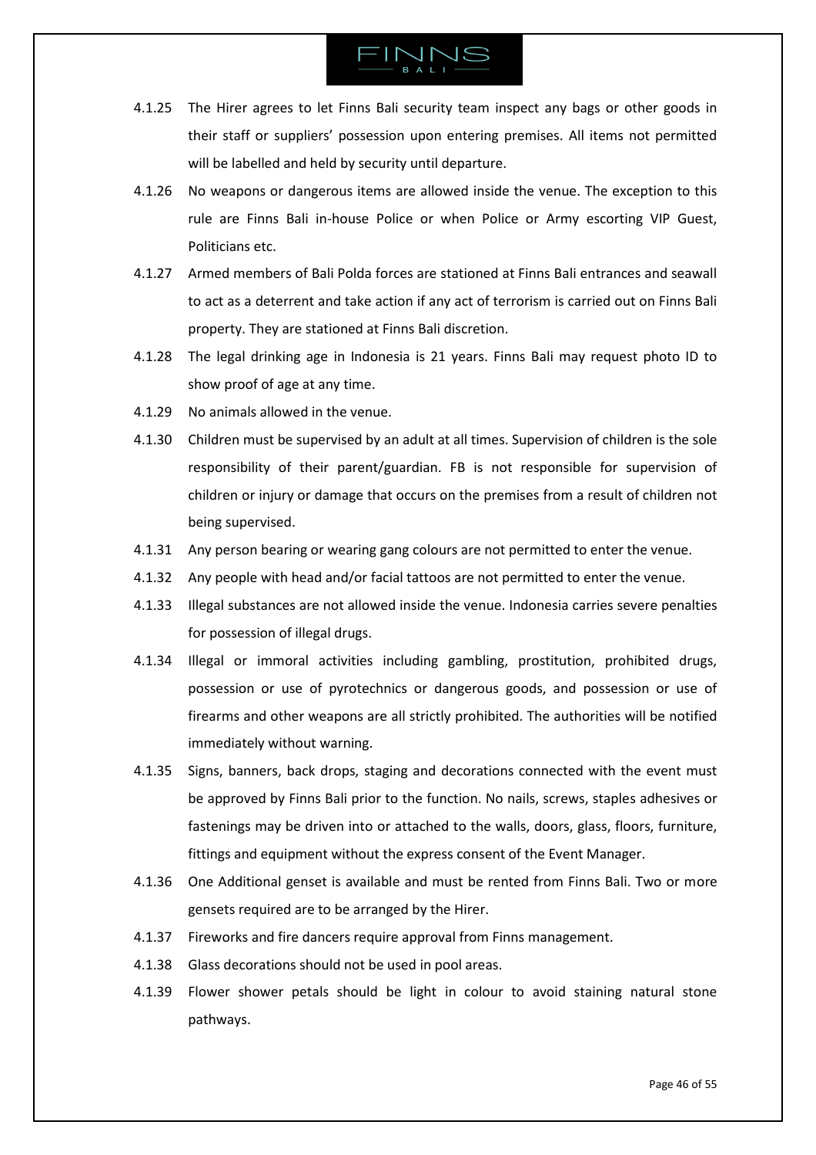- 4.1.25 The Hirer agrees to let Finns Bali security team inspect any bags or other goods in their staff or suppliers' possession upon entering premises. All items not permitted will be labelled and held by security until departure.
- 4.1.26 No weapons or dangerous items are allowed inside the venue. The exception to this rule are Finns Bali in-house Police or when Police or Army escorting VIP Guest, Politicians etc.
- 4.1.27 Armed members of Bali Polda forces are stationed at Finns Bali entrances and seawall to act as a deterrent and take action if any act of terrorism is carried out on Finns Bali property. They are stationed at Finns Bali discretion.
- 4.1.28 The legal drinking age in Indonesia is 21 years. Finns Bali may request photo ID to show proof of age at any time.
- 4.1.29 No animals allowed in the venue.
- 4.1.30 Children must be supervised by an adult at all times. Supervision of children is the sole responsibility of their parent/guardian. FB is not responsible for supervision of children or injury or damage that occurs on the premises from a result of children not being supervised.
- 4.1.31 Any person bearing or wearing gang colours are not permitted to enter the venue.
- 4.1.32 Any people with head and/or facial tattoos are not permitted to enter the venue.
- 4.1.33 Illegal substances are not allowed inside the venue. Indonesia carries severe penalties for possession of illegal drugs.
- 4.1.34 Illegal or immoral activities including gambling, prostitution, prohibited drugs, possession or use of pyrotechnics or dangerous goods, and possession or use of firearms and other weapons are all strictly prohibited. The authorities will be notified immediately without warning.
- 4.1.35 Signs, banners, back drops, staging and decorations connected with the event must be approved by Finns Bali prior to the function. No nails, screws, staples adhesives or fastenings may be driven into or attached to the walls, doors, glass, floors, furniture, fittings and equipment without the express consent of the Event Manager.
- 4.1.36 One Additional genset is available and must be rented from Finns Bali. Two or more gensets required are to be arranged by the Hirer.
- 4.1.37 Fireworks and fire dancers require approval from Finns management.
- 4.1.38 Glass decorations should not be used in pool areas.
- 4.1.39 Flower shower petals should be light in colour to avoid staining natural stone pathways.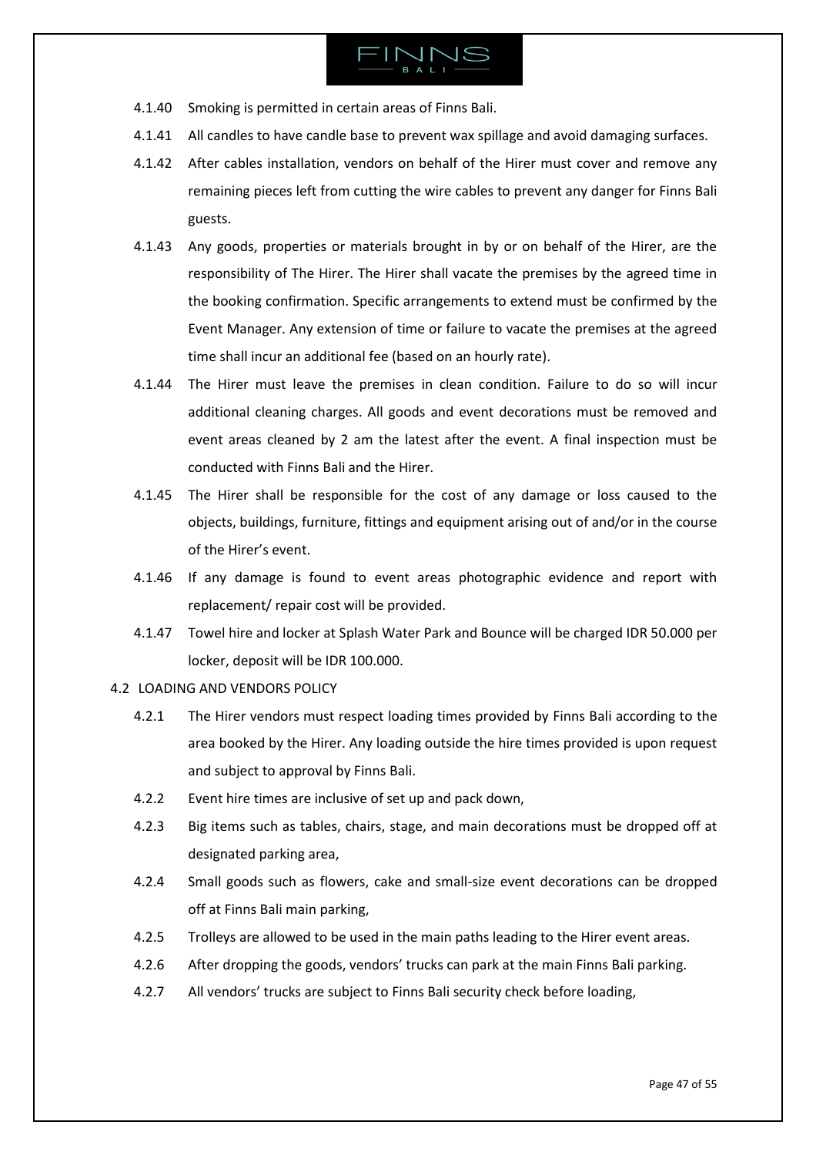

- 4.1.40 Smoking is permitted in certain areas of Finns Bali.
- 4.1.41 All candles to have candle base to prevent wax spillage and avoid damaging surfaces.
- 4.1.42 After cables installation, vendors on behalf of the Hirer must cover and remove any remaining pieces left from cutting the wire cables to prevent any danger for Finns Bali guests.
- 4.1.43 Any goods, properties or materials brought in by or on behalf of the Hirer, are the responsibility of The Hirer. The Hirer shall vacate the premises by the agreed time in the booking confirmation. Specific arrangements to extend must be confirmed by the Event Manager. Any extension of time or failure to vacate the premises at the agreed time shall incur an additional fee (based on an hourly rate).
- 4.1.44 The Hirer must leave the premises in clean condition. Failure to do so will incur additional cleaning charges. All goods and event decorations must be removed and event areas cleaned by 2 am the latest after the event. A final inspection must be conducted with Finns Bali and the Hirer.
- 4.1.45 The Hirer shall be responsible for the cost of any damage or loss caused to the objects, buildings, furniture, fittings and equipment arising out of and/or in the course of the Hirer's event.
- 4.1.46 If any damage is found to event areas photographic evidence and report with replacement/ repair cost will be provided.
- 4.1.47 Towel hire and locker at Splash Water Park and Bounce will be charged IDR 50.000 per locker, deposit will be IDR 100.000.
- <span id="page-46-0"></span>4.2 LOADING AND VENDORS POLICY
	- 4.2.1 The Hirer vendors must respect loading times provided by Finns Bali according to the area booked by the Hirer. Any loading outside the hire times provided is upon request and subject to approval by Finns Bali.
	- 4.2.2 Event hire times are inclusive of set up and pack down,
	- 4.2.3 Big items such as tables, chairs, stage, and main decorations must be dropped off at designated parking area,
	- 4.2.4 Small goods such as flowers, cake and small-size event decorations can be dropped off at Finns Bali main parking,
	- 4.2.5 Trolleys are allowed to be used in the main paths leading to the Hirer event areas.
	- 4.2.6 After dropping the goods, vendors' trucks can park at the main Finns Bali parking.
	- 4.2.7 All vendors' trucks are subject to Finns Bali security check before loading,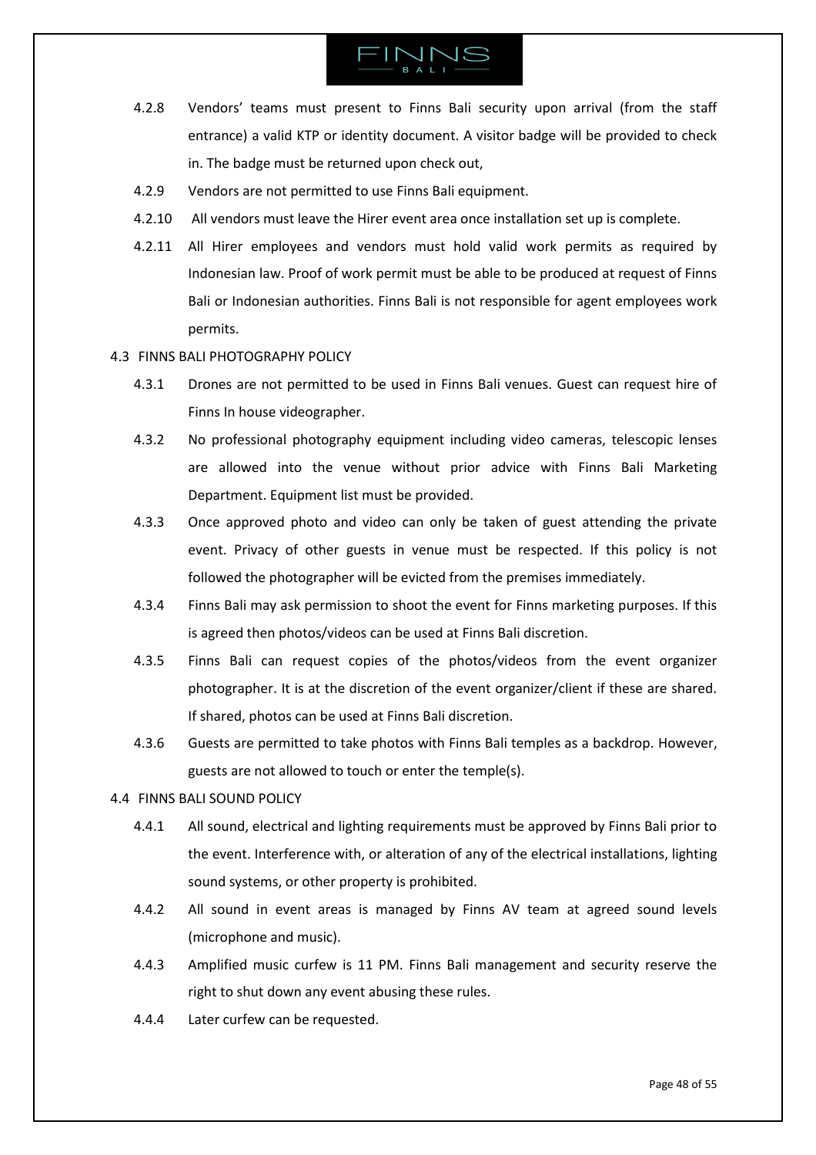# $INTM$

- 4.2.8 Vendors' teams must present to Finns Bali security upon arrival (from the staff entrance) a valid KTP or identity document. A visitor badge will be provided to check in. The badge must be returned upon check out,
- 4.2.9 Vendors are not permitted to use Finns Bali equipment.
- 4.2.10 All vendors must leave the Hirer event area once installation set up is complete.
- 4.2.11 All Hirer employees and vendors must hold valid work permits as required by Indonesian law. Proof of work permit must be able to be produced at request of Finns Bali or Indonesian authorities. Finns Bali is not responsible for agent employees work permits.

### <span id="page-47-0"></span>4.3 FINNS BALI PHOTOGRAPHY POLICY

- 4.3.1 Drones are not permitted to be used in Finns Bali venues. Guest can request hire of Finns In house videographer.
- 4.3.2 No professional photography equipment including video cameras, telescopic lenses are allowed into the venue without prior advice with Finns Bali Marketing Department. Equipment list must be provided.
- 4.3.3 Once approved photo and video can only be taken of guest attending the private event. Privacy of other guests in venue must be respected. If this policy is not followed the photographer will be evicted from the premises immediately.
- 4.3.4 Finns Bali may ask permission to shoot the event for Finns marketing purposes. If this is agreed then photos/videos can be used at Finns Bali discretion.
- 4.3.5 Finns Bali can request copies of the photos/videos from the event organizer photographer. It is at the discretion of the event organizer/client if these are shared. If shared, photos can be used at Finns Bali discretion.
- 4.3.6 Guests are permitted to take photos with Finns Bali temples as a backdrop. However, guests are not allowed to touch or enter the temple(s).

### <span id="page-47-1"></span>4.4 FINNS BALI SOUND POLICY

- 4.4.1 All sound, electrical and lighting requirements must be approved by Finns Bali prior to the event. Interference with, or alteration of any of the electrical installations, lighting sound systems, or other property is prohibited.
- 4.4.2 All sound in event areas is managed by Finns AV team at agreed sound levels (microphone and music).
- 4.4.3 Amplified music curfew is 11 PM. Finns Bali management and security reserve the right to shut down any event abusing these rules.
- 4.4.4 Later curfew can be requested.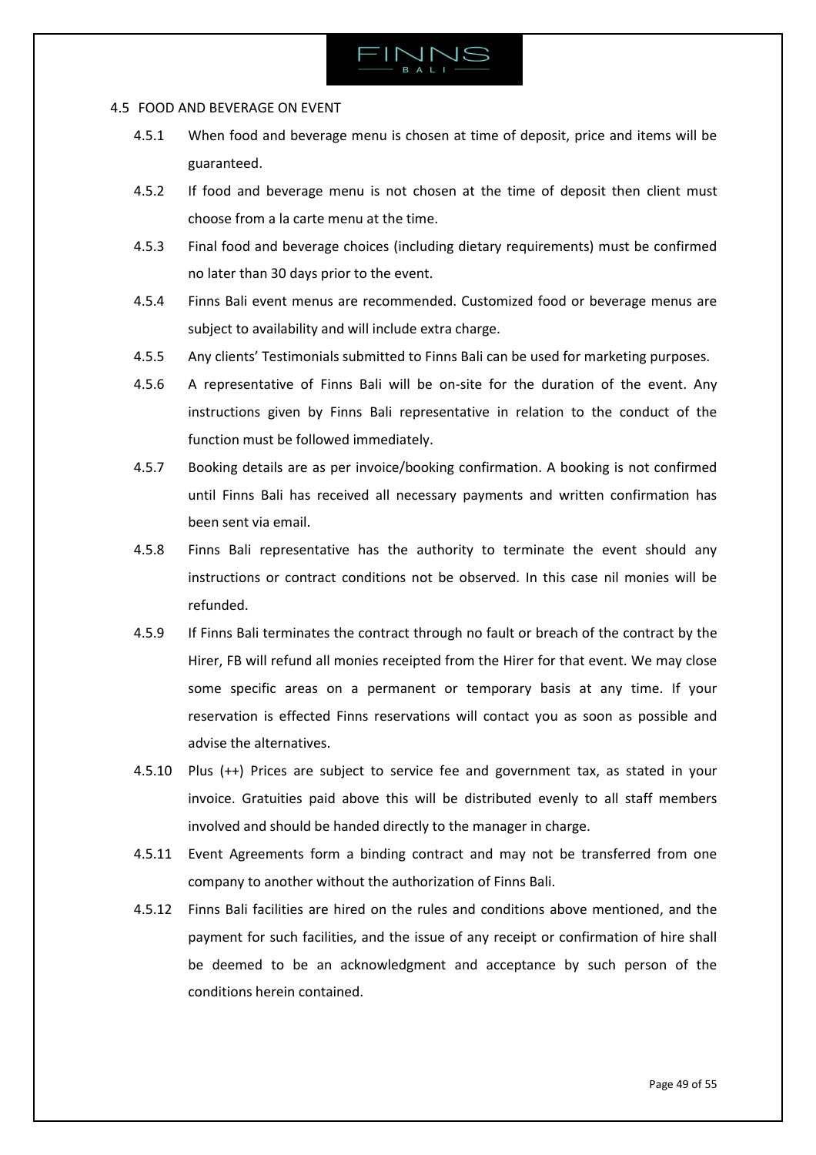

### <span id="page-48-0"></span>4.5 FOOD AND BEVERAGE ON EVENT

- 4.5.1 When food and beverage menu is chosen at time of deposit, price and items will be guaranteed.
- 4.5.2 If food and beverage menu is not chosen at the time of deposit then client must choose from a la carte menu at the time.
- 4.5.3 Final food and beverage choices (including dietary requirements) must be confirmed no later than 30 days prior to the event.
- 4.5.4 Finns Bali event menus are recommended. Customized food or beverage menus are subject to availability and will include extra charge.
- 4.5.5 Any clients' Testimonials submitted to Finns Bali can be used for marketing purposes.
- 4.5.6 A representative of Finns Bali will be on-site for the duration of the event. Any instructions given by Finns Bali representative in relation to the conduct of the function must be followed immediately.
- 4.5.7 Booking details are as per invoice/booking confirmation. A booking is not confirmed until Finns Bali has received all necessary payments and written confirmation has been sent via email.
- 4.5.8 Finns Bali representative has the authority to terminate the event should any instructions or contract conditions not be observed. In this case nil monies will be refunded.
- 4.5.9 If Finns Bali terminates the contract through no fault or breach of the contract by the Hirer, FB will refund all monies receipted from the Hirer for that event. We may close some specific areas on a permanent or temporary basis at any time. If your reservation is effected Finns reservations will contact you as soon as possible and advise the alternatives.
- 4.5.10 Plus (++) Prices are subject to service fee and government tax, as stated in your invoice. Gratuities paid above this will be distributed evenly to all staff members involved and should be handed directly to the manager in charge.
- 4.5.11 Event Agreements form a binding contract and may not be transferred from one company to another without the authorization of Finns Bali.
- 4.5.12 Finns Bali facilities are hired on the rules and conditions above mentioned, and the payment for such facilities, and the issue of any receipt or confirmation of hire shall be deemed to be an acknowledgment and acceptance by such person of the conditions herein contained.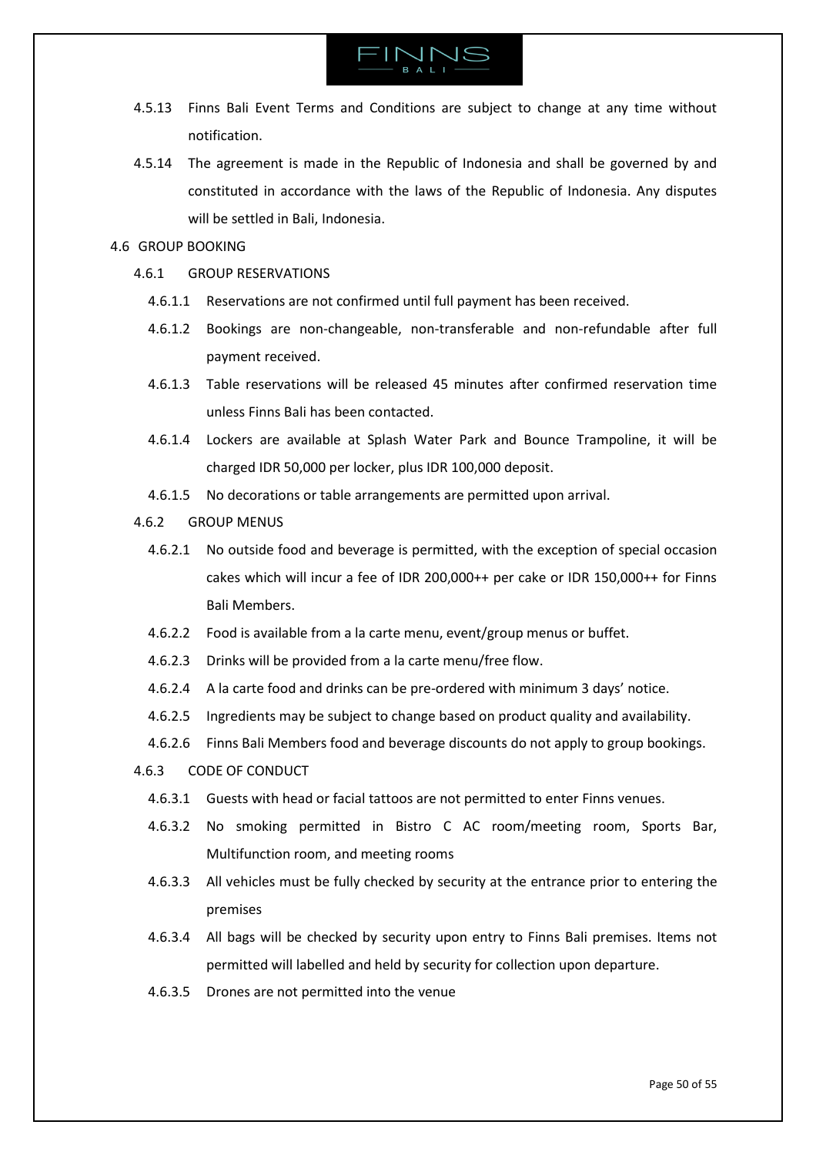

- 4.5.13 Finns Bali Event Terms and Conditions are subject to change at any time without notification.
- 4.5.14 The agreement is made in the Republic of Indonesia and shall be governed by and constituted in accordance with the laws of the Republic of Indonesia. Any disputes will be settled in Bali, Indonesia.

### <span id="page-49-0"></span>4.6 GROUP BOOKING

- 4.6.1 GROUP RESERVATIONS
	- 4.6.1.1 Reservations are not confirmed until full payment has been received.
	- 4.6.1.2 Bookings are non-changeable, non-transferable and non-refundable after full payment received.
	- 4.6.1.3 Table reservations will be released 45 minutes after confirmed reservation time unless Finns Bali has been contacted.
	- 4.6.1.4 Lockers are available at Splash Water Park and Bounce Trampoline, it will be charged IDR 50,000 per locker, plus IDR 100,000 deposit.
	- 4.6.1.5 No decorations or table arrangements are permitted upon arrival.
- 4.6.2 GROUP MENUS
	- 4.6.2.1 No outside food and beverage is permitted, with the exception of special occasion cakes which will incur a fee of IDR 200,000++ per cake or IDR 150,000++ for Finns Bali Members.
	- 4.6.2.2 Food is available from a la carte menu, event/group menus or buffet.
	- 4.6.2.3 Drinks will be provided from a la carte menu/free flow.
	- 4.6.2.4 A la carte food and drinks can be pre-ordered with minimum 3 days' notice.
	- 4.6.2.5 Ingredients may be subject to change based on product quality and availability.
	- 4.6.2.6 Finns Bali Members food and beverage discounts do not apply to group bookings.

4.6.3 CODE OF CONDUCT

- 4.6.3.1 Guests with head or facial tattoos are not permitted to enter Finns venues.
- 4.6.3.2 No smoking permitted in Bistro C AC room/meeting room, Sports Bar, Multifunction room, and meeting rooms
- 4.6.3.3 All vehicles must be fully checked by security at the entrance prior to entering the premises
- 4.6.3.4 All bags will be checked by security upon entry to Finns Bali premises. Items not permitted will labelled and held by security for collection upon departure.
- 4.6.3.5 Drones are not permitted into the venue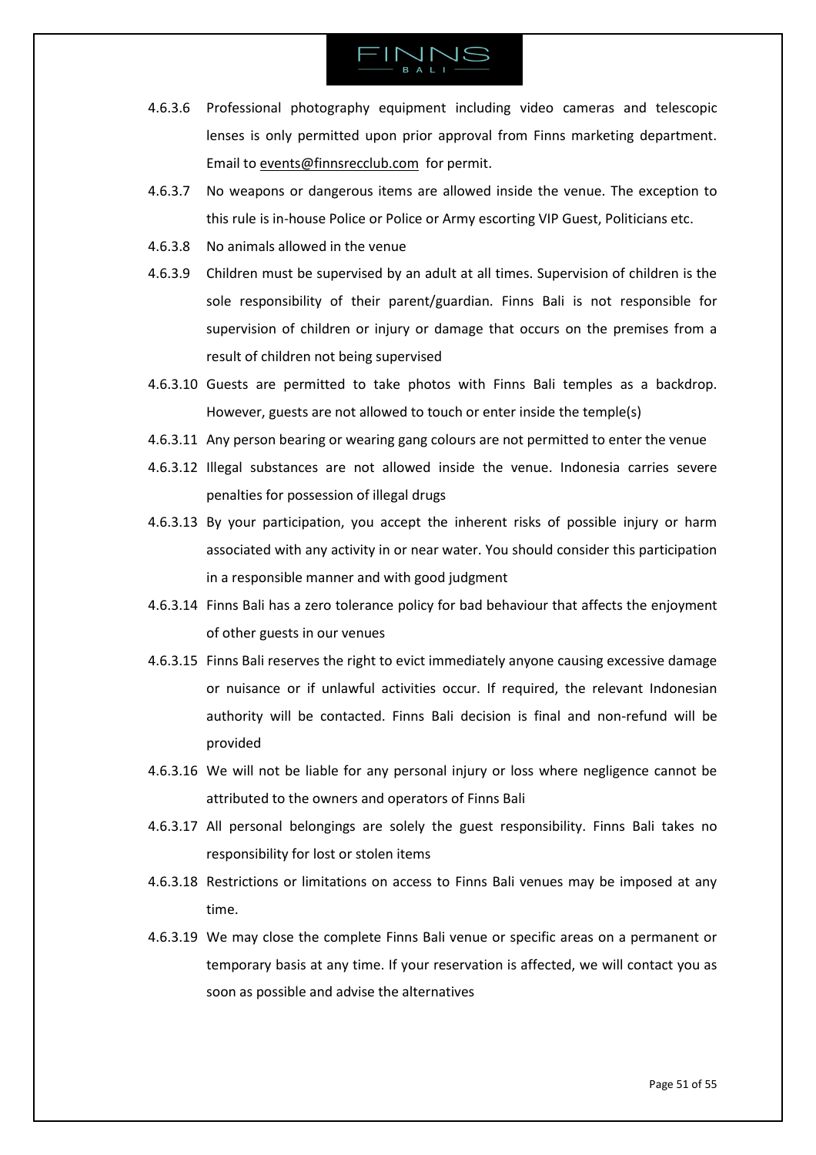- 4.6.3.6 Professional photography equipment including video cameras and telescopic lenses is only permitted upon prior approval from Finns marketing department. Email to [events@finnsrecclub.com](mailto:events@finnsrecclub.com) for permit.
- 4.6.3.7 No weapons or dangerous items are allowed inside the venue. The exception to this rule is in-house Police or Police or Army escorting VIP Guest, Politicians etc.
- 4.6.3.8 No animals allowed in the venue
- 4.6.3.9 Children must be supervised by an adult at all times. Supervision of children is the sole responsibility of their parent/guardian. Finns Bali is not responsible for supervision of children or injury or damage that occurs on the premises from a result of children not being supervised
- 4.6.3.10 Guests are permitted to take photos with Finns Bali temples as a backdrop. However, guests are not allowed to touch or enter inside the temple(s)
- 4.6.3.11 Any person bearing or wearing gang colours are not permitted to enter the venue
- 4.6.3.12 Illegal substances are not allowed inside the venue. Indonesia carries severe penalties for possession of illegal drugs
- 4.6.3.13 By your participation, you accept the inherent risks of possible injury or harm associated with any activity in or near water. You should consider this participation in a responsible manner and with good judgment
- 4.6.3.14 Finns Bali has a zero tolerance policy for bad behaviour that affects the enjoyment of other guests in our venues
- 4.6.3.15 Finns Bali reserves the right to evict immediately anyone causing excessive damage or nuisance or if unlawful activities occur. If required, the relevant Indonesian authority will be contacted. Finns Bali decision is final and non-refund will be provided
- 4.6.3.16 We will not be liable for any personal injury or loss where negligence cannot be attributed to the owners and operators of Finns Bali
- 4.6.3.17 All personal belongings are solely the guest responsibility. Finns Bali takes no responsibility for lost or stolen items
- 4.6.3.18 Restrictions or limitations on access to Finns Bali venues may be imposed at any time.
- 4.6.3.19 We may close the complete Finns Bali venue or specific areas on a permanent or temporary basis at any time. If your reservation is affected, we will contact you as soon as possible and advise the alternatives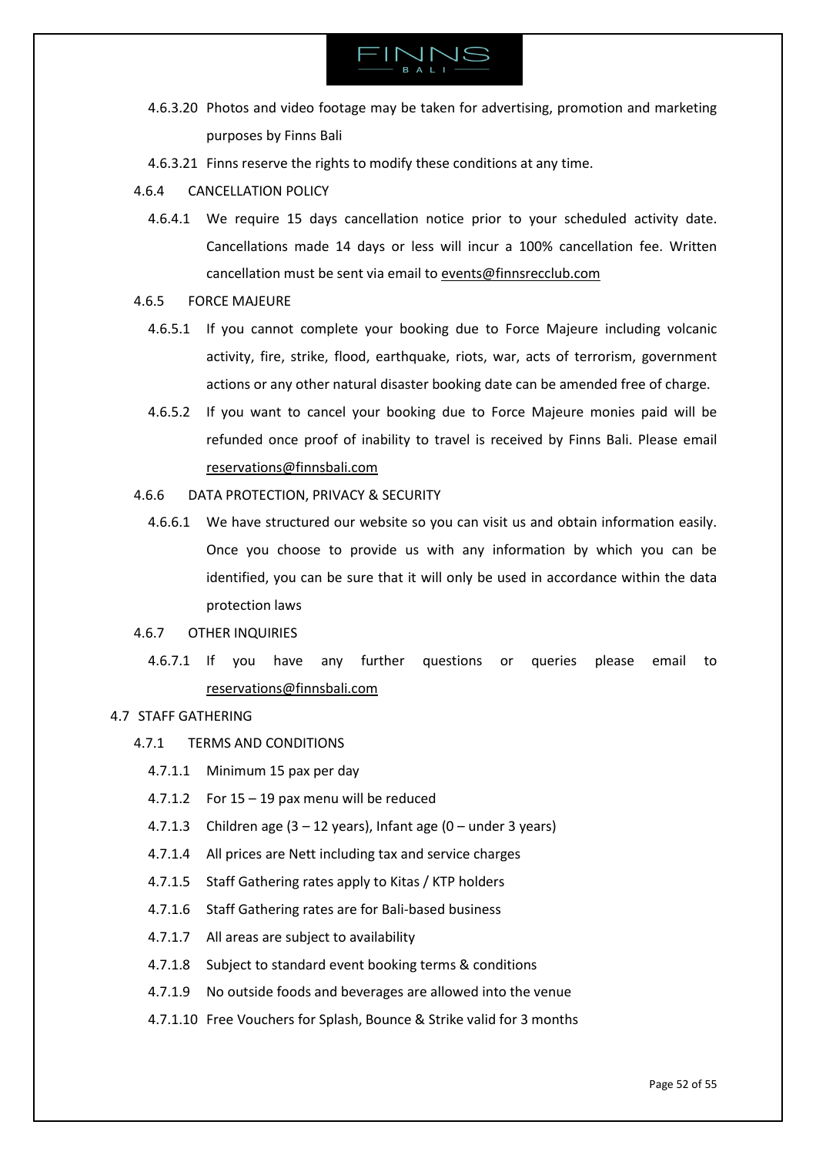

- 4.6.3.20 Photos and video footage may be taken for advertising, promotion and marketing purposes by Finns Bali
- 4.6.3.21 Finns reserve the rights to modify these conditions at any time.
- 4.6.4 CANCELLATION POLICY
	- 4.6.4.1 We require 15 days cancellation notice prior to your scheduled activity date. Cancellations made 14 days or less will incur a 100% cancellation fee. Written cancellation must be sent via email t[o events@finnsrecclub.com](mailto:events@finnsrecclub.com)
- 4.6.5 FORCE MAJEURE
	- 4.6.5.1 If you cannot complete your booking due to Force Majeure including volcanic activity, fire, strike, flood, earthquake, riots, war, acts of terrorism, government actions or any other natural disaster booking date can be amended free of charge.
	- 4.6.5.2 If you want to cancel your booking due to Force Majeure monies paid will be refunded once proof of inability to travel is received by Finns Bali. Please email [reservations@finnsbali.com](mailto:reservations@finnsbali.com)
- 4.6.6 DATA PROTECTION, PRIVACY & SECURITY
	- 4.6.6.1 We have structured our website so you can visit us and obtain information easily. Once you choose to provide us with any information by which you can be identified, you can be sure that it will only be used in accordance within the data protection laws
- 4.6.7 OTHER INQUIRIES
	- 4.6.7.1 If you have any further questions or queries please email to [reservations@finnsbali.com](mailto:reservations@finnsbali.com)
- <span id="page-51-0"></span>4.7 STAFF GATHERING
	- 4.7.1 TERMS AND CONDITIONS
		- 4.7.1.1 Minimum 15 pax per day
		- 4.7.1.2 For 15 19 pax menu will be reduced
		- 4.7.1.3 Children age  $(3 12$  years), Infant age  $(0 -$  under 3 years)
		- 4.7.1.4 All prices are Nett including tax and service charges
		- 4.7.1.5 Staff Gathering rates apply to Kitas / KTP holders
		- 4.7.1.6 Staff Gathering rates are for Bali-based business
		- 4.7.1.7 All areas are subject to availability
		- 4.7.1.8 Subject to standard event booking terms & conditions
		- 4.7.1.9 No outside foods and beverages are allowed into the venue
		- 4.7.1.10 Free Vouchers for Splash, Bounce & Strike valid for 3 months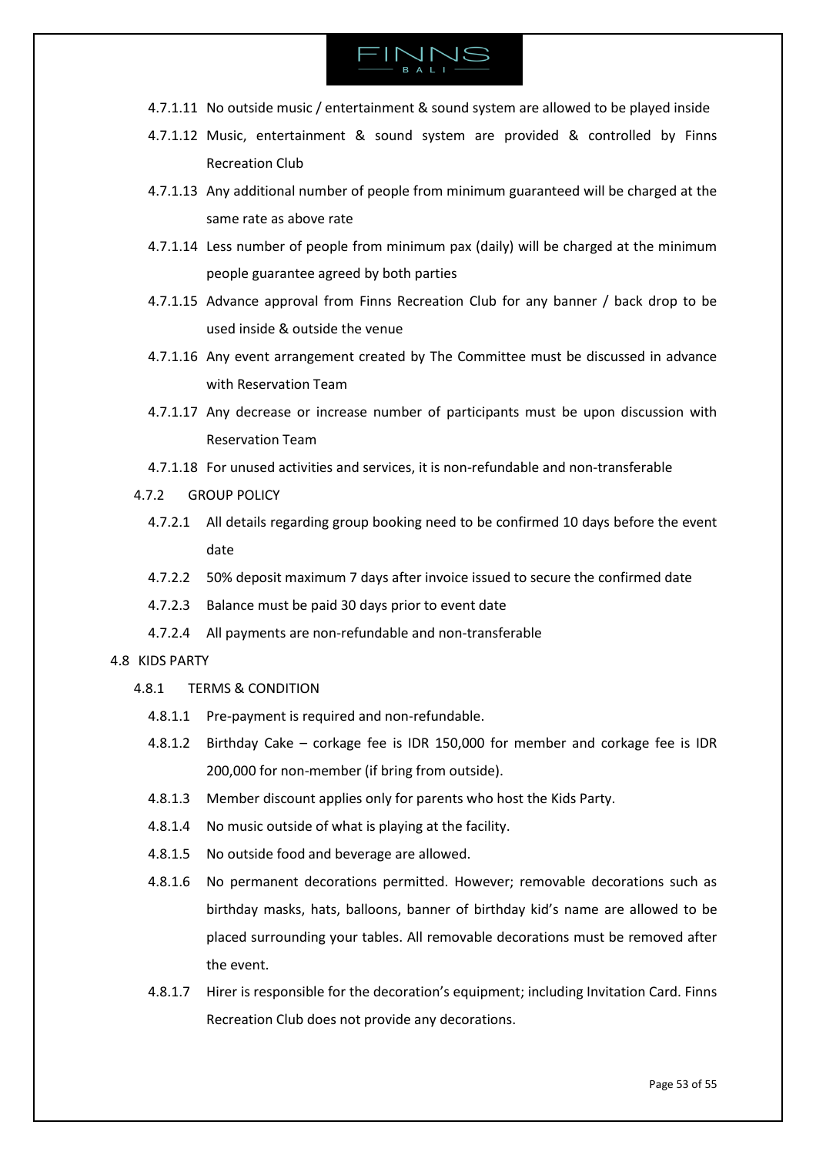

- 4.7.1.11 No outside music / entertainment & sound system are allowed to be played inside
- 4.7.1.12 Music, entertainment & sound system are provided & controlled by Finns Recreation Club
- 4.7.1.13 Any additional number of people from minimum guaranteed will be charged at the same rate as above rate
- 4.7.1.14 Less number of people from minimum pax (daily) will be charged at the minimum people guarantee agreed by both parties
- 4.7.1.15 Advance approval from Finns Recreation Club for any banner / back drop to be used inside & outside the venue
- 4.7.1.16 Any event arrangement created by The Committee must be discussed in advance with Reservation Team
- 4.7.1.17 Any decrease or increase number of participants must be upon discussion with Reservation Team
- 4.7.1.18 For unused activities and services, it is non-refundable and non-transferable
- 4.7.2 GROUP POLICY
	- 4.7.2.1 All details regarding group booking need to be confirmed 10 days before the event date
	- 4.7.2.2 50% deposit maximum 7 days after invoice issued to secure the confirmed date
	- 4.7.2.3 Balance must be paid 30 days prior to event date
	- 4.7.2.4 All payments are non-refundable and non-transferable

# <span id="page-52-0"></span>4.8 KIDS PARTY

- 4.8.1 TERMS & CONDITION
	- 4.8.1.1 Pre-payment is required and non-refundable.
	- 4.8.1.2 Birthday Cake corkage fee is IDR 150,000 for member and corkage fee is IDR 200,000 for non-member (if bring from outside).
	- 4.8.1.3 Member discount applies only for parents who host the Kids Party.
	- 4.8.1.4 No music outside of what is playing at the facility.
	- 4.8.1.5 No outside food and beverage are allowed.
	- 4.8.1.6 No permanent decorations permitted. However; removable decorations such as birthday masks, hats, balloons, banner of birthday kid's name are allowed to be placed surrounding your tables. All removable decorations must be removed after the event.
	- 4.8.1.7 Hirer is responsible for the decoration's equipment; including Invitation Card. Finns Recreation Club does not provide any decorations.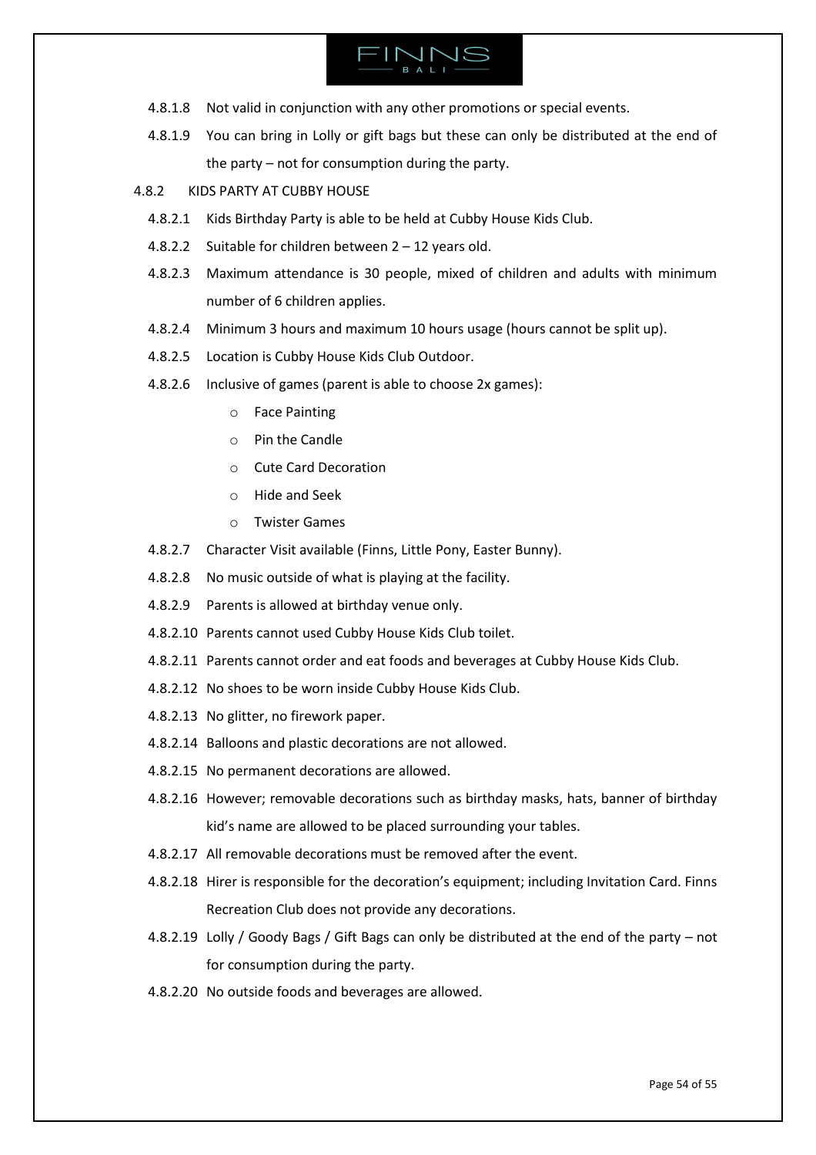

- 4.8.1.8 Not valid in conjunction with any other promotions or special events.
- 4.8.1.9 You can bring in Lolly or gift bags but these can only be distributed at the end of the party – not for consumption during the party.
- 4.8.2 KIDS PARTY AT CUBBY HOUSE
	- 4.8.2.1 Kids Birthday Party is able to be held at Cubby House Kids Club.
	- 4.8.2.2 Suitable for children between 2 12 years old.
	- 4.8.2.3 Maximum attendance is 30 people, mixed of children and adults with minimum number of 6 children applies.
	- 4.8.2.4 Minimum 3 hours and maximum 10 hours usage (hours cannot be split up).
	- 4.8.2.5 Location is Cubby House Kids Club Outdoor.
	- 4.8.2.6 Inclusive of games (parent is able to choose 2x games):
		- o Face Painting
		- o Pin the Candle
		- o Cute Card Decoration
		- o Hide and Seek
		- o Twister Games
	- 4.8.2.7 Character Visit available (Finns, Little Pony, Easter Bunny).
	- 4.8.2.8 No music outside of what is playing at the facility.
	- 4.8.2.9 Parents is allowed at birthday venue only.
	- 4.8.2.10 Parents cannot used Cubby House Kids Club toilet.
	- 4.8.2.11 Parents cannot order and eat foods and beverages at Cubby House Kids Club.
	- 4.8.2.12 No shoes to be worn inside Cubby House Kids Club.
	- 4.8.2.13 No glitter, no firework paper.
	- 4.8.2.14 Balloons and plastic decorations are not allowed.
	- 4.8.2.15 No permanent decorations are allowed.
	- 4.8.2.16 However; removable decorations such as birthday masks, hats, banner of birthday kid's name are allowed to be placed surrounding your tables.
	- 4.8.2.17 All removable decorations must be removed after the event.
	- 4.8.2.18 Hirer is responsible for the decoration's equipment; including Invitation Card. Finns Recreation Club does not provide any decorations.
	- 4.8.2.19 Lolly / Goody Bags / Gift Bags can only be distributed at the end of the party not for consumption during the party.
	- 4.8.2.20 No outside foods and beverages are allowed.